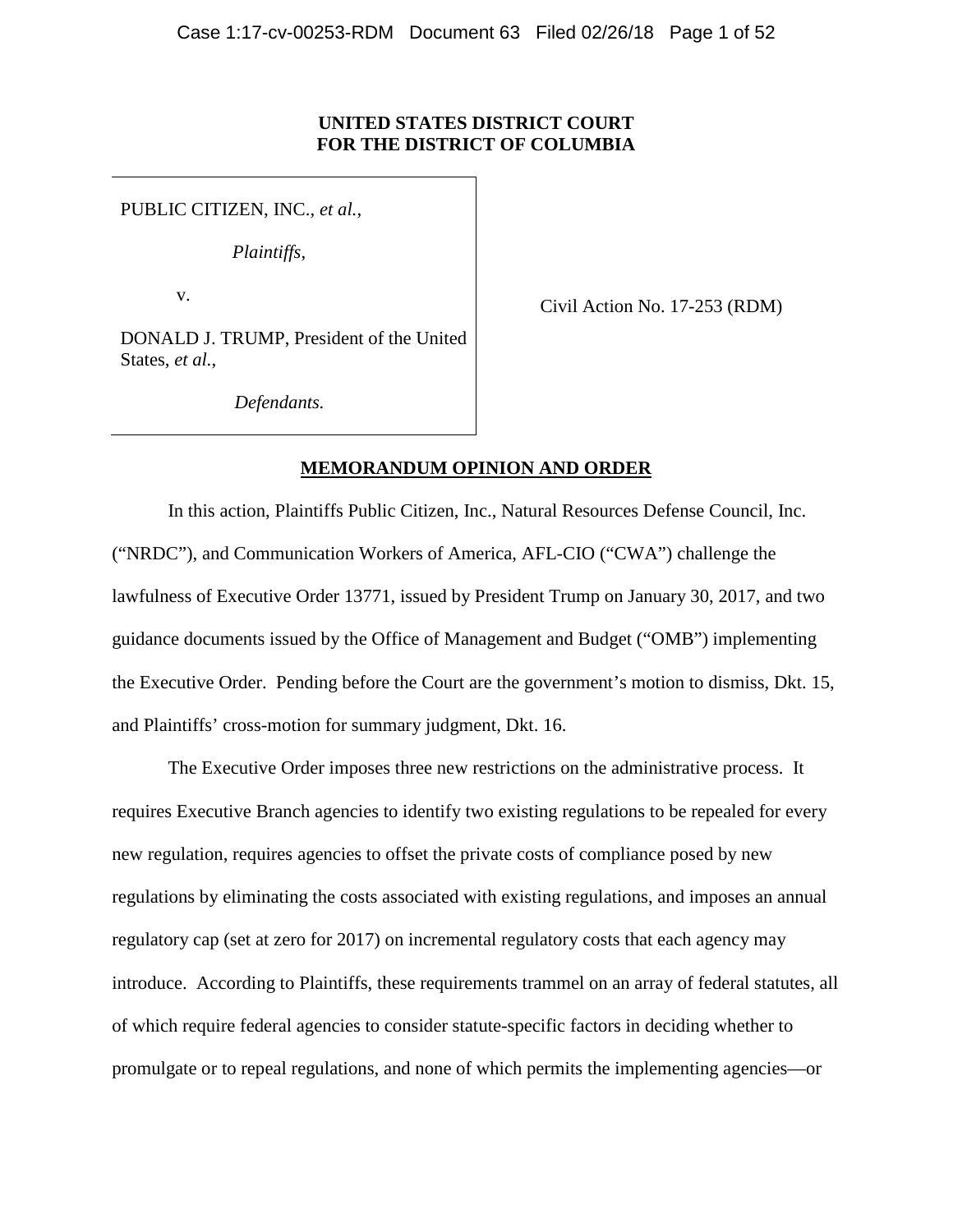## **UNITED STATES DISTRICT COURT FOR THE DISTRICT OF COLUMBIA**

PUBLIC CITIZEN, INC., *et al.*,

*Plaintiffs*,

v.

Civil Action No. 17-253 (RDM)

DONALD J. TRUMP, President of the United States, *et al.*,

*Defendants.*

## **MEMORANDUM OPINION AND ORDER**

In this action, Plaintiffs Public Citizen, Inc., Natural Resources Defense Council, Inc. ("NRDC"), and Communication Workers of America, AFL-CIO ("CWA") challenge the lawfulness of Executive Order 13771, issued by President Trump on January 30, 2017, and two guidance documents issued by the Office of Management and Budget ("OMB") implementing the Executive Order. Pending before the Court are the government's motion to dismiss, Dkt. 15, and Plaintiffs' cross-motion for summary judgment, Dkt. 16.

The Executive Order imposes three new restrictions on the administrative process. It requires Executive Branch agencies to identify two existing regulations to be repealed for every new regulation, requires agencies to offset the private costs of compliance posed by new regulations by eliminating the costs associated with existing regulations, and imposes an annual regulatory cap (set at zero for 2017) on incremental regulatory costs that each agency may introduce. According to Plaintiffs, these requirements trammel on an array of federal statutes, all of which require federal agencies to consider statute-specific factors in deciding whether to promulgate or to repeal regulations, and none of which permits the implementing agencies—or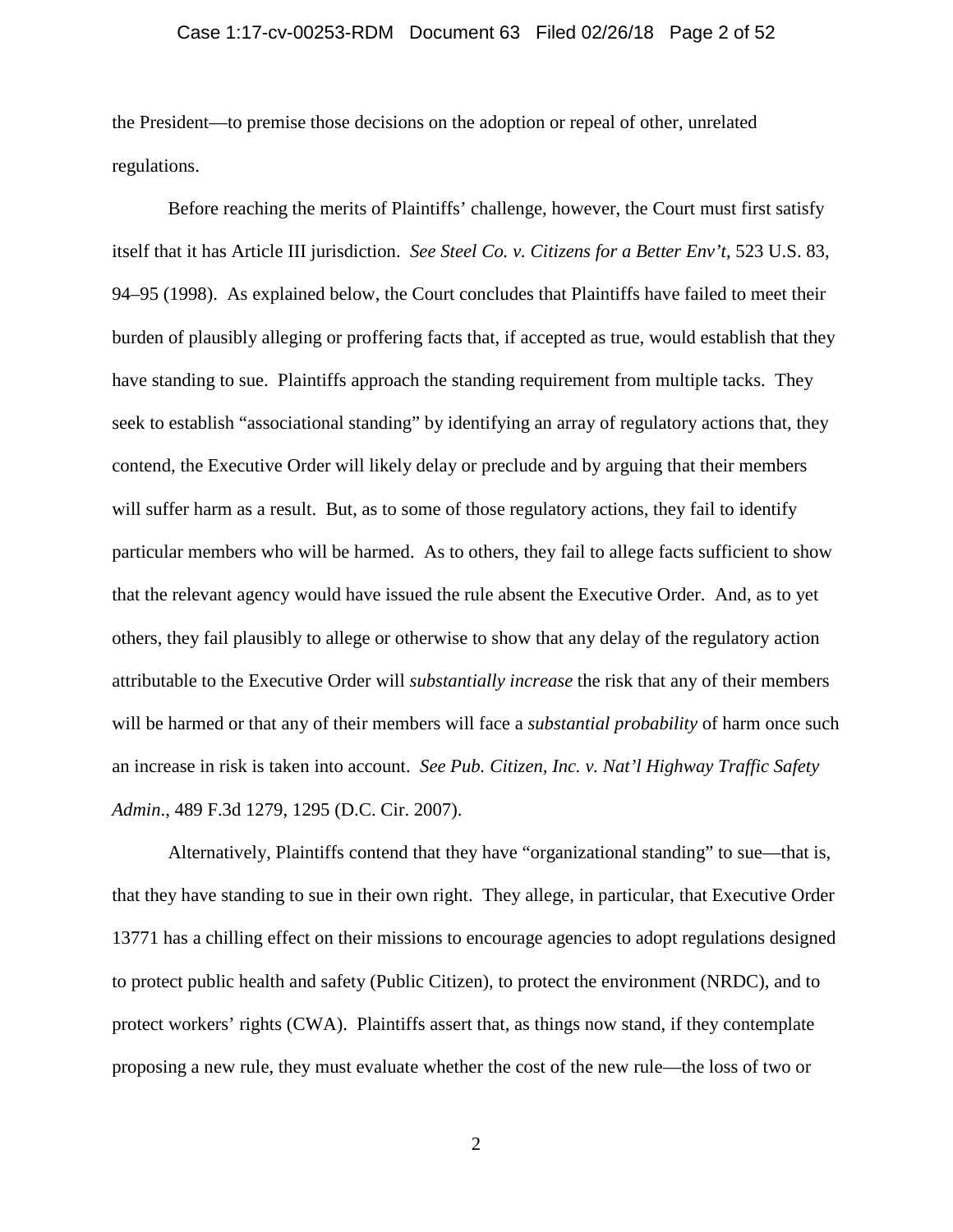### Case 1:17-cv-00253-RDM Document 63 Filed 02/26/18 Page 2 of 52

the President—to premise those decisions on the adoption or repeal of other, unrelated regulations.

Before reaching the merits of Plaintiffs' challenge, however, the Court must first satisfy itself that it has Article III jurisdiction. *See Steel Co. v. Citizens for a Better Env't*, 523 U.S. 83, 94–95 (1998). As explained below, the Court concludes that Plaintiffs have failed to meet their burden of plausibly alleging or proffering facts that, if accepted as true, would establish that they have standing to sue. Plaintiffs approach the standing requirement from multiple tacks. They seek to establish "associational standing" by identifying an array of regulatory actions that, they contend, the Executive Order will likely delay or preclude and by arguing that their members will suffer harm as a result. But, as to some of those regulatory actions, they fail to identify particular members who will be harmed. As to others, they fail to allege facts sufficient to show that the relevant agency would have issued the rule absent the Executive Order. And, as to yet others, they fail plausibly to allege or otherwise to show that any delay of the regulatory action attributable to the Executive Order will *substantially increase* the risk that any of their members will be harmed or that any of their members will face a *substantial probability* of harm once such an increase in risk is taken into account. *See Pub. Citizen, Inc. v. Nat'l Highway Traffic Safety Admin*., 489 F.3d 1279, 1295 (D.C. Cir. 2007).

Alternatively, Plaintiffs contend that they have "organizational standing" to sue—that is, that they have standing to sue in their own right. They allege, in particular, that Executive Order 13771 has a chilling effect on their missions to encourage agencies to adopt regulations designed to protect public health and safety (Public Citizen), to protect the environment (NRDC), and to protect workers' rights (CWA). Plaintiffs assert that, as things now stand, if they contemplate proposing a new rule, they must evaluate whether the cost of the new rule—the loss of two or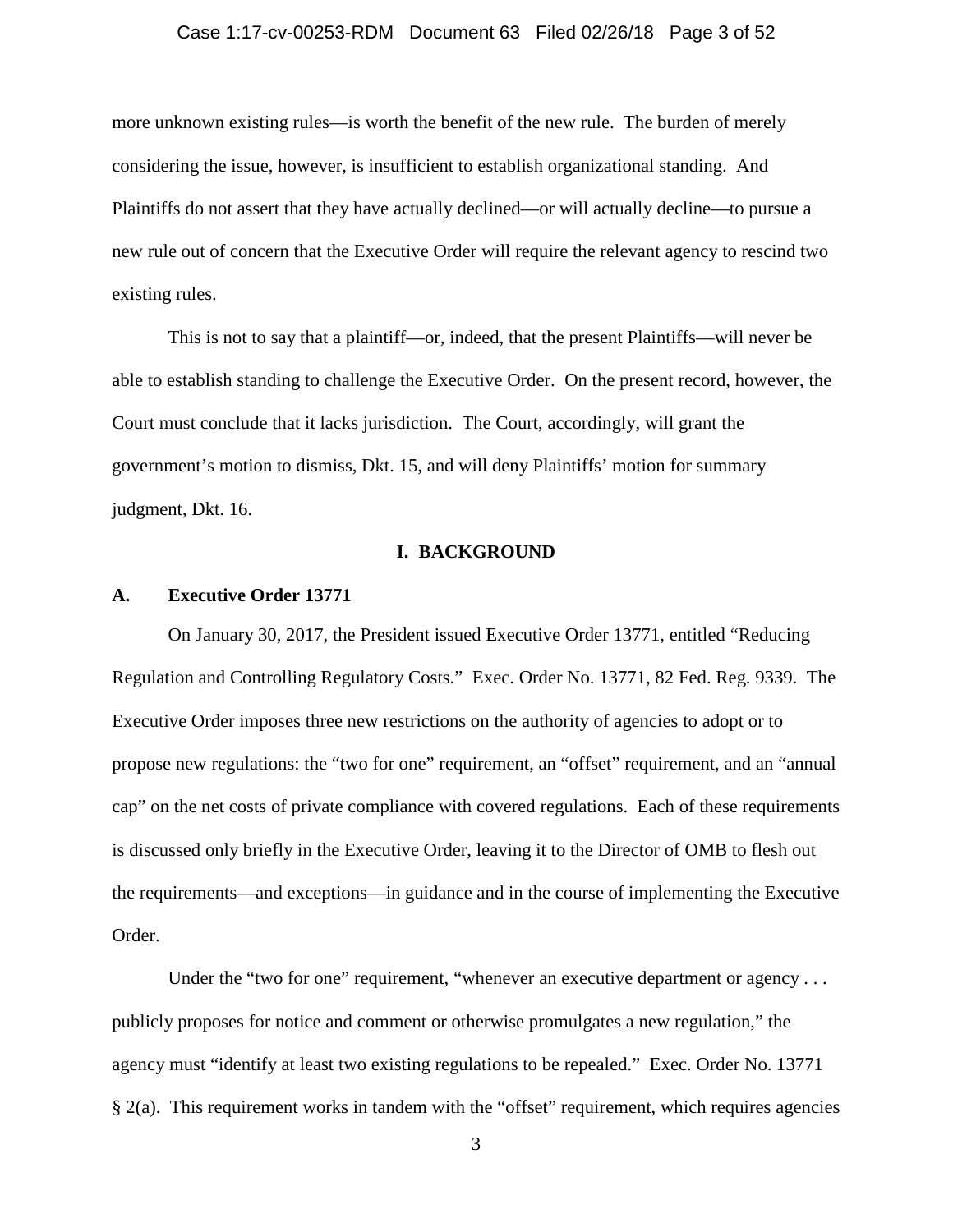### Case 1:17-cv-00253-RDM Document 63 Filed 02/26/18 Page 3 of 52

more unknown existing rules—is worth the benefit of the new rule. The burden of merely considering the issue, however, is insufficient to establish organizational standing. And Plaintiffs do not assert that they have actually declined—or will actually decline—to pursue a new rule out of concern that the Executive Order will require the relevant agency to rescind two existing rules.

This is not to say that a plaintiff—or, indeed, that the present Plaintiffs—will never be able to establish standing to challenge the Executive Order. On the present record, however, the Court must conclude that it lacks jurisdiction. The Court, accordingly, will grant the government's motion to dismiss, Dkt. 15, and will deny Plaintiffs' motion for summary judgment, Dkt. 16.

### **I. BACKGROUND**

#### **A. Executive Order 13771**

On January 30, 2017, the President issued Executive Order 13771, entitled "Reducing Regulation and Controlling Regulatory Costs." Exec. Order No. 13771, 82 Fed. Reg. 9339. The Executive Order imposes three new restrictions on the authority of agencies to adopt or to propose new regulations: the "two for one" requirement, an "offset" requirement, and an "annual cap" on the net costs of private compliance with covered regulations. Each of these requirements is discussed only briefly in the Executive Order, leaving it to the Director of OMB to flesh out the requirements—and exceptions—in guidance and in the course of implementing the Executive Order.

Under the "two for one" requirement, "whenever an executive department or agency ... publicly proposes for notice and comment or otherwise promulgates a new regulation," the agency must "identify at least two existing regulations to be repealed." Exec. Order No. 13771 § 2(a). This requirement works in tandem with the "offset" requirement, which requires agencies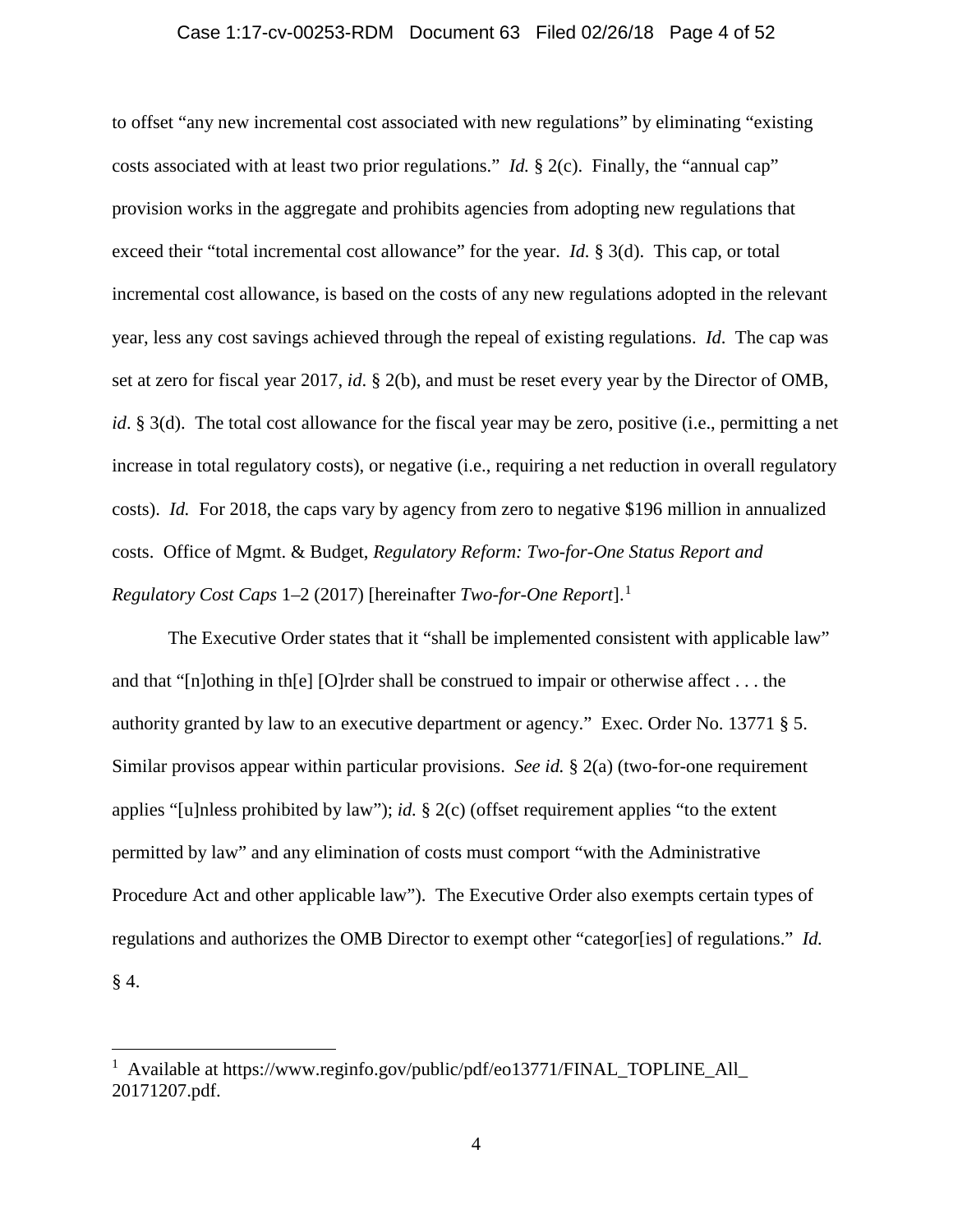### Case 1:17-cv-00253-RDM Document 63 Filed 02/26/18 Page 4 of 52

to offset "any new incremental cost associated with new regulations" by eliminating "existing costs associated with at least two prior regulations." *Id.* § 2(c). Finally, the "annual cap" provision works in the aggregate and prohibits agencies from adopting new regulations that exceed their "total incremental cost allowance" for the year. *Id.* § 3(d). This cap, or total incremental cost allowance, is based on the costs of any new regulations adopted in the relevant year, less any cost savings achieved through the repeal of existing regulations. *Id*. The cap was set at zero for fiscal year 2017, *id*. § 2(b), and must be reset every year by the Director of OMB, *id*. § 3(d). The total cost allowance for the fiscal year may be zero, positive (i.e., permitting a net increase in total regulatory costs), or negative (i.e., requiring a net reduction in overall regulatory costs). *Id.* For 2018, the caps vary by agency from zero to negative \$196 million in annualized costs. Office of Mgmt. & Budget, *Regulatory Reform: Two-for-One Status Report and Regulatory Cost Caps* 1–2 (2017) [hereinafter *Two-for-One Report*].[1](#page-3-0)

The Executive Order states that it "shall be implemented consistent with applicable law" and that "[n]othing in th[e] [O]rder shall be construed to impair or otherwise affect . . . the authority granted by law to an executive department or agency." Exec. Order No. 13771 § 5. Similar provisos appear within particular provisions. *See id.* § 2(a) (two-for-one requirement applies "[u]nless prohibited by law"); *id.* § 2(c) (offset requirement applies "to the extent permitted by law" and any elimination of costs must comport "with the Administrative Procedure Act and other applicable law"). The Executive Order also exempts certain types of regulations and authorizes the OMB Director to exempt other "categor[ies] of regulations." *Id.*  $§$  4.

<span id="page-3-0"></span> $\frac{1}{1}$ <sup>1</sup> Available at https://www.reginfo.gov/public/pdf/eo13771/FINAL\_TOPLINE\_All\_ 20171207.pdf.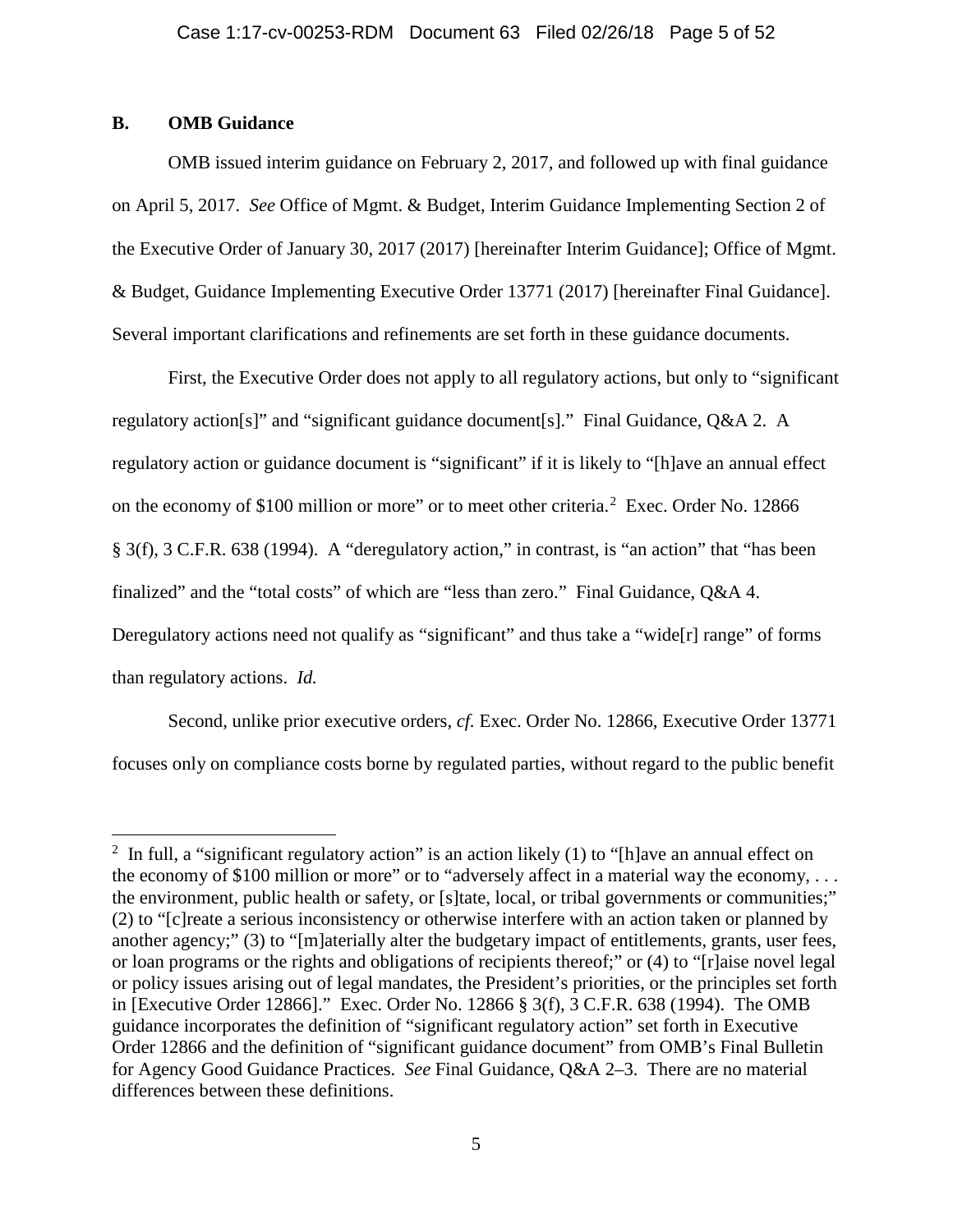# **B. OMB Guidance**

OMB issued interim guidance on February 2, 2017, and followed up with final guidance on April 5, 2017. *See* Office of Mgmt. & Budget, Interim Guidance Implementing Section 2 of the Executive Order of January 30, 2017 (2017) [hereinafter Interim Guidance]; Office of Mgmt. & Budget, Guidance Implementing Executive Order 13771 (2017) [hereinafter Final Guidance]. Several important clarifications and refinements are set forth in these guidance documents.

First, the Executive Order does not apply to all regulatory actions, but only to "significant regulatory action[s]" and "significant guidance document[s]." Final Guidance, Q&A 2. A regulatory action or guidance document is "significant" if it is likely to "[h]ave an annual effect on the economy of \$100 million or more" or to meet other criteria.<sup>[2](#page-4-0)</sup> Exec. Order No. 12866 § 3(f), 3 C.F.R. 638 (1994). A "deregulatory action," in contrast, is "an action" that "has been finalized" and the "total costs" of which are "less than zero." Final Guidance, Q&A 4. Deregulatory actions need not qualify as "significant" and thus take a "wide[r] range" of forms than regulatory actions. *Id.*

Second, unlike prior executive orders, *cf.* Exec. Order No. 12866, Executive Order 13771 focuses only on compliance costs borne by regulated parties, without regard to the public benefit

<span id="page-4-0"></span> $\frac{1}{2}$ <sup>2</sup> In full, a "significant regulatory action" is an action likely (1) to "[h]ave an annual effect on the economy of \$100 million or more" or to "adversely affect in a material way the economy, . . . the environment, public health or safety, or [s]tate, local, or tribal governments or communities;" (2) to "[c]reate a serious inconsistency or otherwise interfere with an action taken or planned by another agency;" (3) to "[m]aterially alter the budgetary impact of entitlements, grants, user fees, or loan programs or the rights and obligations of recipients thereof;" or (4) to "[r]aise novel legal or policy issues arising out of legal mandates, the President's priorities, or the principles set forth in [Executive Order 12866]." Exec. Order No. 12866 § 3(f), 3 C.F.R. 638 (1994). The OMB guidance incorporates the definition of "significant regulatory action" set forth in Executive Order 12866 and the definition of "significant guidance document" from OMB's Final Bulletin for Agency Good Guidance Practices. *See* Final Guidance, Q&A 2–3. There are no material differences between these definitions.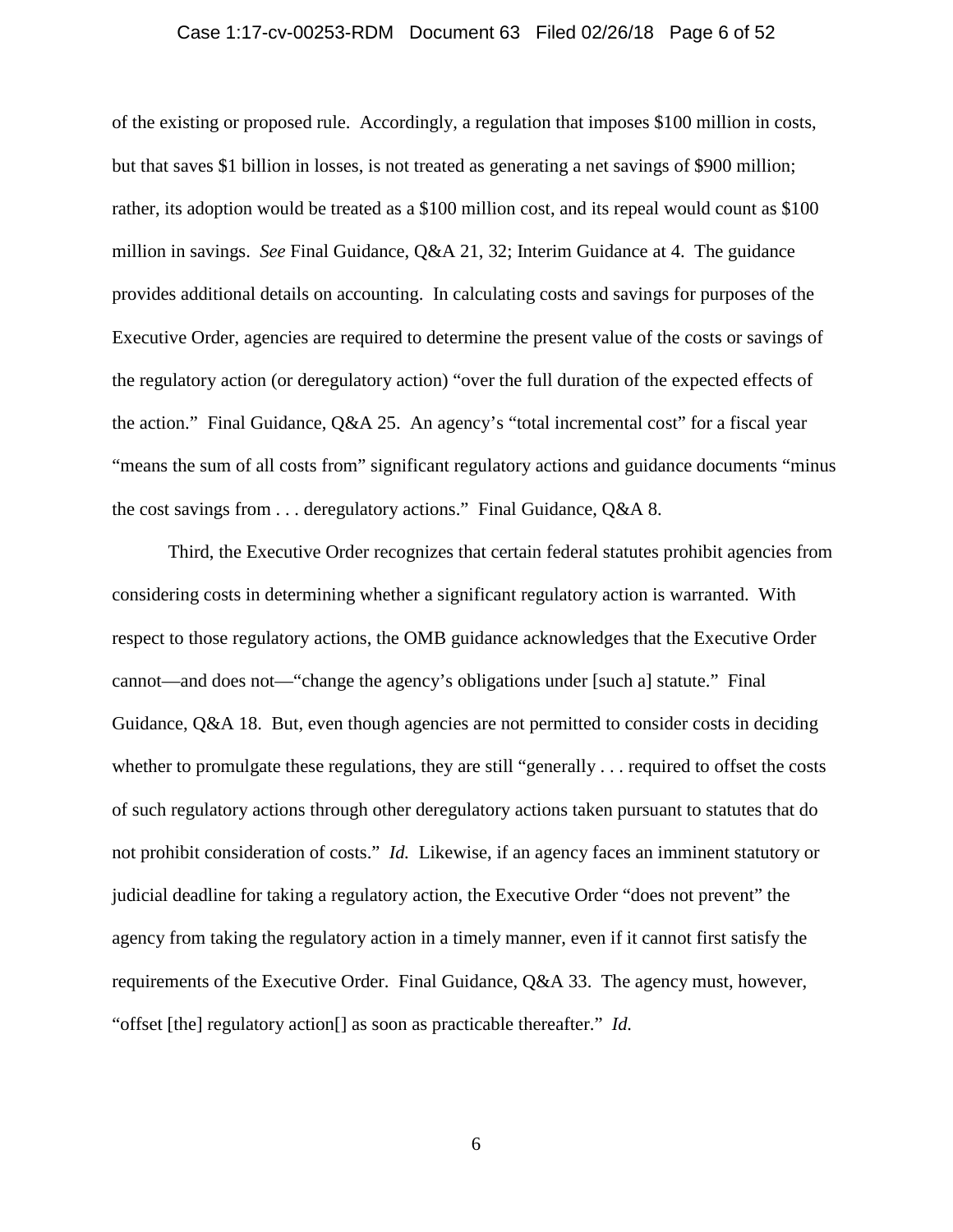### Case 1:17-cv-00253-RDM Document 63 Filed 02/26/18 Page 6 of 52

of the existing or proposed rule. Accordingly, a regulation that imposes \$100 million in costs, but that saves \$1 billion in losses, is not treated as generating a net savings of \$900 million; rather, its adoption would be treated as a \$100 million cost, and its repeal would count as \$100 million in savings. *See* Final Guidance, Q&A 21, 32; Interim Guidance at 4. The guidance provides additional details on accounting. In calculating costs and savings for purposes of the Executive Order, agencies are required to determine the present value of the costs or savings of the regulatory action (or deregulatory action) "over the full duration of the expected effects of the action." Final Guidance, Q&A 25. An agency's "total incremental cost" for a fiscal year "means the sum of all costs from" significant regulatory actions and guidance documents "minus the cost savings from . . . deregulatory actions." Final Guidance, Q&A 8.

Third, the Executive Order recognizes that certain federal statutes prohibit agencies from considering costs in determining whether a significant regulatory action is warranted. With respect to those regulatory actions, the OMB guidance acknowledges that the Executive Order cannot—and does not—"change the agency's obligations under [such a] statute." Final Guidance, Q&A 18. But, even though agencies are not permitted to consider costs in deciding whether to promulgate these regulations, they are still "generally . . . required to offset the costs of such regulatory actions through other deregulatory actions taken pursuant to statutes that do not prohibit consideration of costs." *Id.* Likewise, if an agency faces an imminent statutory or judicial deadline for taking a regulatory action, the Executive Order "does not prevent" the agency from taking the regulatory action in a timely manner, even if it cannot first satisfy the requirements of the Executive Order. Final Guidance, Q&A 33. The agency must, however, "offset [the] regulatory action[] as soon as practicable thereafter." *Id.*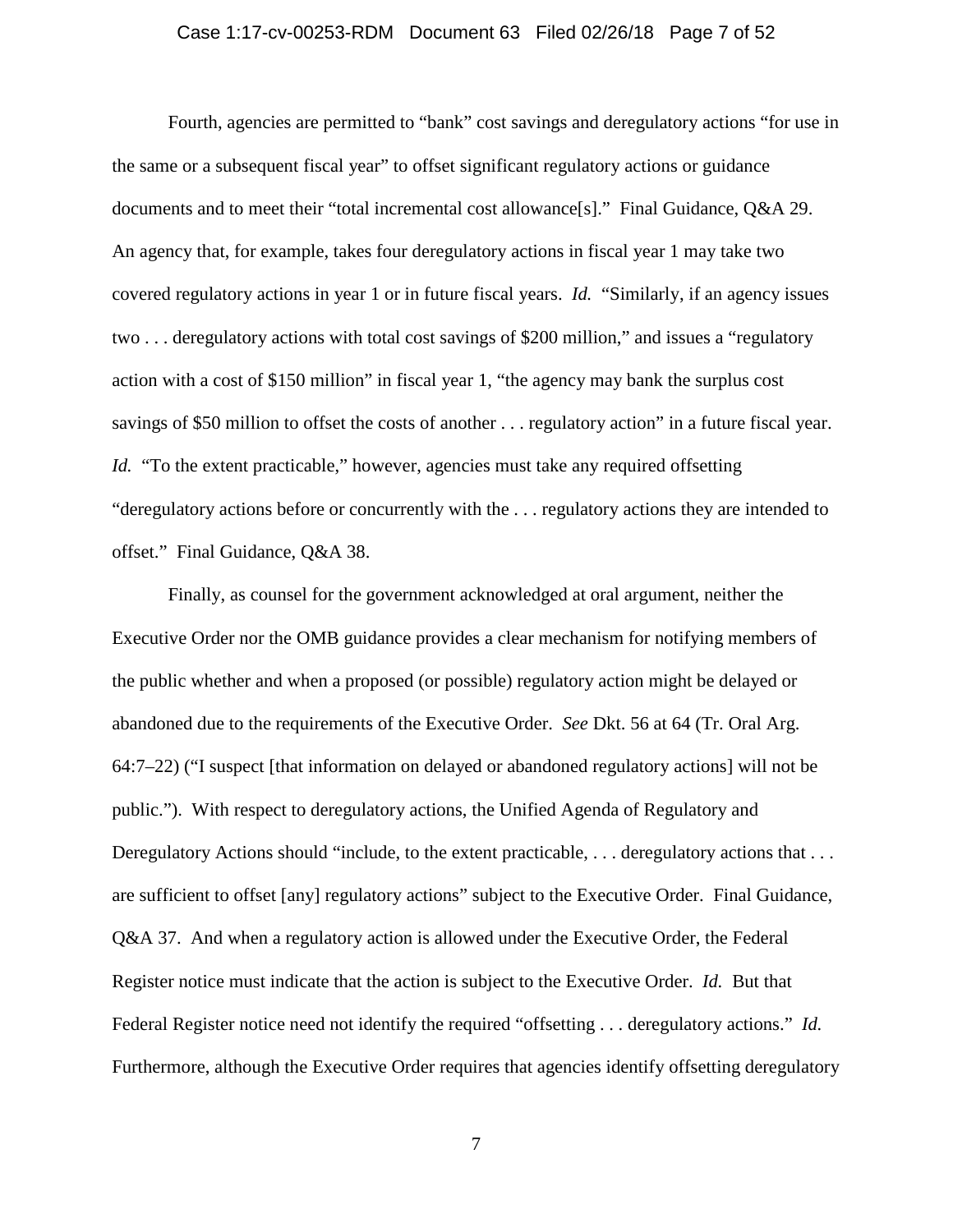### Case 1:17-cv-00253-RDM Document 63 Filed 02/26/18 Page 7 of 52

Fourth, agencies are permitted to "bank" cost savings and deregulatory actions "for use in the same or a subsequent fiscal year" to offset significant regulatory actions or guidance documents and to meet their "total incremental cost allowance[s]." Final Guidance, Q&A 29. An agency that, for example, takes four deregulatory actions in fiscal year 1 may take two covered regulatory actions in year 1 or in future fiscal years. *Id.* "Similarly, if an agency issues two . . . deregulatory actions with total cost savings of \$200 million," and issues a "regulatory action with a cost of \$150 million" in fiscal year 1, "the agency may bank the surplus cost savings of \$50 million to offset the costs of another . . . regulatory action" in a future fiscal year. *Id.* "To the extent practicable," however, agencies must take any required offsetting "deregulatory actions before or concurrently with the . . . regulatory actions they are intended to offset." Final Guidance, Q&A 38.

Finally, as counsel for the government acknowledged at oral argument, neither the Executive Order nor the OMB guidance provides a clear mechanism for notifying members of the public whether and when a proposed (or possible) regulatory action might be delayed or abandoned due to the requirements of the Executive Order. *See* Dkt. 56 at 64 (Tr. Oral Arg. 64:7–22) ("I suspect [that information on delayed or abandoned regulatory actions] will not be public."). With respect to deregulatory actions, the Unified Agenda of Regulatory and Deregulatory Actions should "include, to the extent practicable, ... deregulatory actions that ... are sufficient to offset [any] regulatory actions" subject to the Executive Order. Final Guidance, Q&A 37. And when a regulatory action is allowed under the Executive Order, the Federal Register notice must indicate that the action is subject to the Executive Order. *Id.* But that Federal Register notice need not identify the required "offsetting . . . deregulatory actions." *Id.* Furthermore, although the Executive Order requires that agencies identify offsetting deregulatory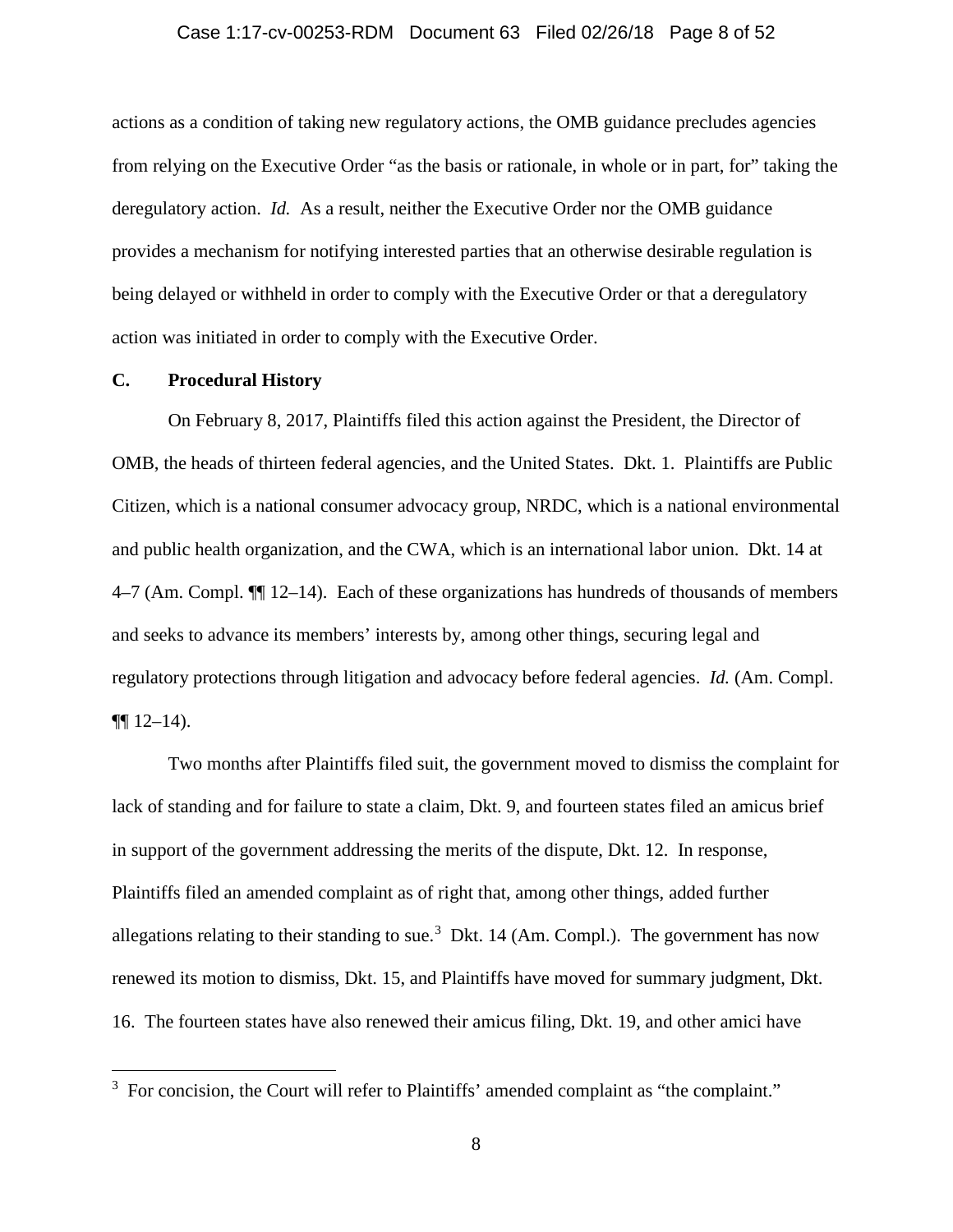### Case 1:17-cv-00253-RDM Document 63 Filed 02/26/18 Page 8 of 52

actions as a condition of taking new regulatory actions, the OMB guidance precludes agencies from relying on the Executive Order "as the basis or rationale, in whole or in part, for" taking the deregulatory action. *Id.* As a result, neither the Executive Order nor the OMB guidance provides a mechanism for notifying interested parties that an otherwise desirable regulation is being delayed or withheld in order to comply with the Executive Order or that a deregulatory action was initiated in order to comply with the Executive Order.

## **C. Procedural History**

On February 8, 2017, Plaintiffs filed this action against the President, the Director of OMB, the heads of thirteen federal agencies, and the United States. Dkt. 1. Plaintiffs are Public Citizen, which is a national consumer advocacy group, NRDC, which is a national environmental and public health organization, and the CWA, which is an international labor union. Dkt. 14 at 4–7 (Am. Compl. ¶¶ 12–14). Each of these organizations has hundreds of thousands of members and seeks to advance its members' interests by, among other things, securing legal and regulatory protections through litigation and advocacy before federal agencies. *Id.* (Am. Compl.  $\P\P 12-14$ ).

Two months after Plaintiffs filed suit, the government moved to dismiss the complaint for lack of standing and for failure to state a claim, Dkt. 9, and fourteen states filed an amicus brief in support of the government addressing the merits of the dispute, Dkt. 12. In response, Plaintiffs filed an amended complaint as of right that, among other things, added further allegations relating to their standing to sue.<sup>[3](#page-7-0)</sup> Dkt. 14 (Am. Compl.). The government has now renewed its motion to dismiss, Dkt. 15, and Plaintiffs have moved for summary judgment, Dkt. 16. The fourteen states have also renewed their amicus filing, Dkt. 19, and other amici have

<span id="page-7-0"></span> <sup>3</sup>  $3$  For concision, the Court will refer to Plaintiffs' amended complaint as "the complaint."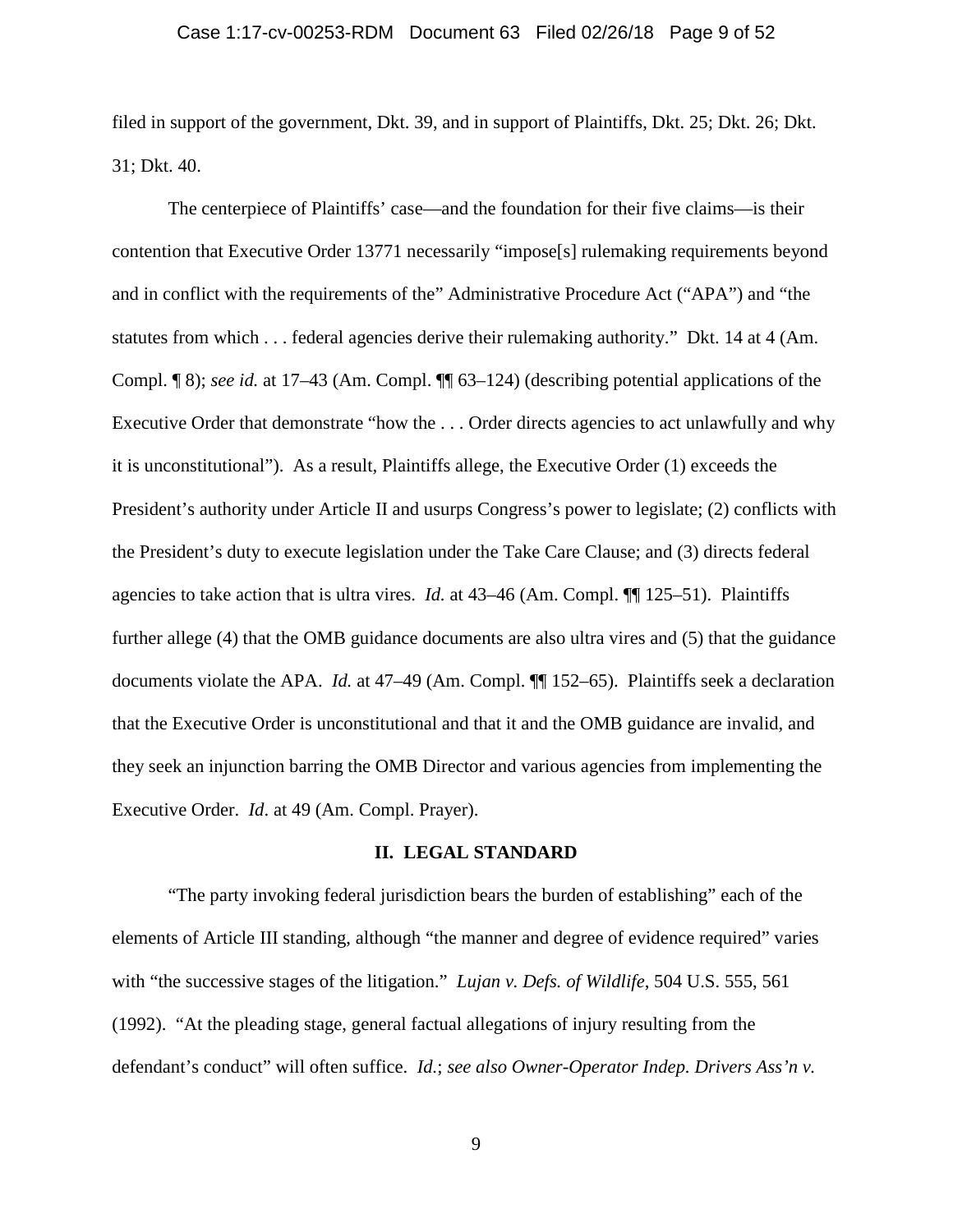### Case 1:17-cv-00253-RDM Document 63 Filed 02/26/18 Page 9 of 52

filed in support of the government, Dkt. 39, and in support of Plaintiffs, Dkt. 25; Dkt. 26; Dkt. 31; Dkt. 40.

The centerpiece of Plaintiffs' case—and the foundation for their five claims—is their contention that Executive Order 13771 necessarily "impose[s] rulemaking requirements beyond and in conflict with the requirements of the" Administrative Procedure Act ("APA") and "the statutes from which . . . federal agencies derive their rulemaking authority." Dkt. 14 at 4 (Am. Compl. ¶ 8); *see id.* at 17–43 (Am. Compl. ¶¶ 63–124) (describing potential applications of the Executive Order that demonstrate "how the . . . Order directs agencies to act unlawfully and why it is unconstitutional"). As a result, Plaintiffs allege, the Executive Order (1) exceeds the President's authority under Article II and usurps Congress's power to legislate; (2) conflicts with the President's duty to execute legislation under the Take Care Clause; and (3) directs federal agencies to take action that is ultra vires. *Id.* at 43–46 (Am. Compl. ¶¶ 125–51). Plaintiffs further allege (4) that the OMB guidance documents are also ultra vires and (5) that the guidance documents violate the APA. *Id.* at 47–49 (Am. Compl. ¶¶ 152–65). Plaintiffs seek a declaration that the Executive Order is unconstitutional and that it and the OMB guidance are invalid, and they seek an injunction barring the OMB Director and various agencies from implementing the Executive Order. *Id*. at 49 (Am. Compl. Prayer).

## **II. LEGAL STANDARD**

"The party invoking federal jurisdiction bears the burden of establishing" each of the elements of Article III standing, although "the manner and degree of evidence required" varies with "the successive stages of the litigation." *Lujan v. Defs. of Wildlife*, 504 U.S. 555, 561 (1992). "At the pleading stage, general factual allegations of injury resulting from the defendant's conduct" will often suffice. *Id.*; *see also Owner-Operator Indep. Drivers Ass'n v.*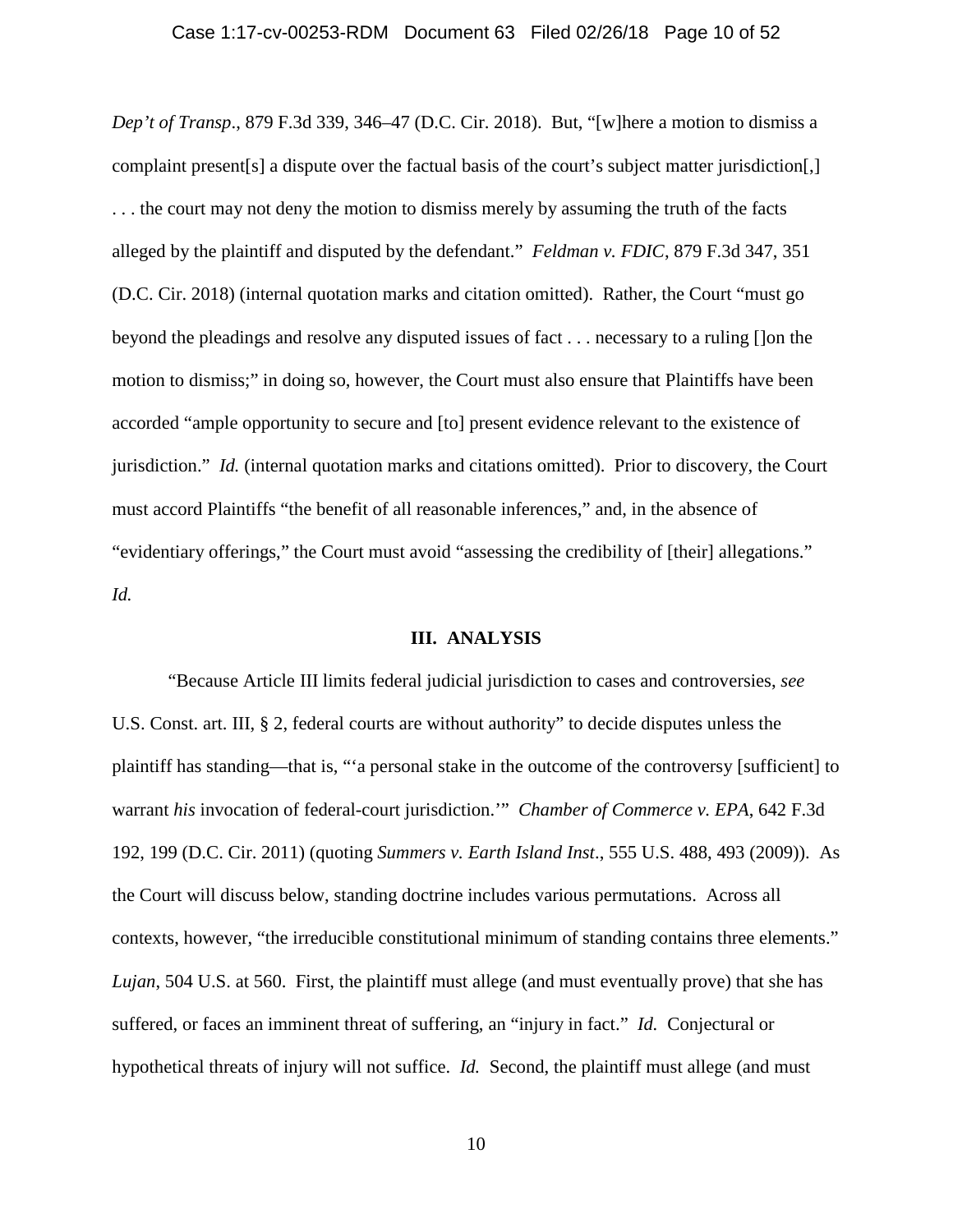# Case 1:17-cv-00253-RDM Document 63 Filed 02/26/18 Page 10 of 52

*Dep't of Transp*., 879 F.3d 339, 346–47 (D.C. Cir. 2018). But, "[w]here a motion to dismiss a complaint present[s] a dispute over the factual basis of the court's subject matter jurisdiction[,] . . . the court may not deny the motion to dismiss merely by assuming the truth of the facts alleged by the plaintiff and disputed by the defendant." *Feldman v. FDIC*, 879 F.3d 347, 351 (D.C. Cir. 2018) (internal quotation marks and citation omitted). Rather, the Court "must go beyond the pleadings and resolve any disputed issues of fact . . . necessary to a ruling []on the motion to dismiss;" in doing so, however, the Court must also ensure that Plaintiffs have been accorded "ample opportunity to secure and [to] present evidence relevant to the existence of jurisdiction." *Id.* (internal quotation marks and citations omitted). Prior to discovery, the Court must accord Plaintiffs "the benefit of all reasonable inferences," and, in the absence of "evidentiary offerings," the Court must avoid "assessing the credibility of [their] allegations." *Id.*

### **III. ANALYSIS**

"Because Article III limits federal judicial jurisdiction to cases and controversies, *see* U.S. Const. art. III, § 2, federal courts are without authority" to decide disputes unless the plaintiff has standing—that is, "'a personal stake in the outcome of the controversy [sufficient] to warrant *his* invocation of federal-court jurisdiction.'" *Chamber of Commerce v. EPA*, 642 F.3d 192, 199 (D.C. Cir. 2011) (quoting *Summers v. Earth Island Inst*., 555 U.S. 488, 493 (2009)). As the Court will discuss below, standing doctrine includes various permutations. Across all contexts, however, "the irreducible constitutional minimum of standing contains three elements." *Lujan*, 504 U.S. at 560. First, the plaintiff must allege (and must eventually prove) that she has suffered, or faces an imminent threat of suffering, an "injury in fact." *Id.* Conjectural or hypothetical threats of injury will not suffice. *Id.* Second, the plaintiff must allege (and must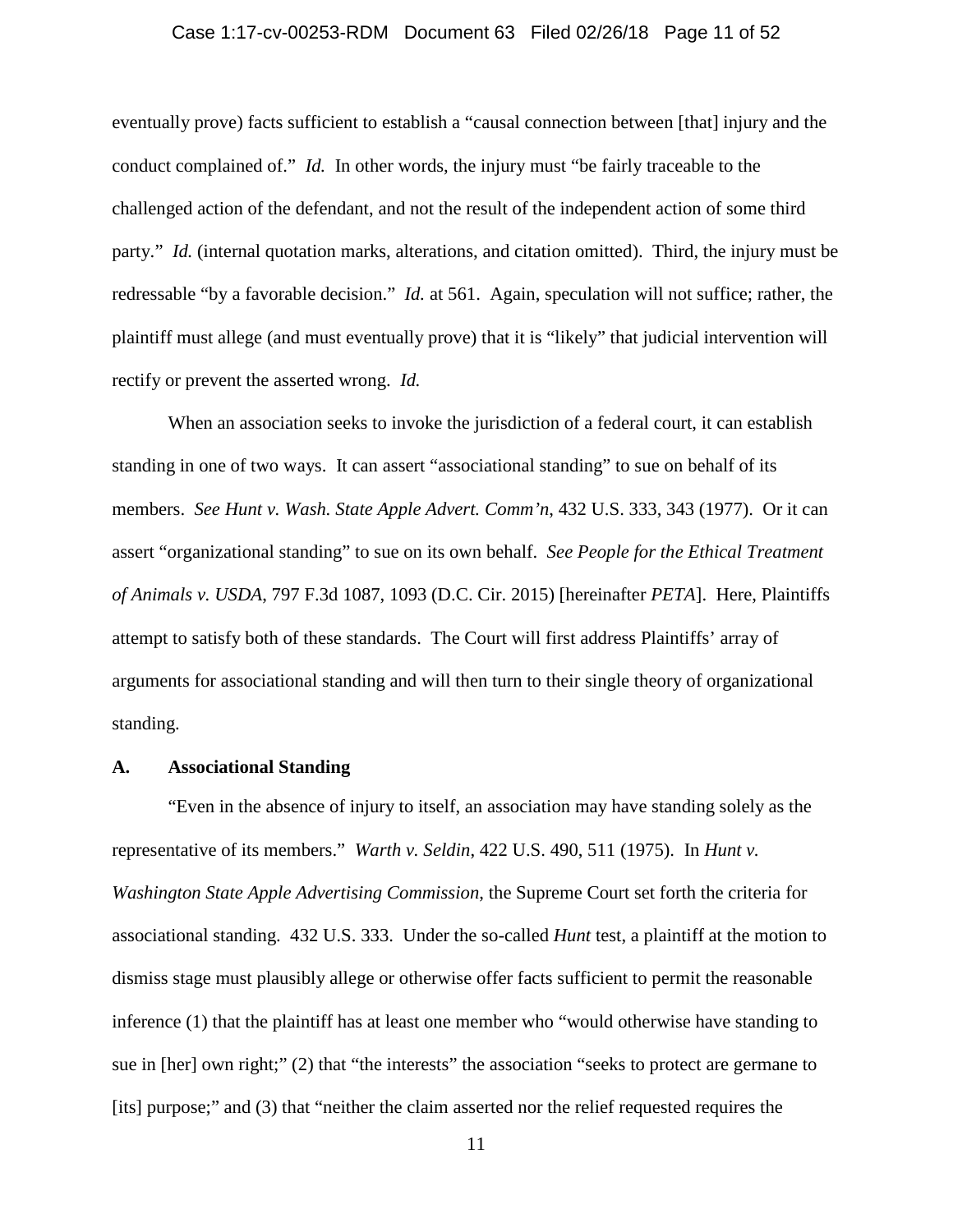### Case 1:17-cv-00253-RDM Document 63 Filed 02/26/18 Page 11 of 52

eventually prove) facts sufficient to establish a "causal connection between [that] injury and the conduct complained of." *Id.* In other words, the injury must "be fairly traceable to the challenged action of the defendant, and not the result of the independent action of some third party." *Id.* (internal quotation marks, alterations, and citation omitted). Third, the injury must be redressable "by a favorable decision." *Id.* at 561. Again, speculation will not suffice; rather, the plaintiff must allege (and must eventually prove) that it is "likely" that judicial intervention will rectify or prevent the asserted wrong. *Id.*

When an association seeks to invoke the jurisdiction of a federal court, it can establish standing in one of two ways. It can assert "associational standing" to sue on behalf of its members. *See Hunt v. Wash. State Apple Advert. Comm'n*, 432 U.S. 333, 343 (1977). Or it can assert "organizational standing" to sue on its own behalf. *See People for the Ethical Treatment of Animals v. USDA*, 797 F.3d 1087, 1093 (D.C. Cir. 2015) [hereinafter *PETA*]. Here, Plaintiffs attempt to satisfy both of these standards. The Court will first address Plaintiffs' array of arguments for associational standing and will then turn to their single theory of organizational standing.

## **A. Associational Standing**

"Even in the absence of injury to itself, an association may have standing solely as the representative of its members." *Warth v. Seldin*, 422 U.S. 490, 511 (1975). In *Hunt v. Washington State Apple Advertising Commission*, the Supreme Court set forth the criteria for associational standing. 432 U.S. 333. Under the so-called *Hunt* test, a plaintiff at the motion to dismiss stage must plausibly allege or otherwise offer facts sufficient to permit the reasonable inference (1) that the plaintiff has at least one member who "would otherwise have standing to sue in [her] own right;" (2) that "the interests" the association "seeks to protect are germane to [its] purpose;" and (3) that "neither the claim asserted nor the relief requested requires the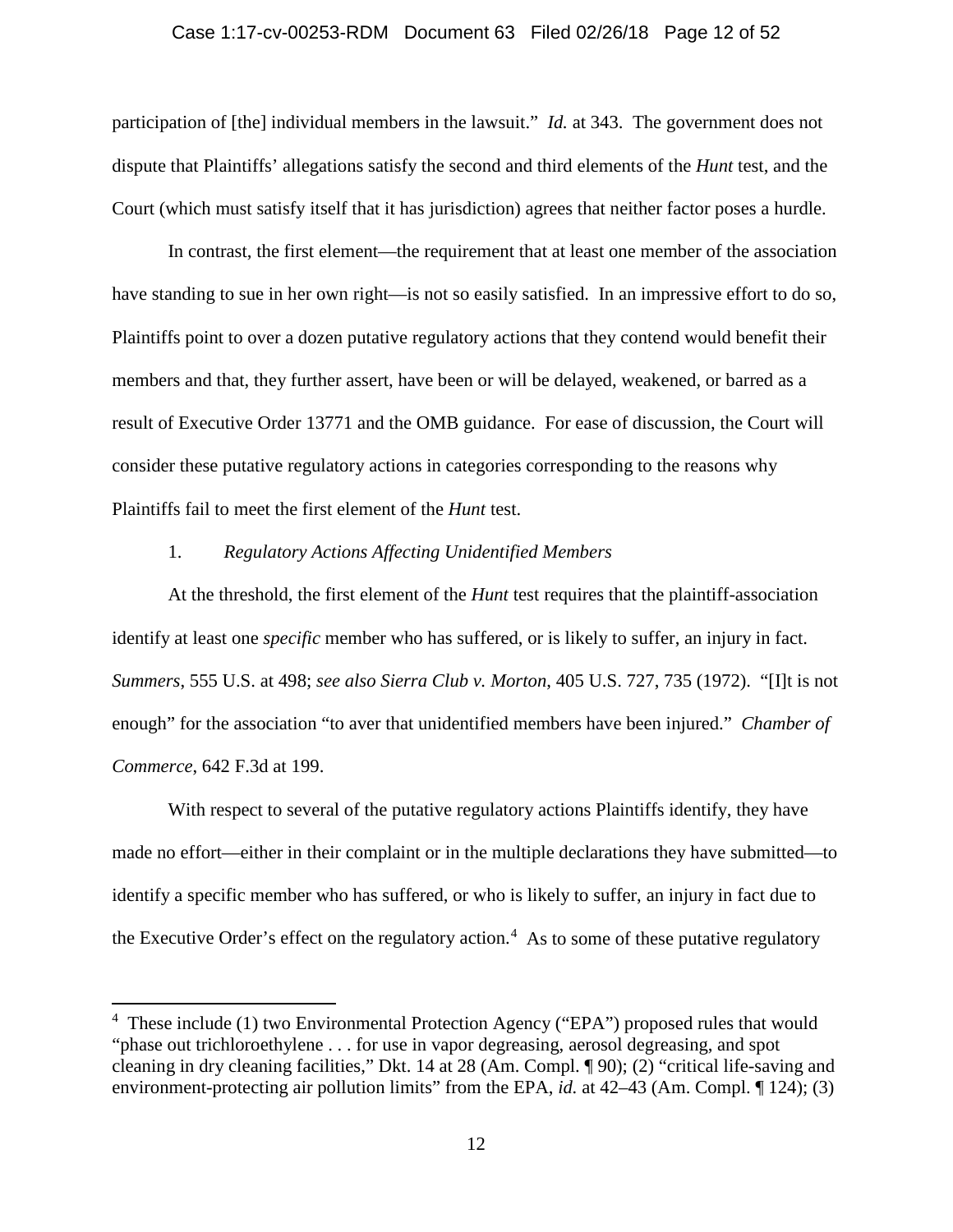#### Case 1:17-cv-00253-RDM Document 63 Filed 02/26/18 Page 12 of 52

participation of [the] individual members in the lawsuit." *Id.* at 343. The government does not dispute that Plaintiffs' allegations satisfy the second and third elements of the *Hunt* test, and the Court (which must satisfy itself that it has jurisdiction) agrees that neither factor poses a hurdle.

In contrast, the first element—the requirement that at least one member of the association have standing to sue in her own right—is not so easily satisfied. In an impressive effort to do so, Plaintiffs point to over a dozen putative regulatory actions that they contend would benefit their members and that, they further assert, have been or will be delayed, weakened, or barred as a result of Executive Order 13771 and the OMB guidance. For ease of discussion, the Court will consider these putative regulatory actions in categories corresponding to the reasons why Plaintiffs fail to meet the first element of the *Hunt* test.

## 1. *Regulatory Actions Affecting Unidentified Members*

At the threshold, the first element of the *Hunt* test requires that the plaintiff-association identify at least one *specific* member who has suffered, or is likely to suffer, an injury in fact. *Summers*, 555 U.S. at 498; *see also Sierra Club v. Morton*, 405 U.S. 727, 735 (1972). "[I]t is not enough" for the association "to aver that unidentified members have been injured." *Chamber of Commerce*, 642 F.3d at 199.

With respect to several of the putative regulatory actions Plaintiffs identify, they have made no effort—either in their complaint or in the multiple declarations they have submitted—to identify a specific member who has suffered, or who is likely to suffer, an injury in fact due to the Executive Order's effect on the regulatory action. [4](#page-11-0) As to some of these putative regulatory

<span id="page-11-0"></span> $\frac{1}{4}$ <sup>4</sup> These include (1) two Environmental Protection Agency ("EPA") proposed rules that would "phase out trichloroethylene . . . for use in vapor degreasing, aerosol degreasing, and spot cleaning in dry cleaning facilities," Dkt. 14 at 28 (Am. Compl. ¶ 90); (2) "critical life-saving and environment-protecting air pollution limits" from the EPA, *id.* at 42–43 (Am. Compl. ¶ 124); (3)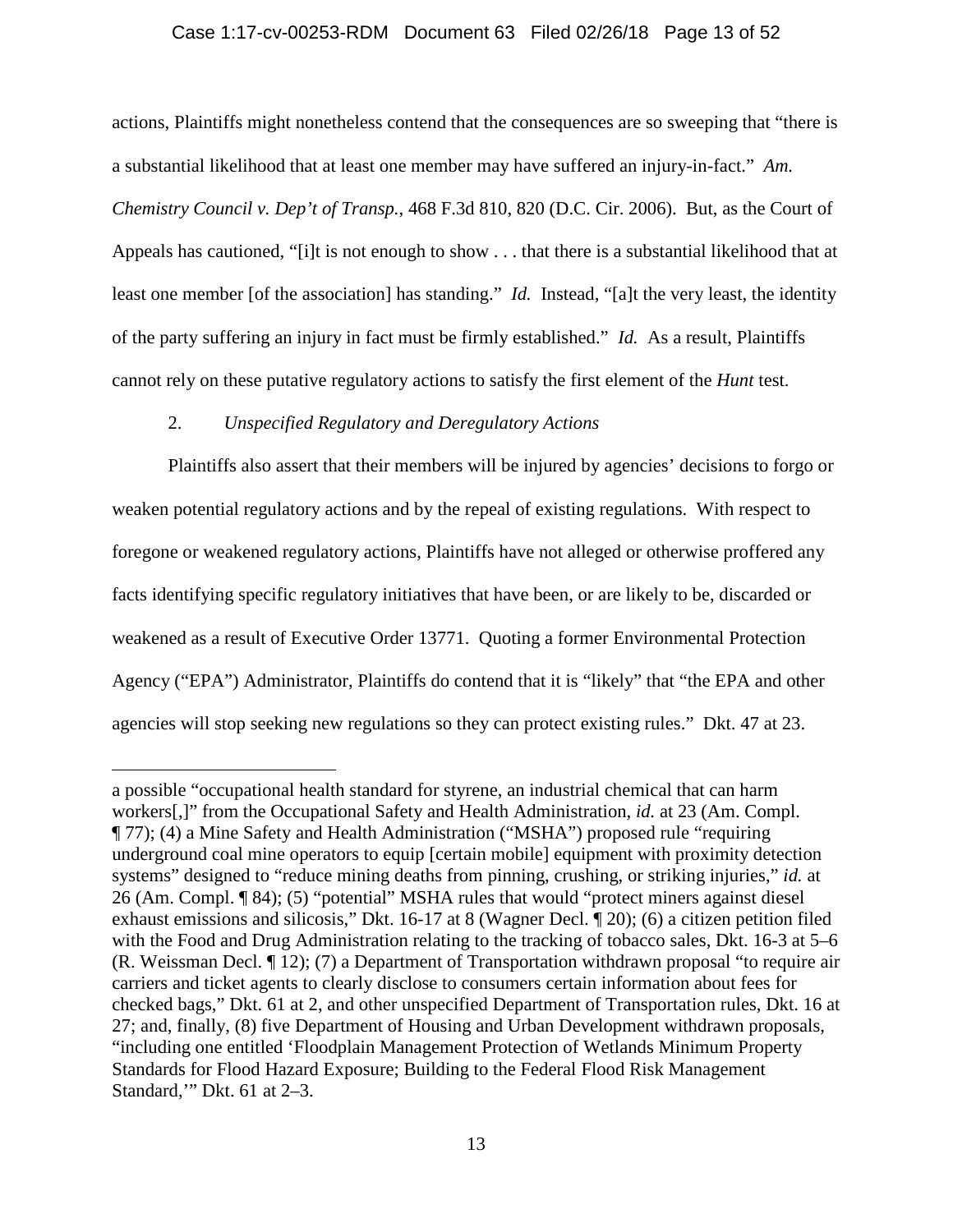## Case 1:17-cv-00253-RDM Document 63 Filed 02/26/18 Page 13 of 52

actions, Plaintiffs might nonetheless contend that the consequences are so sweeping that "there is a substantial likelihood that at least one member may have suffered an injury-in-fact." *Am. Chemistry Council v. Dep't of Transp.*, 468 F.3d 810, 820 (D.C. Cir. 2006). But, as the Court of Appeals has cautioned, "[i]t is not enough to show . . . that there is a substantial likelihood that at least one member [of the association] has standing." *Id.* Instead, "[a]t the very least, the identity of the party suffering an injury in fact must be firmly established." *Id.* As a result, Plaintiffs cannot rely on these putative regulatory actions to satisfy the first element of the *Hunt* test.

# 2. *Unspecified Regulatory and Deregulatory Actions*

 $\overline{a}$ 

Plaintiffs also assert that their members will be injured by agencies' decisions to forgo or weaken potential regulatory actions and by the repeal of existing regulations. With respect to foregone or weakened regulatory actions, Plaintiffs have not alleged or otherwise proffered any facts identifying specific regulatory initiatives that have been, or are likely to be, discarded or weakened as a result of Executive Order 13771. Quoting a former Environmental Protection Agency ("EPA") Administrator, Plaintiffs do contend that it is "likely" that "the EPA and other agencies will stop seeking new regulations so they can protect existing rules." Dkt. 47 at 23.

a possible "occupational health standard for styrene, an industrial chemical that can harm workers[,]" from the Occupational Safety and Health Administration, *id.* at 23 (Am. Compl. ¶ 77); (4) a Mine Safety and Health Administration ("MSHA") proposed rule "requiring underground coal mine operators to equip [certain mobile] equipment with proximity detection systems" designed to "reduce mining deaths from pinning, crushing, or striking injuries," *id.* at 26 (Am. Compl. ¶ 84); (5) "potential" MSHA rules that would "protect miners against diesel exhaust emissions and silicosis," Dkt. 16-17 at 8 (Wagner Decl. ¶ 20); (6) a citizen petition filed with the Food and Drug Administration relating to the tracking of tobacco sales, Dkt. 16-3 at 5–6 (R. Weissman Decl. ¶ 12); (7) a Department of Transportation withdrawn proposal "to require air carriers and ticket agents to clearly disclose to consumers certain information about fees for checked bags," Dkt. 61 at 2, and other unspecified Department of Transportation rules, Dkt. 16 at 27; and, finally, (8) five Department of Housing and Urban Development withdrawn proposals, "including one entitled 'Floodplain Management Protection of Wetlands Minimum Property Standards for Flood Hazard Exposure; Building to the Federal Flood Risk Management Standard,'" Dkt. 61 at 2–3.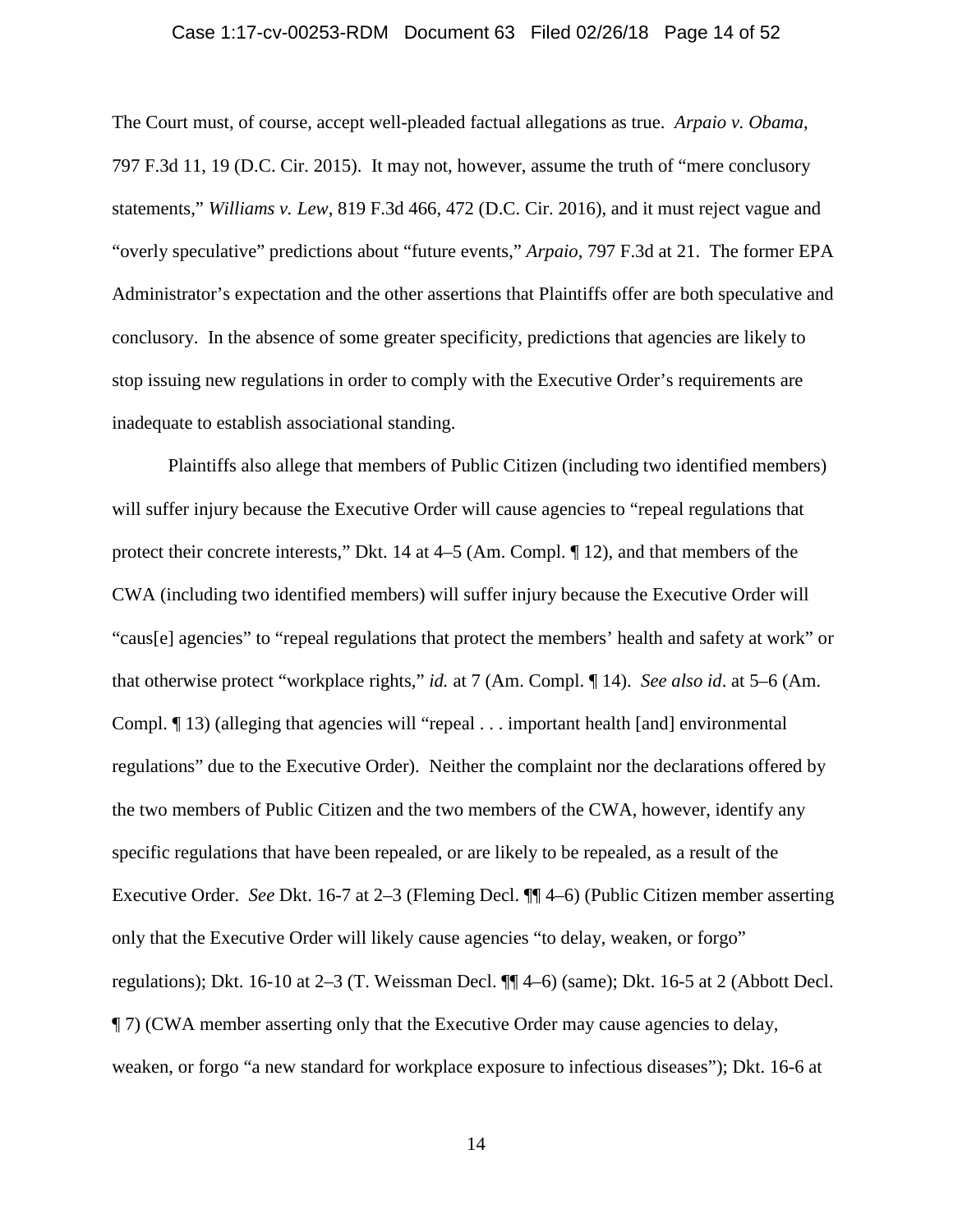### Case 1:17-cv-00253-RDM Document 63 Filed 02/26/18 Page 14 of 52

The Court must, of course, accept well-pleaded factual allegations as true. *Arpaio v. Obama*, 797 F.3d 11, 19 (D.C. Cir. 2015). It may not, however, assume the truth of "mere conclusory statements," *Williams v. Lew*, 819 F.3d 466, 472 (D.C. Cir. 2016), and it must reject vague and "overly speculative" predictions about "future events," *Arpaio*, 797 F.3d at 21. The former EPA Administrator's expectation and the other assertions that Plaintiffs offer are both speculative and conclusory. In the absence of some greater specificity, predictions that agencies are likely to stop issuing new regulations in order to comply with the Executive Order's requirements are inadequate to establish associational standing.

Plaintiffs also allege that members of Public Citizen (including two identified members) will suffer injury because the Executive Order will cause agencies to "repeal regulations that protect their concrete interests," Dkt. 14 at 4–5 (Am. Compl. ¶ 12), and that members of the CWA (including two identified members) will suffer injury because the Executive Order will "caus[e] agencies" to "repeal regulations that protect the members' health and safety at work" or that otherwise protect "workplace rights," *id.* at 7 (Am. Compl. ¶ 14). *See also id*. at 5–6 (Am. Compl. ¶ 13) (alleging that agencies will "repeal . . . important health [and] environmental regulations" due to the Executive Order). Neither the complaint nor the declarations offered by the two members of Public Citizen and the two members of the CWA, however, identify any specific regulations that have been repealed, or are likely to be repealed, as a result of the Executive Order. *See* Dkt. 16-7 at 2–3 (Fleming Decl. ¶¶ 4–6) (Public Citizen member asserting only that the Executive Order will likely cause agencies "to delay, weaken, or forgo" regulations); Dkt. 16-10 at 2–3 (T. Weissman Decl. ¶¶ 4–6) (same); Dkt. 16-5 at 2 (Abbott Decl. ¶ 7) (CWA member asserting only that the Executive Order may cause agencies to delay, weaken, or forgo "a new standard for workplace exposure to infectious diseases"); Dkt. 16-6 at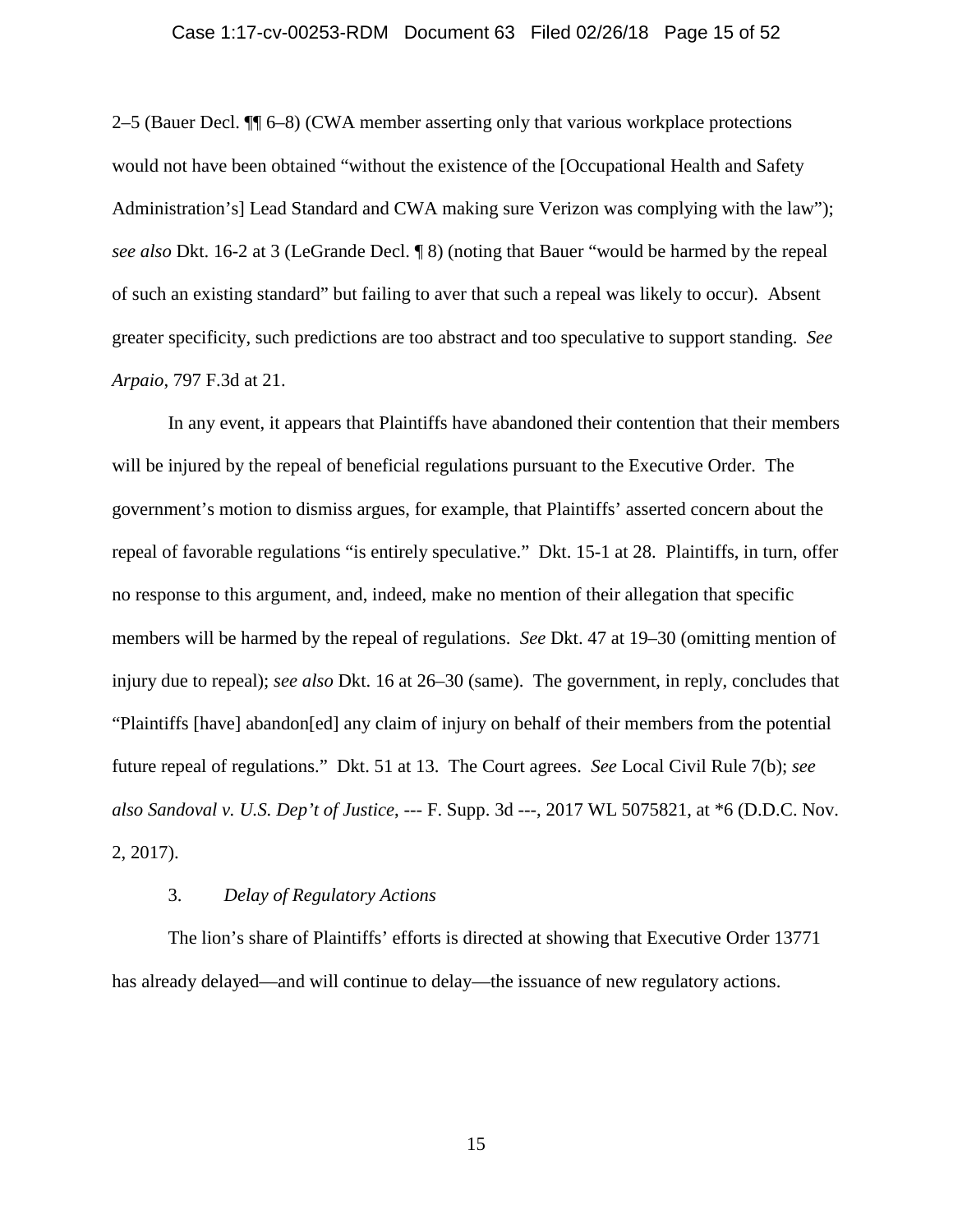### Case 1:17-cv-00253-RDM Document 63 Filed 02/26/18 Page 15 of 52

2–5 (Bauer Decl. ¶¶ 6–8) (CWA member asserting only that various workplace protections would not have been obtained "without the existence of the [Occupational Health and Safety Administration's] Lead Standard and CWA making sure Verizon was complying with the law"); *see also* Dkt. 16-2 at 3 (LeGrande Decl. ¶ 8) (noting that Bauer "would be harmed by the repeal of such an existing standard" but failing to aver that such a repeal was likely to occur). Absent greater specificity, such predictions are too abstract and too speculative to support standing. *See Arpaio*, 797 F.3d at 21.

In any event, it appears that Plaintiffs have abandoned their contention that their members will be injured by the repeal of beneficial regulations pursuant to the Executive Order. The government's motion to dismiss argues, for example, that Plaintiffs' asserted concern about the repeal of favorable regulations "is entirely speculative." Dkt. 15-1 at 28. Plaintiffs, in turn, offer no response to this argument, and, indeed, make no mention of their allegation that specific members will be harmed by the repeal of regulations. *See* Dkt. 47 at 19–30 (omitting mention of injury due to repeal); *see also* Dkt. 16 at 26–30 (same). The government, in reply, concludes that "Plaintiffs [have] abandon[ed] any claim of injury on behalf of their members from the potential future repeal of regulations." Dkt. 51 at 13. The Court agrees. *See* Local Civil Rule 7(b); *see also Sandoval v. U.S. Dep't of Justice*, --- F. Supp. 3d ---, 2017 WL 5075821, at \*6 (D.D.C. Nov. 2, 2017).

## 3. *Delay of Regulatory Actions*

The lion's share of Plaintiffs' efforts is directed at showing that Executive Order 13771 has already delayed—and will continue to delay—the issuance of new regulatory actions.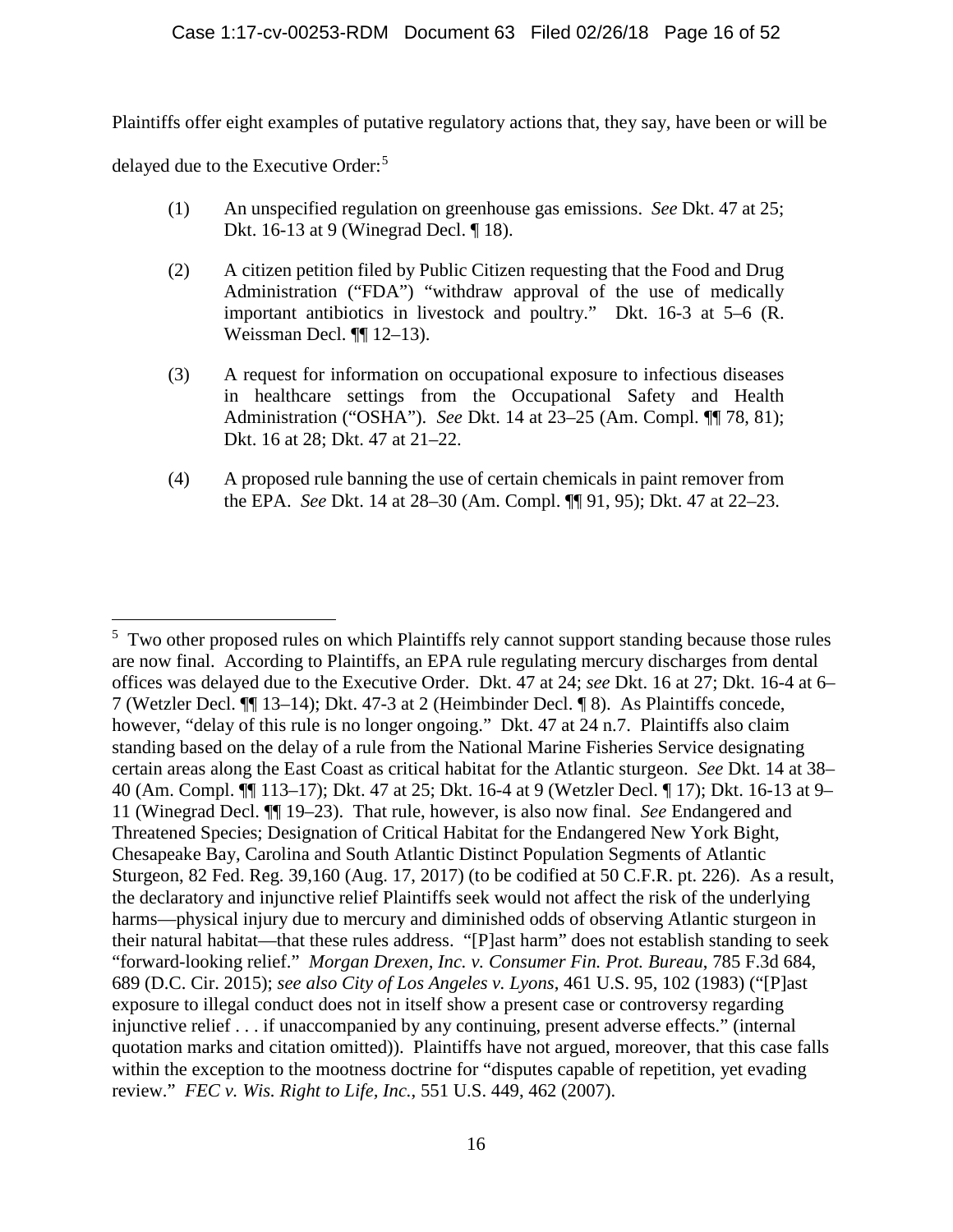Plaintiffs offer eight examples of putative regulatory actions that, they say, have been or will be

delayed due to the Executive Order: [5](#page-15-0)

- (1) An unspecified regulation on greenhouse gas emissions. *See* Dkt. 47 at 25; Dkt. 16-13 at 9 (Winegrad Decl. ¶ 18).
- (2) A citizen petition filed by Public Citizen requesting that the Food and Drug Administration ("FDA") "withdraw approval of the use of medically important antibiotics in livestock and poultry." Dkt. 16-3 at 5–6 (R. Weissman Decl. ¶¶ 12–13).
- (3) A request for information on occupational exposure to infectious diseases in healthcare settings from the Occupational Safety and Health Administration ("OSHA"). *See* Dkt. 14 at 23–25 (Am. Compl. ¶¶ 78, 81); Dkt. 16 at 28; Dkt. 47 at 21–22.
- (4) A proposed rule banning the use of certain chemicals in paint remover from the EPA. *See* Dkt. 14 at 28–30 (Am. Compl. ¶¶ 91, 95); Dkt. 47 at 22–23.

<span id="page-15-0"></span> <sup>5</sup> <sup>5</sup> Two other proposed rules on which Plaintiffs rely cannot support standing because those rules are now final. According to Plaintiffs, an EPA rule regulating mercury discharges from dental offices was delayed due to the Executive Order. Dkt. 47 at 24; *see* Dkt. 16 at 27; Dkt. 16-4 at 6– 7 (Wetzler Decl. ¶¶ 13–14); Dkt. 47-3 at 2 (Heimbinder Decl. ¶ 8). As Plaintiffs concede, however, "delay of this rule is no longer ongoing." Dkt. 47 at 24 n.7. Plaintiffs also claim standing based on the delay of a rule from the National Marine Fisheries Service designating certain areas along the East Coast as critical habitat for the Atlantic sturgeon. *See* Dkt. 14 at 38– 40 (Am. Compl. ¶¶ 113–17); Dkt. 47 at 25; Dkt. 16-4 at 9 (Wetzler Decl. ¶ 17); Dkt. 16-13 at 9– 11 (Winegrad Decl. ¶¶ 19–23). That rule, however, is also now final. *See* Endangered and Threatened Species; Designation of Critical Habitat for the Endangered New York Bight, Chesapeake Bay, Carolina and South Atlantic Distinct Population Segments of Atlantic Sturgeon, 82 Fed. Reg. 39,160 (Aug. 17, 2017) (to be codified at 50 C.F.R. pt. 226). As a result, the declaratory and injunctive relief Plaintiffs seek would not affect the risk of the underlying harms—physical injury due to mercury and diminished odds of observing Atlantic sturgeon in their natural habitat—that these rules address. "[P]ast harm" does not establish standing to seek "forward-looking relief." *Morgan Drexen, Inc. v. Consumer Fin. Prot. Bureau*, 785 F.3d 684, 689 (D.C. Cir. 2015); *see also City of Los Angeles v. Lyons*, 461 U.S. 95, 102 (1983) ("[P]ast exposure to illegal conduct does not in itself show a present case or controversy regarding injunctive relief . . . if unaccompanied by any continuing, present adverse effects." (internal quotation marks and citation omitted)). Plaintiffs have not argued, moreover, that this case falls within the exception to the mootness doctrine for "disputes capable of repetition, yet evading review." *FEC v. Wis. Right to Life, Inc.*, 551 U.S. 449, 462 (2007).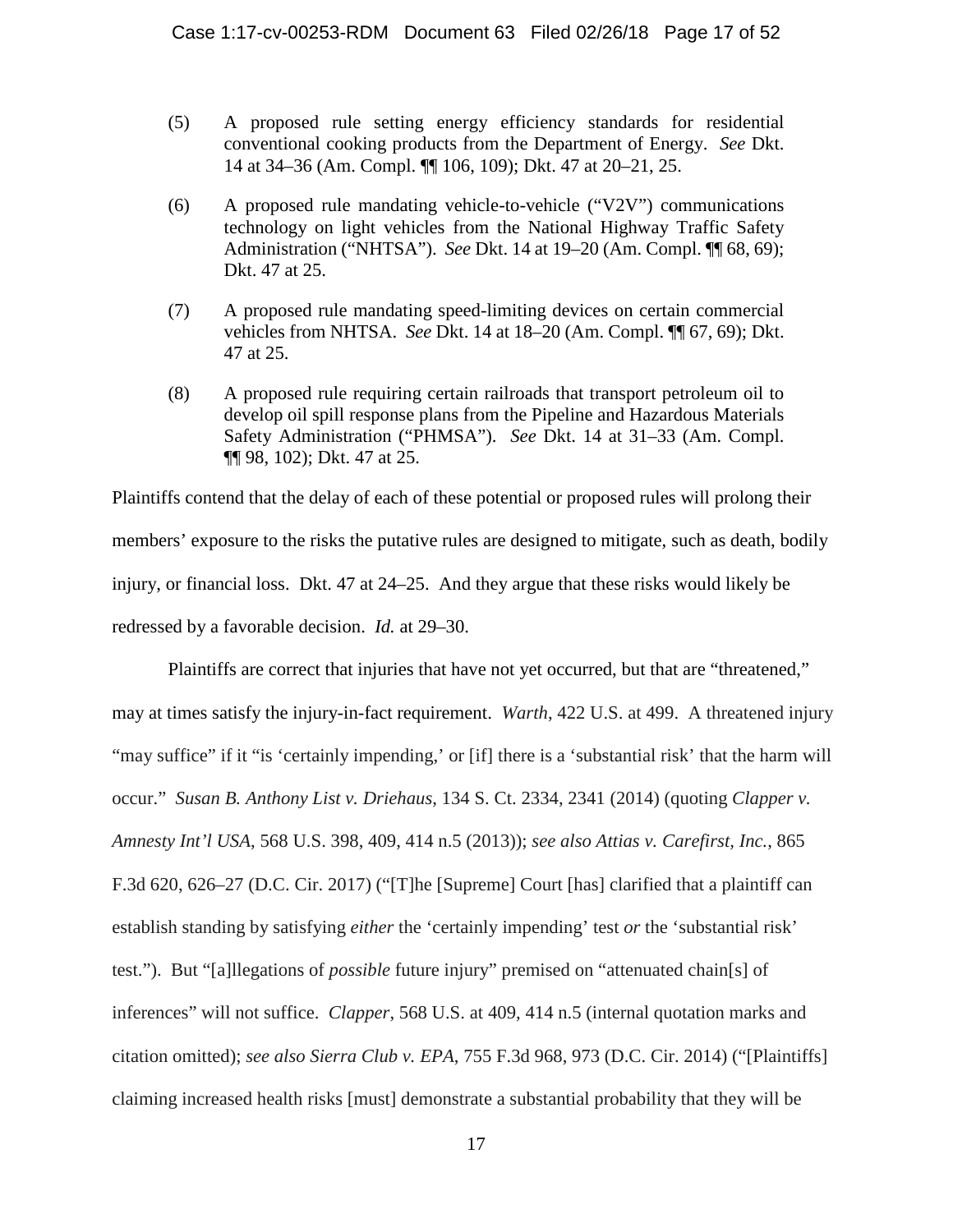- (5) A proposed rule setting energy efficiency standards for residential conventional cooking products from the Department of Energy. *See* Dkt. 14 at 34–36 (Am. Compl. ¶¶ 106, 109); Dkt. 47 at 20–21, 25.
- (6) A proposed rule mandating vehicle-to-vehicle ("V2V") communications technology on light vehicles from the National Highway Traffic Safety Administration ("NHTSA"). *See* Dkt. 14 at 19–20 (Am. Compl. ¶¶ 68, 69); Dkt. 47 at 25.
- (7) A proposed rule mandating speed-limiting devices on certain commercial vehicles from NHTSA. *See* Dkt. 14 at 18–20 (Am. Compl. ¶¶ 67, 69); Dkt. 47 at 25.
- (8) A proposed rule requiring certain railroads that transport petroleum oil to develop oil spill response plans from the Pipeline and Hazardous Materials Safety Administration ("PHMSA"). *See* Dkt. 14 at 31–33 (Am. Compl. ¶¶ 98, 102); Dkt. 47 at 25.

Plaintiffs contend that the delay of each of these potential or proposed rules will prolong their members' exposure to the risks the putative rules are designed to mitigate, such as death, bodily injury, or financial loss. Dkt. 47 at 24–25. And they argue that these risks would likely be redressed by a favorable decision. *Id.* at 29–30.

Plaintiffs are correct that injuries that have not yet occurred, but that are "threatened," may at times satisfy the injury-in-fact requirement. *Warth*, 422 U.S. at 499. A threatened injury "may suffice" if it "is 'certainly impending,' or [if] there is a 'substantial risk' that the harm will occur." *Susan B. Anthony List v. Driehaus*, 134 S. Ct. 2334, 2341 (2014) (quoting *Clapper v. Amnesty Int'l USA*, 568 U.S. 398, 409, 414 n.5 (2013)); *see also Attias v. Carefirst, Inc.*, 865 F.3d 620, 626–27 (D.C. Cir. 2017) ("[T]he [Supreme] Court [has] clarified that a plaintiff can establish standing by satisfying *either* the 'certainly impending' test *or* the 'substantial risk' test."). But "[a]llegations of *possible* future injury" premised on "attenuated chain[s] of inferences" will not suffice. *Clapper*, 568 U.S. at 409, 414 n.5 (internal quotation marks and citation omitted); *see also Sierra Club v. EPA*, 755 F.3d 968, 973 (D.C. Cir. 2014) ("[Plaintiffs] claiming increased health risks [must] demonstrate a substantial probability that they will be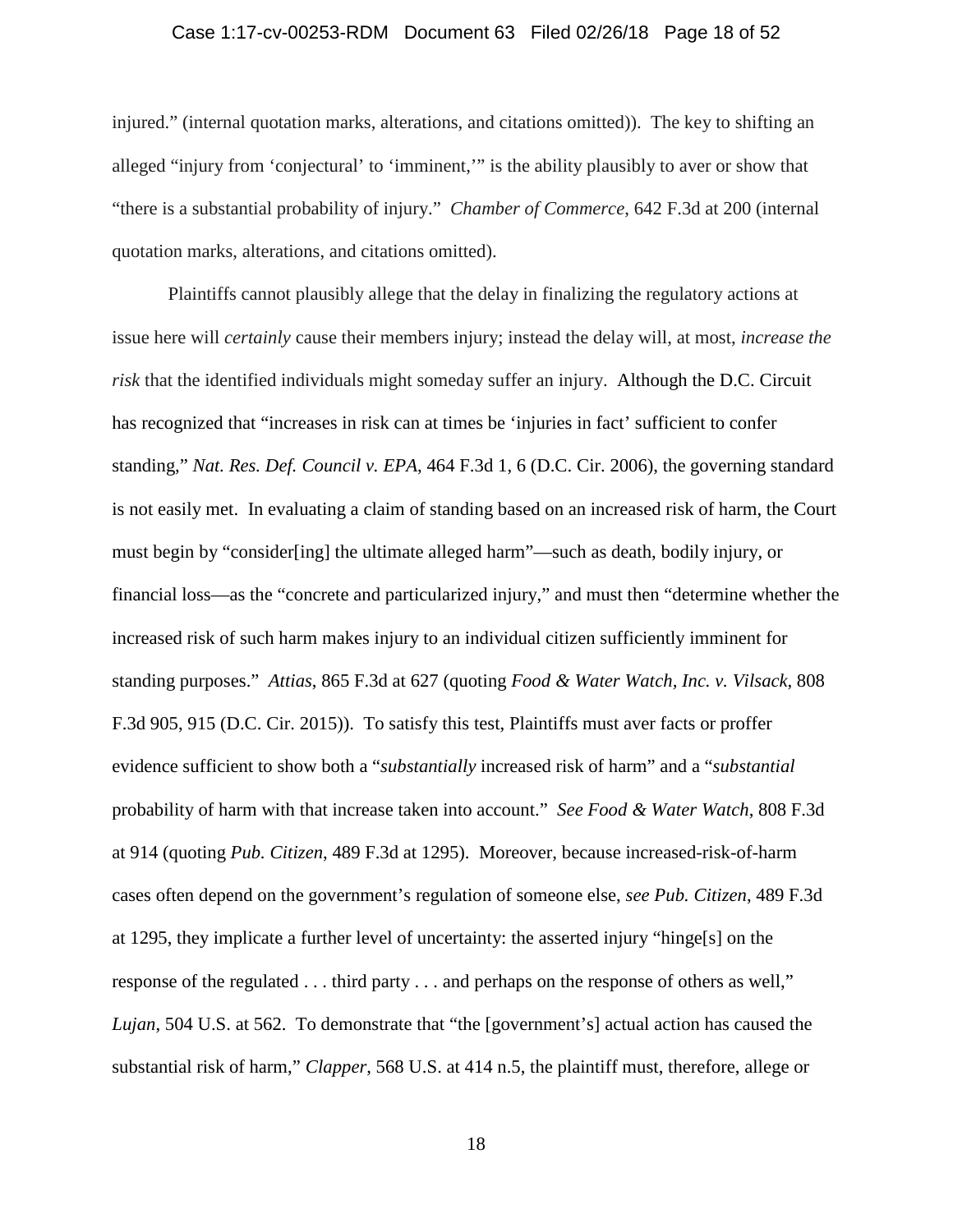### Case 1:17-cv-00253-RDM Document 63 Filed 02/26/18 Page 18 of 52

injured." (internal quotation marks, alterations, and citations omitted)). The key to shifting an alleged "injury from 'conjectural' to 'imminent,'" is the ability plausibly to aver or show that "there is a substantial probability of injury." *Chamber of Commerce*, 642 F.3d at 200 (internal quotation marks, alterations, and citations omitted).

Plaintiffs cannot plausibly allege that the delay in finalizing the regulatory actions at issue here will *certainly* cause their members injury; instead the delay will, at most, *increase the risk* that the identified individuals might someday suffer an injury. Although the D.C. Circuit has recognized that "increases in risk can at times be 'injuries in fact' sufficient to confer standing," *Nat. Res. Def. Council v. EPA*, 464 F.3d 1, 6 (D.C. Cir. 2006), the governing standard is not easily met. In evaluating a claim of standing based on an increased risk of harm, the Court must begin by "consider[ing] the ultimate alleged harm"—such as death, bodily injury, or financial loss—as the "concrete and particularized injury," and must then "determine whether the increased risk of such harm makes injury to an individual citizen sufficiently imminent for standing purposes." *Attias*, 865 F.3d at 627 (quoting *Food & Water Watch, Inc. v. Vilsack*, 808 F.3d 905, 915 (D.C. Cir. 2015)). To satisfy this test, Plaintiffs must aver facts or proffer evidence sufficient to show both a "*substantially* increased risk of harm" and a "*substantial*  probability of harm with that increase taken into account." *See Food & Water Watch*, 808 F.3d at 914 (quoting *Pub. Citizen*, 489 F.3d at 1295). Moreover, because increased-risk-of-harm cases often depend on the government's regulation of someone else, *see Pub. Citizen*, 489 F.3d at 1295, they implicate a further level of uncertainty: the asserted injury "hinge[s] on the response of the regulated . . . third party . . . and perhaps on the response of others as well," *Lujan*, 504 U.S. at 562. To demonstrate that "the [government's] actual action has caused the substantial risk of harm," *Clapper*, 568 U.S. at 414 n.5, the plaintiff must, therefore, allege or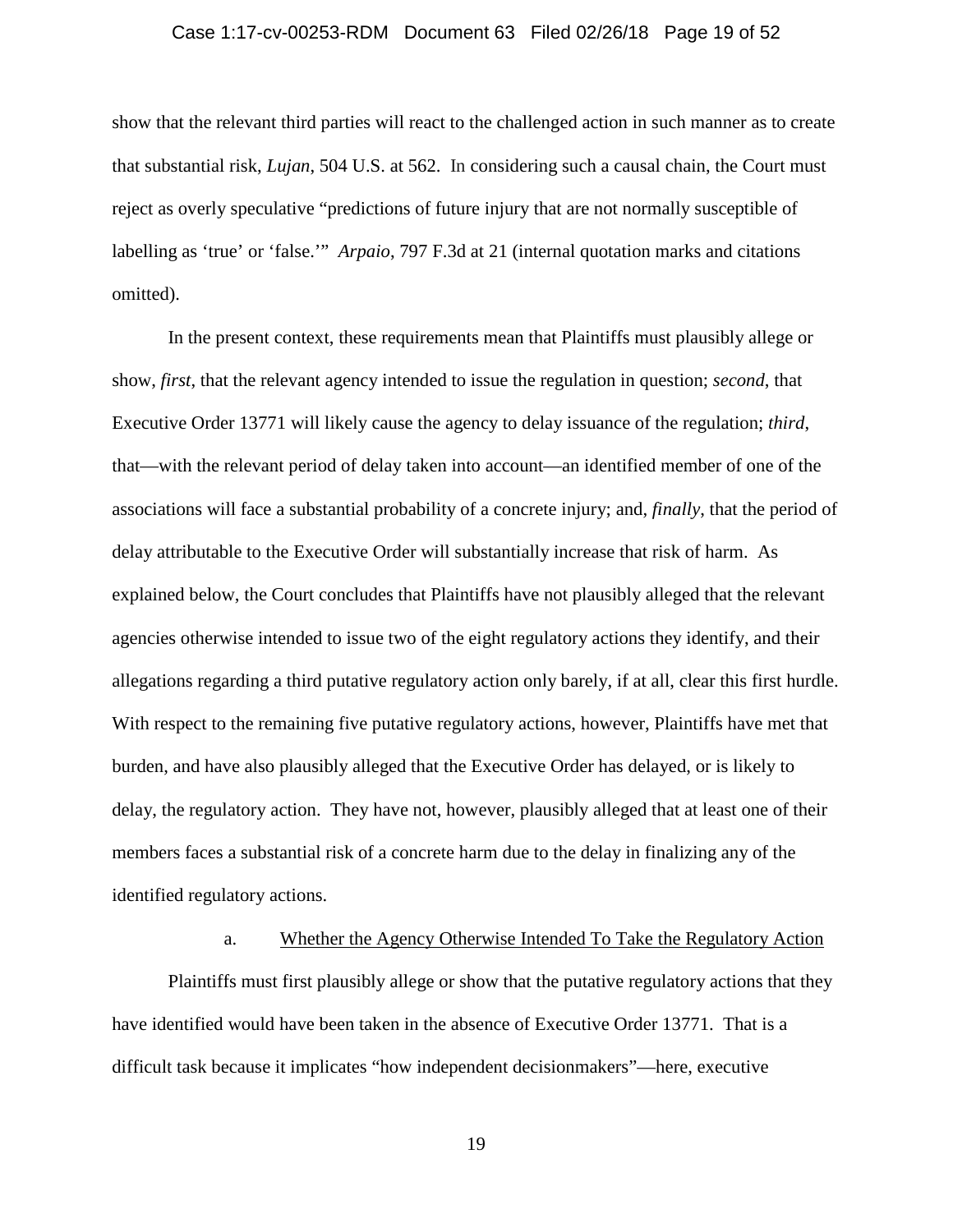# Case 1:17-cv-00253-RDM Document 63 Filed 02/26/18 Page 19 of 52

show that the relevant third parties will react to the challenged action in such manner as to create that substantial risk, *Lujan*, 504 U.S. at 562. In considering such a causal chain, the Court must reject as overly speculative "predictions of future injury that are not normally susceptible of labelling as 'true' or 'false.'" *Arpaio*, 797 F.3d at 21 (internal quotation marks and citations omitted).

In the present context, these requirements mean that Plaintiffs must plausibly allege or show, *first*, that the relevant agency intended to issue the regulation in question; *second*, that Executive Order 13771 will likely cause the agency to delay issuance of the regulation; *third*, that—with the relevant period of delay taken into account—an identified member of one of the associations will face a substantial probability of a concrete injury; and, *finally*, that the period of delay attributable to the Executive Order will substantially increase that risk of harm. As explained below, the Court concludes that Plaintiffs have not plausibly alleged that the relevant agencies otherwise intended to issue two of the eight regulatory actions they identify, and their allegations regarding a third putative regulatory action only barely, if at all, clear this first hurdle. With respect to the remaining five putative regulatory actions, however, Plaintiffs have met that burden, and have also plausibly alleged that the Executive Order has delayed, or is likely to delay, the regulatory action. They have not, however, plausibly alleged that at least one of their members faces a substantial risk of a concrete harm due to the delay in finalizing any of the identified regulatory actions.

### a. Whether the Agency Otherwise Intended To Take the Regulatory Action

Plaintiffs must first plausibly allege or show that the putative regulatory actions that they have identified would have been taken in the absence of Executive Order 13771. That is a difficult task because it implicates "how independent decisionmakers"—here, executive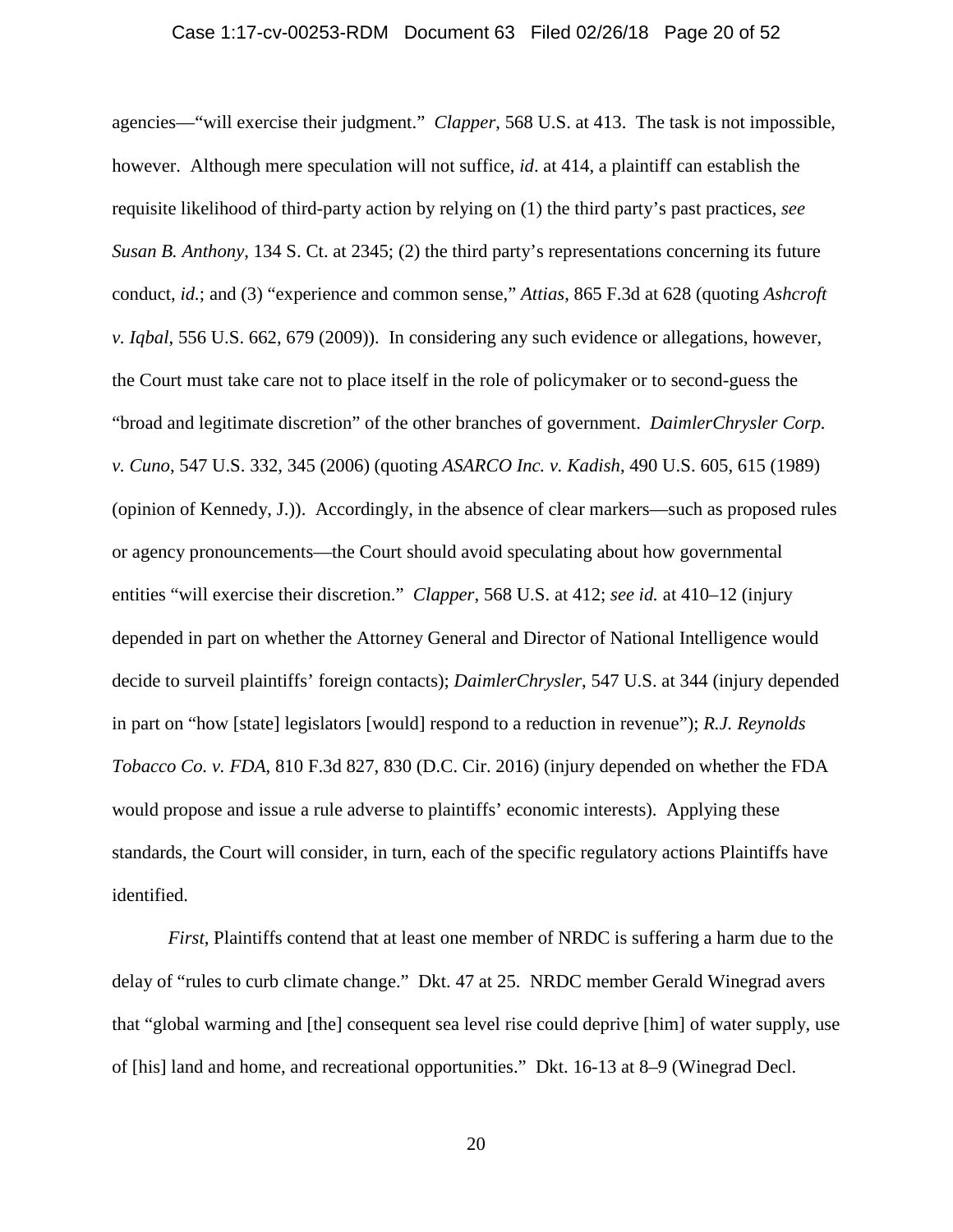#### Case 1:17-cv-00253-RDM Document 63 Filed 02/26/18 Page 20 of 52

agencies—"will exercise their judgment." *Clapper*, 568 U.S. at 413. The task is not impossible, however. Although mere speculation will not suffice, *id*. at 414, a plaintiff can establish the requisite likelihood of third-party action by relying on (1) the third party's past practices, *see Susan B. Anthony*, 134 S. Ct. at 2345; (2) the third party's representations concerning its future conduct, *id.*; and (3) "experience and common sense," *Attias*, 865 F.3d at 628 (quoting *Ashcroft v. Iqbal*, 556 U.S. 662, 679 (2009)). In considering any such evidence or allegations, however, the Court must take care not to place itself in the role of policymaker or to second-guess the "broad and legitimate discretion" of the other branches of government. *DaimlerChrysler Corp. v. Cuno*, 547 U.S. 332, 345 (2006) (quoting *ASARCO Inc. v. Kadish*, 490 U.S. 605, 615 (1989) (opinion of Kennedy, J.)). Accordingly, in the absence of clear markers—such as proposed rules or agency pronouncements—the Court should avoid speculating about how governmental entities "will exercise their discretion." *Clapper*, 568 U.S. at 412; *see id.* at 410–12 (injury depended in part on whether the Attorney General and Director of National Intelligence would decide to surveil plaintiffs' foreign contacts); *DaimlerChrysler*, 547 U.S. at 344 (injury depended in part on "how [state] legislators [would] respond to a reduction in revenue"); *R.J. Reynolds Tobacco Co. v. FDA*, 810 F.3d 827, 830 (D.C. Cir. 2016) (injury depended on whether the FDA would propose and issue a rule adverse to plaintiffs' economic interests). Applying these standards, the Court will consider, in turn, each of the specific regulatory actions Plaintiffs have identified.

*First*, Plaintiffs contend that at least one member of NRDC is suffering a harm due to the delay of "rules to curb climate change." Dkt. 47 at 25. NRDC member Gerald Winegrad avers that "global warming and [the] consequent sea level rise could deprive [him] of water supply, use of [his] land and home, and recreational opportunities." Dkt. 16-13 at 8–9 (Winegrad Decl.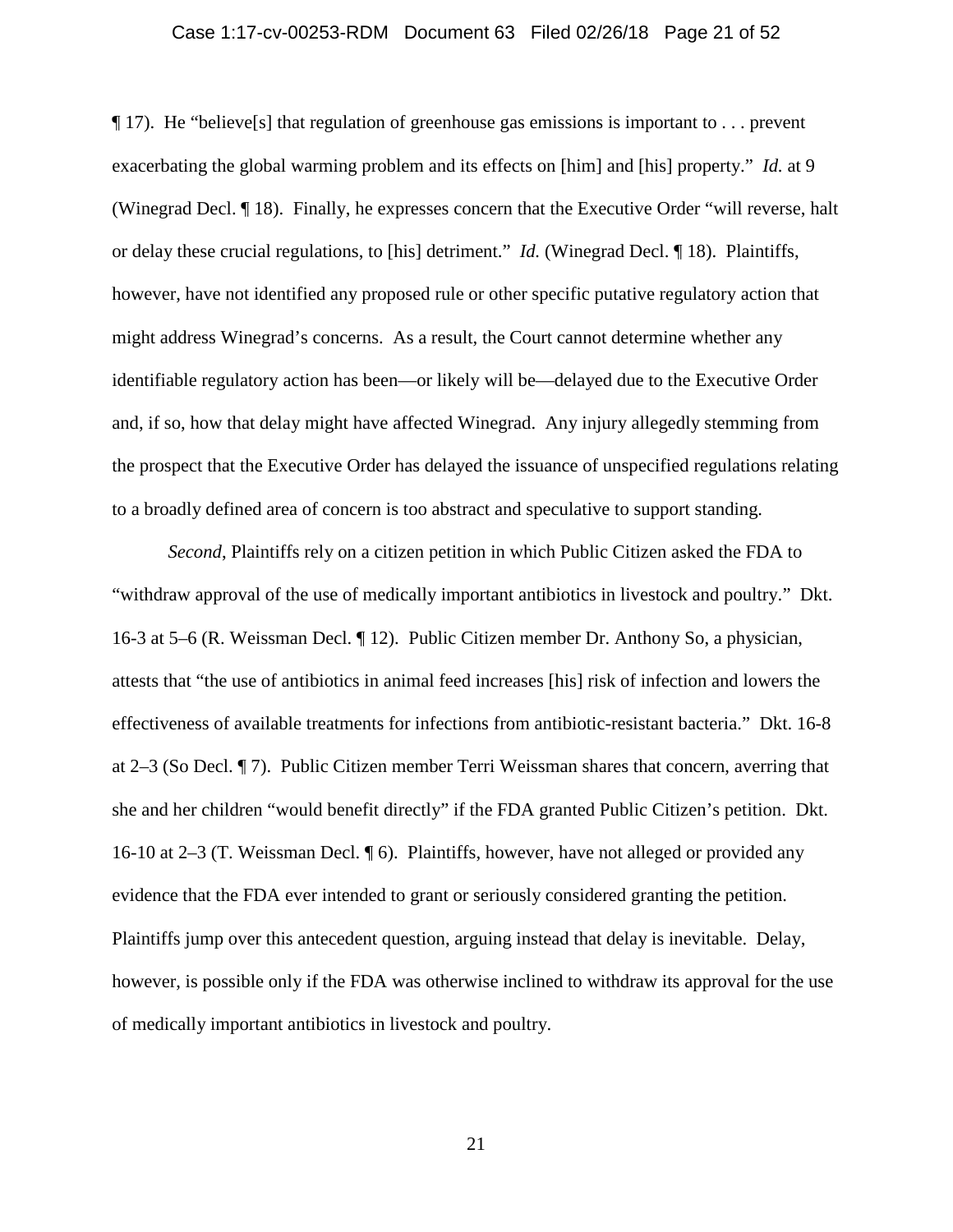#### Case 1:17-cv-00253-RDM Document 63 Filed 02/26/18 Page 21 of 52

 $\P$  17). He "believe<sup>[s]</sup> that regulation of greenhouse gas emissions is important to ... prevent exacerbating the global warming problem and its effects on [him] and [his] property." *Id.* at 9 (Winegrad Decl. ¶ 18). Finally, he expresses concern that the Executive Order "will reverse, halt or delay these crucial regulations, to [his] detriment." *Id.* (Winegrad Decl. ¶ 18). Plaintiffs, however, have not identified any proposed rule or other specific putative regulatory action that might address Winegrad's concerns. As a result, the Court cannot determine whether any identifiable regulatory action has been—or likely will be—delayed due to the Executive Order and, if so, how that delay might have affected Winegrad. Any injury allegedly stemming from the prospect that the Executive Order has delayed the issuance of unspecified regulations relating to a broadly defined area of concern is too abstract and speculative to support standing.

*Second*, Plaintiffs rely on a citizen petition in which Public Citizen asked the FDA to "withdraw approval of the use of medically important antibiotics in livestock and poultry." Dkt. 16-3 at 5–6 (R. Weissman Decl. ¶ 12). Public Citizen member Dr. Anthony So, a physician, attests that "the use of antibiotics in animal feed increases [his] risk of infection and lowers the effectiveness of available treatments for infections from antibiotic-resistant bacteria." Dkt. 16-8 at 2–3 (So Decl. ¶ 7). Public Citizen member Terri Weissman shares that concern, averring that she and her children "would benefit directly" if the FDA granted Public Citizen's petition. Dkt. 16-10 at 2–3 (T. Weissman Decl. ¶ 6). Plaintiffs, however, have not alleged or provided any evidence that the FDA ever intended to grant or seriously considered granting the petition. Plaintiffs jump over this antecedent question, arguing instead that delay is inevitable. Delay, however, is possible only if the FDA was otherwise inclined to withdraw its approval for the use of medically important antibiotics in livestock and poultry.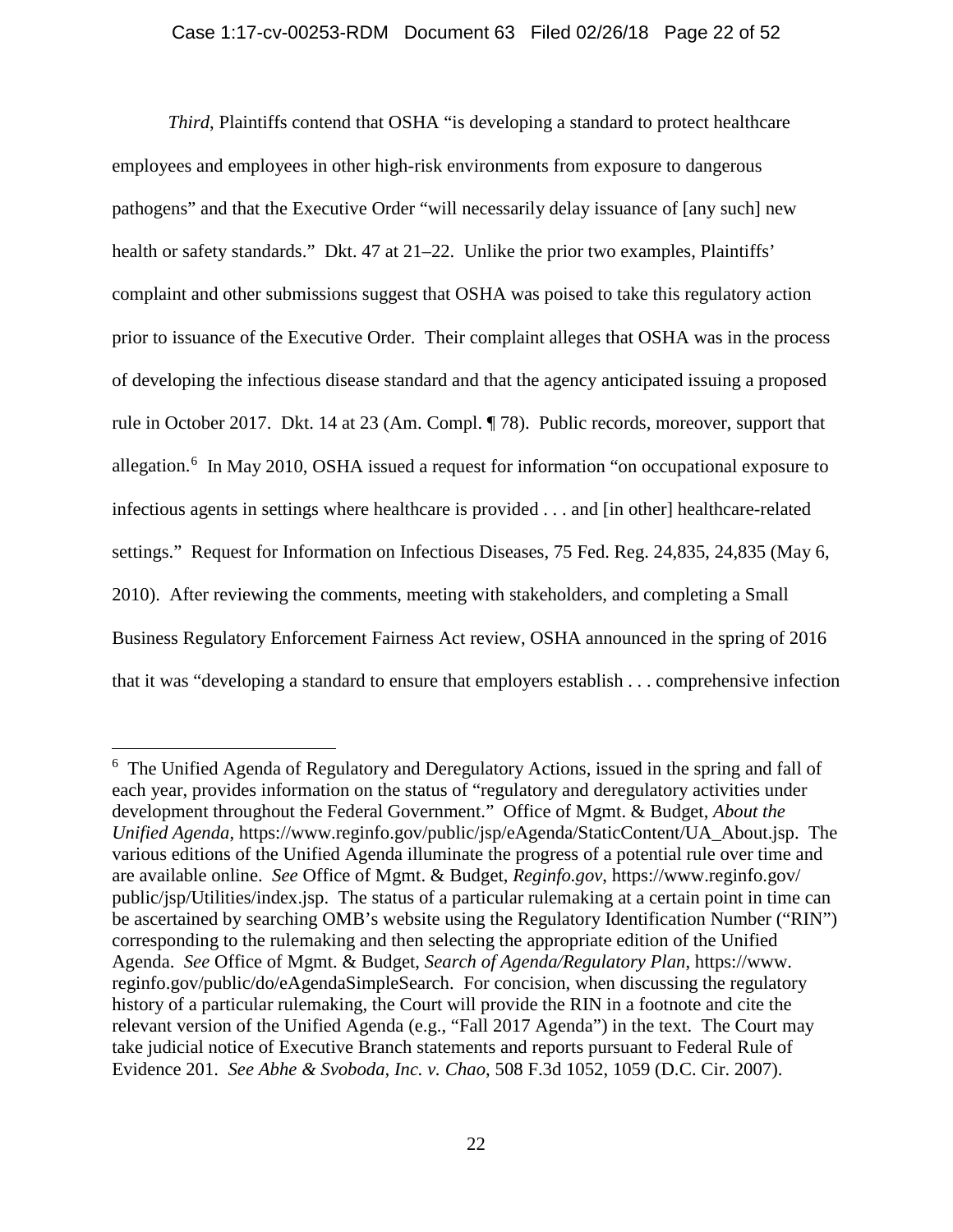### Case 1:17-cv-00253-RDM Document 63 Filed 02/26/18 Page 22 of 52

*Third*, Plaintiffs contend that OSHA "is developing a standard to protect healthcare employees and employees in other high-risk environments from exposure to dangerous pathogens" and that the Executive Order "will necessarily delay issuance of [any such] new health or safety standards." Dkt. 47 at 21–22. Unlike the prior two examples, Plaintiffs' complaint and other submissions suggest that OSHA was poised to take this regulatory action prior to issuance of the Executive Order. Their complaint alleges that OSHA was in the process of developing the infectious disease standard and that the agency anticipated issuing a proposed rule in October 2017. Dkt. 14 at 23 (Am. Compl. ¶ 78). Public records, moreover, support that allegation.<sup>[6](#page-21-0)</sup> In May 2010, OSHA issued a request for information "on occupational exposure to infectious agents in settings where healthcare is provided . . . and [in other] healthcare-related settings." Request for Information on Infectious Diseases, 75 Fed. Reg. 24,835, 24,835 (May 6, 2010). After reviewing the comments, meeting with stakeholders, and completing a Small Business Regulatory Enforcement Fairness Act review, OSHA announced in the spring of 2016 that it was "developing a standard to ensure that employers establish . . . comprehensive infection

<span id="page-21-0"></span> <sup>6</sup> <sup>6</sup> The Unified Agenda of Regulatory and Deregulatory Actions, issued in the spring and fall of each year, provides information on the status of "regulatory and deregulatory activities under development throughout the Federal Government." Office of Mgmt. & Budget, *About the Unified Agenda*, https://www.reginfo.gov/public/jsp/eAgenda/StaticContent/UA\_About.jsp. The various editions of the Unified Agenda illuminate the progress of a potential rule over time and are available online. *See* Office of Mgmt. & Budget, *Reginfo.gov*, https://www.reginfo.gov/ public/jsp/Utilities/index.jsp. The status of a particular rulemaking at a certain point in time can be ascertained by searching OMB's website using the Regulatory Identification Number ("RIN") corresponding to the rulemaking and then selecting the appropriate edition of the Unified Agenda. *See* Office of Mgmt. & Budget, *Search of Agenda/Regulatory Plan*, https://www. reginfo.gov/public/do/eAgendaSimpleSearch. For concision, when discussing the regulatory history of a particular rulemaking, the Court will provide the RIN in a footnote and cite the relevant version of the Unified Agenda (e.g., "Fall 2017 Agenda") in the text. The Court may take judicial notice of Executive Branch statements and reports pursuant to Federal Rule of Evidence 201. *See Abhe & Svoboda, Inc. v. Chao*, 508 F.3d 1052, 1059 (D.C. Cir. 2007).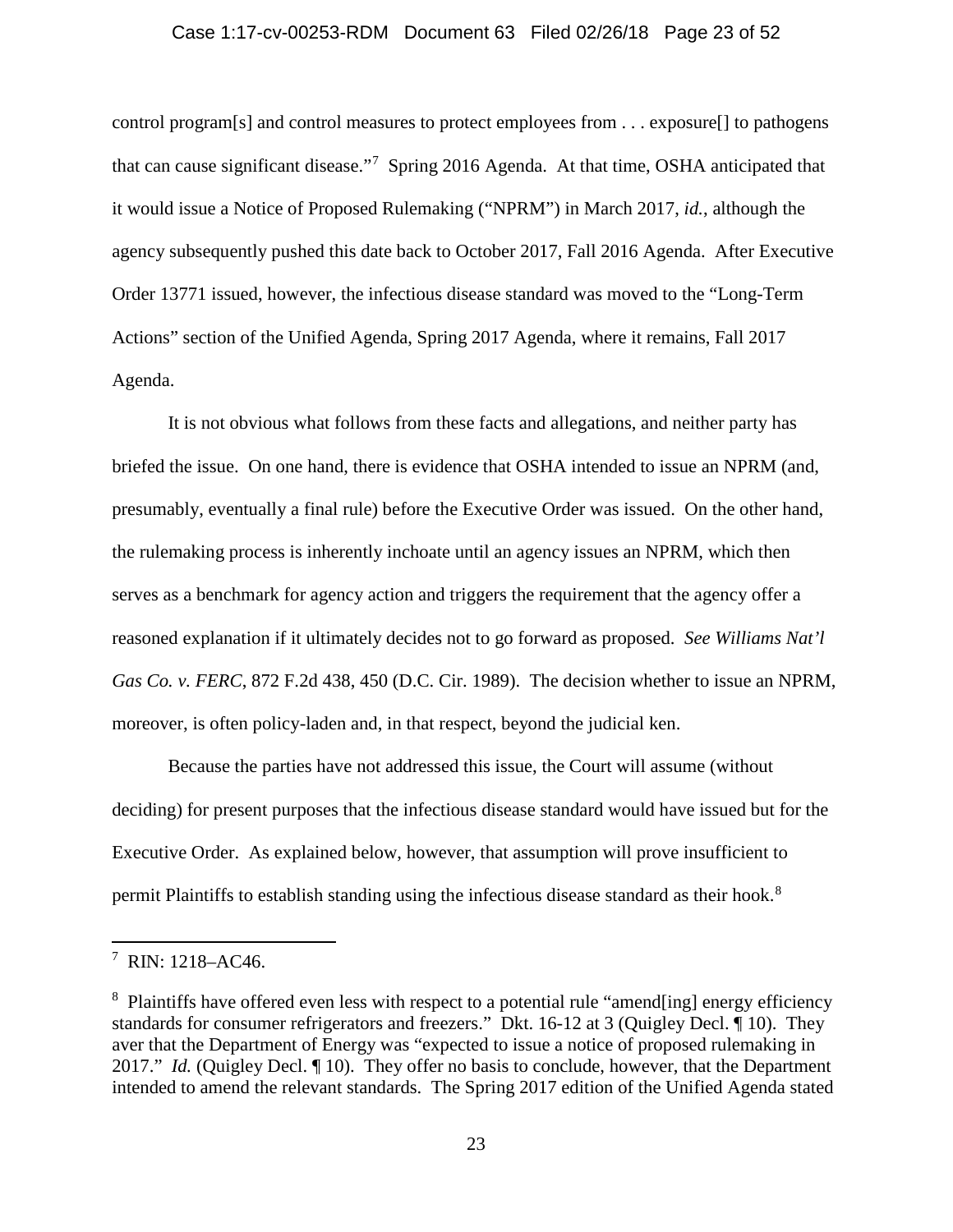#### Case 1:17-cv-00253-RDM Document 63 Filed 02/26/18 Page 23 of 52

control program[s] and control measures to protect employees from . . . exposure[] to pathogens that can cause significant disease."<sup>[7](#page-22-0)</sup> Spring 2016 Agenda. At that time, OSHA anticipated that it would issue a Notice of Proposed Rulemaking ("NPRM") in March 2017, *id.*, although the agency subsequently pushed this date back to October 2017, Fall 2016 Agenda. After Executive Order 13771 issued, however, the infectious disease standard was moved to the "Long-Term Actions" section of the Unified Agenda, Spring 2017 Agenda, where it remains, Fall 2017 Agenda.

It is not obvious what follows from these facts and allegations, and neither party has briefed the issue. On one hand, there is evidence that OSHA intended to issue an NPRM (and, presumably, eventually a final rule) before the Executive Order was issued. On the other hand, the rulemaking process is inherently inchoate until an agency issues an NPRM, which then serves as a benchmark for agency action and triggers the requirement that the agency offer a reasoned explanation if it ultimately decides not to go forward as proposed. *See Williams Nat'l Gas Co. v. FERC*, 872 F.2d 438, 450 (D.C. Cir. 1989). The decision whether to issue an NPRM, moreover, is often policy-laden and, in that respect, beyond the judicial ken.

Because the parties have not addressed this issue, the Court will assume (without deciding) for present purposes that the infectious disease standard would have issued but for the Executive Order. As explained below, however, that assumption will prove insufficient to permit Plaintiffs to establish standing using the infectious disease standard as their hook.<sup>[8](#page-22-1)</sup>

<span id="page-22-0"></span> <sup>7</sup>  $7$  RIN: 1218–AC46.

<span id="page-22-1"></span><sup>&</sup>lt;sup>8</sup> Plaintiffs have offered even less with respect to a potential rule "amend[ing] energy efficiency standards for consumer refrigerators and freezers." Dkt. 16-12 at 3 (Quigley Decl. ¶ 10). They aver that the Department of Energy was "expected to issue a notice of proposed rulemaking in 2017." *Id.* (Quigley Decl. ¶ 10). They offer no basis to conclude, however, that the Department intended to amend the relevant standards. The Spring 2017 edition of the Unified Agenda stated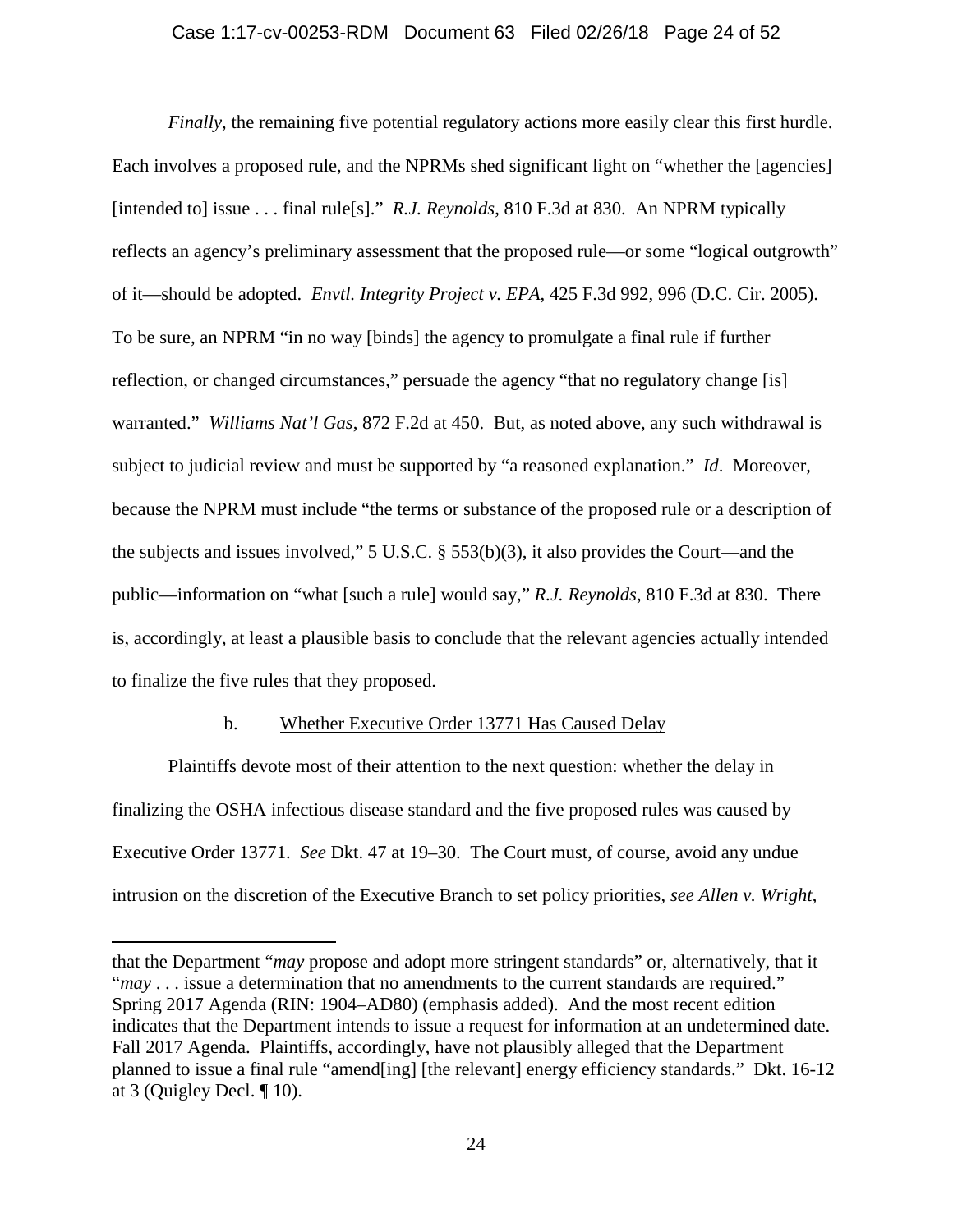### Case 1:17-cv-00253-RDM Document 63 Filed 02/26/18 Page 24 of 52

*Finally*, the remaining five potential regulatory actions more easily clear this first hurdle. Each involves a proposed rule, and the NPRMs shed significant light on "whether the [agencies] [intended to] issue . . . final rule[s]." *R.J. Reynolds*, 810 F.3d at 830. An NPRM typically reflects an agency's preliminary assessment that the proposed rule—or some "logical outgrowth" of it—should be adopted. *Envtl. Integrity Project v. EPA*, 425 F.3d 992, 996 (D.C. Cir. 2005). To be sure, an NPRM "in no way [binds] the agency to promulgate a final rule if further reflection, or changed circumstances," persuade the agency "that no regulatory change [is] warranted." *Williams Nat'l Gas*, 872 F.2d at 450. But, as noted above, any such withdrawal is subject to judicial review and must be supported by "a reasoned explanation." *Id*. Moreover, because the NPRM must include "the terms or substance of the proposed rule or a description of the subjects and issues involved," 5 U.S.C. § 553(b)(3), it also provides the Court—and the public—information on "what [such a rule] would say," *R.J. Reynolds*, 810 F.3d at 830. There is, accordingly, at least a plausible basis to conclude that the relevant agencies actually intended to finalize the five rules that they proposed.

### b. Whether Executive Order 13771 Has Caused Delay

Plaintiffs devote most of their attention to the next question: whether the delay in finalizing the OSHA infectious disease standard and the five proposed rules was caused by Executive Order 13771. *See* Dkt. 47 at 19–30. The Court must, of course, avoid any undue intrusion on the discretion of the Executive Branch to set policy priorities, *see Allen v. Wright*,

 $\overline{a}$ 

that the Department "*may* propose and adopt more stringent standards" or, alternatively, that it "*may* . . . issue a determination that no amendments to the current standards are required." Spring 2017 Agenda (RIN: 1904–AD80) (emphasis added). And the most recent edition indicates that the Department intends to issue a request for information at an undetermined date. Fall 2017 Agenda. Plaintiffs, accordingly, have not plausibly alleged that the Department planned to issue a final rule "amend[ing] [the relevant] energy efficiency standards." Dkt. 16-12 at 3 (Quigley Decl. ¶ 10).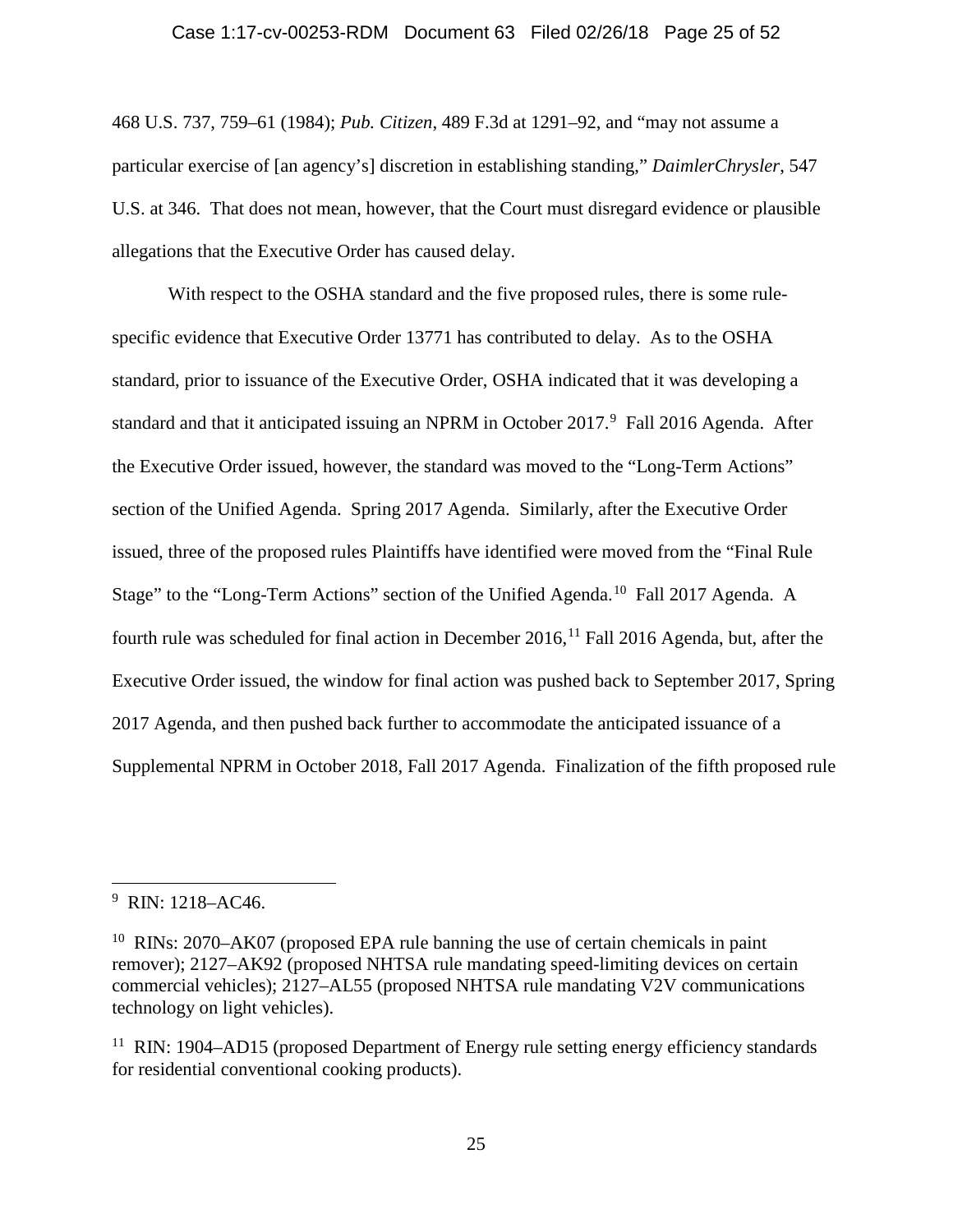#### Case 1:17-cv-00253-RDM Document 63 Filed 02/26/18 Page 25 of 52

468 U.S. 737, 759–61 (1984); *Pub. Citizen*, 489 F.3d at 1291–92, and "may not assume a particular exercise of [an agency's] discretion in establishing standing," *DaimlerChrysler*, 547 U.S. at 346. That does not mean, however, that the Court must disregard evidence or plausible allegations that the Executive Order has caused delay.

With respect to the OSHA standard and the five proposed rules, there is some rulespecific evidence that Executive Order 13771 has contributed to delay. As to the OSHA standard, prior to issuance of the Executive Order, OSHA indicated that it was developing a standard and that it anticipated issuing an NPRM in October 2017.<sup>[9](#page-24-0)</sup> Fall 2016 Agenda. After the Executive Order issued, however, the standard was moved to the "Long-Term Actions" section of the Unified Agenda. Spring 2017 Agenda. Similarly, after the Executive Order issued, three of the proposed rules Plaintiffs have identified were moved from the "Final Rule Stage" to the "Long-Term Actions" section of the Unified Agenda.<sup>10</sup> Fall 2017 Agenda. A fourth rule was scheduled for final action in December 2016,  $^{11}$  $^{11}$  $^{11}$  Fall 2016 Agenda, but, after the Executive Order issued, the window for final action was pushed back to September 2017, Spring 2017 Agenda, and then pushed back further to accommodate the anticipated issuance of a Supplemental NPRM in October 2018, Fall 2017 Agenda. Finalization of the fifth proposed rule

<span id="page-24-0"></span><sup>—&</sup>lt;br>9 <sup>9</sup> RIN: 1218–AC46.

<span id="page-24-1"></span><sup>&</sup>lt;sup>10</sup> RINs: 2070–AK07 (proposed EPA rule banning the use of certain chemicals in paint remover); 2127–AK92 (proposed NHTSA rule mandating speed-limiting devices on certain commercial vehicles); 2127–AL55 (proposed NHTSA rule mandating V2V communications technology on light vehicles).

<span id="page-24-2"></span><sup>&</sup>lt;sup>11</sup> RIN: 1904–AD15 (proposed Department of Energy rule setting energy efficiency standards for residential conventional cooking products).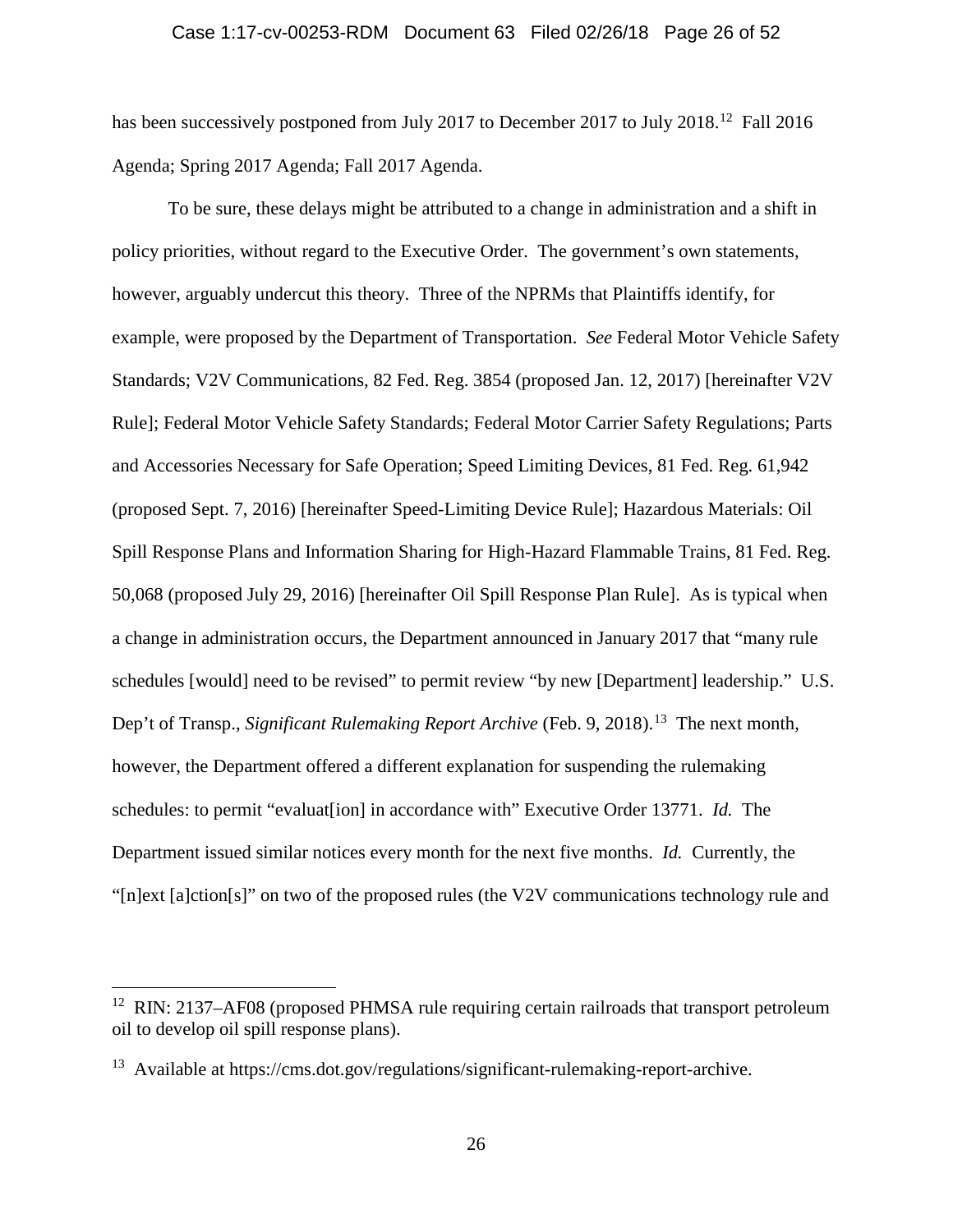#### Case 1:17-cv-00253-RDM Document 63 Filed 02/26/18 Page 26 of 52

has been successively postponed from July 2017 to December 2017 to July 2018.<sup>12</sup> Fall 2016 Agenda; Spring 2017 Agenda; Fall 2017 Agenda.

To be sure, these delays might be attributed to a change in administration and a shift in policy priorities, without regard to the Executive Order. The government's own statements, however, arguably undercut this theory. Three of the NPRMs that Plaintiffs identify, for example, were proposed by the Department of Transportation. *See* Federal Motor Vehicle Safety Standards; V2V Communications, 82 Fed. Reg. 3854 (proposed Jan. 12, 2017) [hereinafter V2V Rule]; Federal Motor Vehicle Safety Standards; Federal Motor Carrier Safety Regulations; Parts and Accessories Necessary for Safe Operation; Speed Limiting Devices, 81 Fed. Reg. 61,942 (proposed Sept. 7, 2016) [hereinafter Speed-Limiting Device Rule]; Hazardous Materials: Oil Spill Response Plans and Information Sharing for High-Hazard Flammable Trains, 81 Fed. Reg. 50,068 (proposed July 29, 2016) [hereinafter Oil Spill Response Plan Rule]. As is typical when a change in administration occurs, the Department announced in January 2017 that "many rule schedules [would] need to be revised" to permit review "by new [Department] leadership." U.S. Dep't of Transp., *Significant Rulemaking Report Archive* (Feb. 9, 2018).<sup>13</sup> The next month, however, the Department offered a different explanation for suspending the rulemaking schedules: to permit "evaluat[ion] in accordance with" Executive Order 13771. *Id.* The Department issued similar notices every month for the next five months. *Id.* Currently, the "[n]ext [a]ction[s]" on two of the proposed rules (the V2V communications technology rule and

<span id="page-25-0"></span> $12$  RIN: 2137–AF08 (proposed PHMSA rule requiring certain railroads that transport petroleum oil to develop oil spill response plans).

<span id="page-25-1"></span><sup>&</sup>lt;sup>13</sup> Available at https://cms.dot.gov/regulations/significant-rulemaking-report-archive.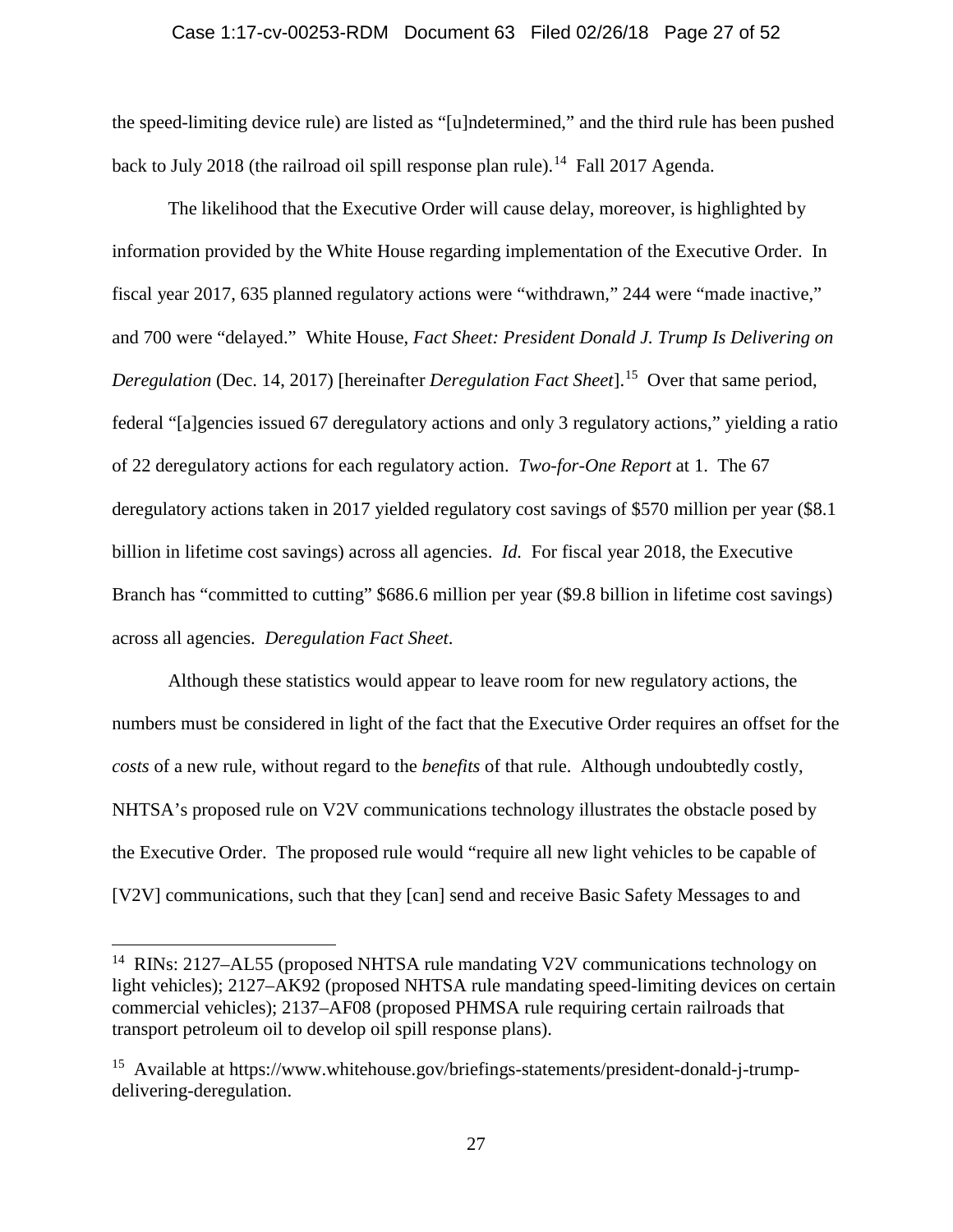#### Case 1:17-cv-00253-RDM Document 63 Filed 02/26/18 Page 27 of 52

the speed-limiting device rule) are listed as "[u]ndetermined," and the third rule has been pushed back to July 2018 (the railroad oil spill response plan rule).<sup>[14](#page-26-0)</sup> Fall 2017 Agenda.

The likelihood that the Executive Order will cause delay, moreover, is highlighted by information provided by the White House regarding implementation of the Executive Order. In fiscal year 2017, 635 planned regulatory actions were "withdrawn," 244 were "made inactive," and 700 were "delayed." White House, *Fact Sheet: President Donald J. Trump Is Delivering on Deregulation* (Dec. 14, 2017) [hereinafter *Deregulation Fact Sheet*].<sup>[15](#page-26-1)</sup> Over that same period, federal "[a]gencies issued 67 deregulatory actions and only 3 regulatory actions," yielding a ratio of 22 deregulatory actions for each regulatory action. *Two-for-One Report* at 1. The 67 deregulatory actions taken in 2017 yielded regulatory cost savings of \$570 million per year (\$8.1 billion in lifetime cost savings) across all agencies. *Id.* For fiscal year 2018, the Executive Branch has "committed to cutting" \$686.6 million per year (\$9.8 billion in lifetime cost savings) across all agencies. *Deregulation Fact Sheet*.

Although these statistics would appear to leave room for new regulatory actions, the numbers must be considered in light of the fact that the Executive Order requires an offset for the *costs* of a new rule, without regard to the *benefits* of that rule. Although undoubtedly costly, NHTSA's proposed rule on V2V communications technology illustrates the obstacle posed by the Executive Order. The proposed rule would "require all new light vehicles to be capable of [V2V] communications, such that they [can] send and receive Basic Safety Messages to and

<span id="page-26-0"></span><sup>&</sup>lt;sup>14</sup> RINs: 2127–AL55 (proposed NHTSA rule mandating V2V communications technology on light vehicles); 2127–AK92 (proposed NHTSA rule mandating speed-limiting devices on certain commercial vehicles); 2137–AF08 (proposed PHMSA rule requiring certain railroads that transport petroleum oil to develop oil spill response plans).

<span id="page-26-1"></span><sup>&</sup>lt;sup>15</sup> Available at https://www.whitehouse.gov/briefings-statements/president-donald-j-trumpdelivering-deregulation.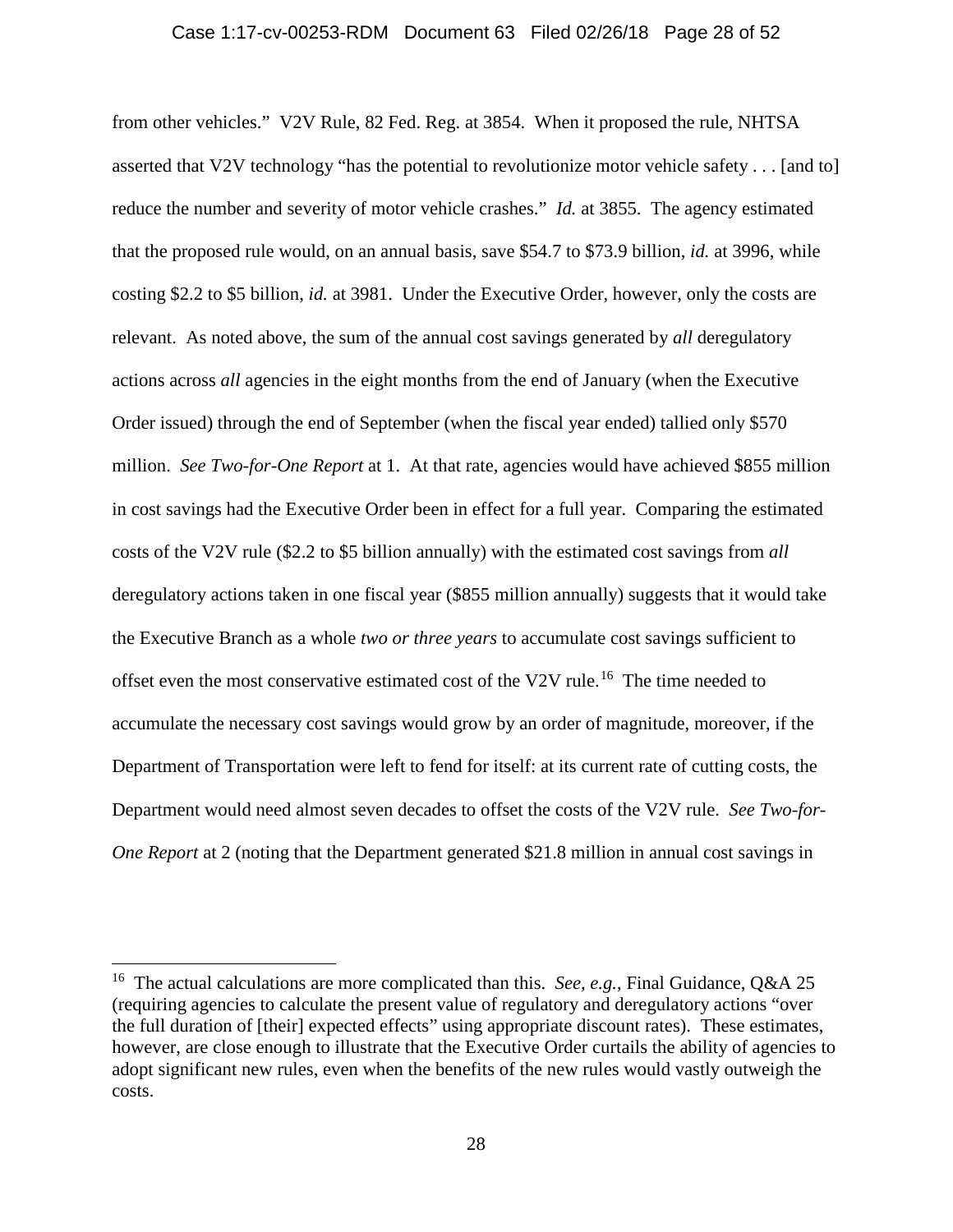#### Case 1:17-cv-00253-RDM Document 63 Filed 02/26/18 Page 28 of 52

from other vehicles." V2V Rule, 82 Fed. Reg. at 3854. When it proposed the rule, NHTSA asserted that V2V technology "has the potential to revolutionize motor vehicle safety . . . [and to] reduce the number and severity of motor vehicle crashes." *Id.* at 3855. The agency estimated that the proposed rule would, on an annual basis, save \$54.7 to \$73.9 billion, *id.* at 3996, while costing \$2.2 to \$5 billion, *id.* at 3981. Under the Executive Order, however, only the costs are relevant. As noted above, the sum of the annual cost savings generated by *all* deregulatory actions across *all* agencies in the eight months from the end of January (when the Executive Order issued) through the end of September (when the fiscal year ended) tallied only \$570 million. *See Two-for-One Report* at 1. At that rate, agencies would have achieved \$855 million in cost savings had the Executive Order been in effect for a full year. Comparing the estimated costs of the V2V rule (\$2.2 to \$5 billion annually) with the estimated cost savings from *all* deregulatory actions taken in one fiscal year (\$855 million annually) suggests that it would take the Executive Branch as a whole *two or three years* to accumulate cost savings sufficient to offset even the most conservative estimated cost of the V2V rule.<sup>[16](#page-27-0)</sup> The time needed to accumulate the necessary cost savings would grow by an order of magnitude, moreover, if the Department of Transportation were left to fend for itself: at its current rate of cutting costs, the Department would need almost seven decades to offset the costs of the V2V rule. *See Two-for-One Report* at 2 (noting that the Department generated \$21.8 million in annual cost savings in

<span id="page-27-0"></span><sup>&</sup>lt;sup>16</sup> The actual calculations are more complicated than this. *See, e.g.*, Final Guidance, Q&A 25 (requiring agencies to calculate the present value of regulatory and deregulatory actions "over the full duration of [their] expected effects" using appropriate discount rates). These estimates, however, are close enough to illustrate that the Executive Order curtails the ability of agencies to adopt significant new rules, even when the benefits of the new rules would vastly outweigh the costs.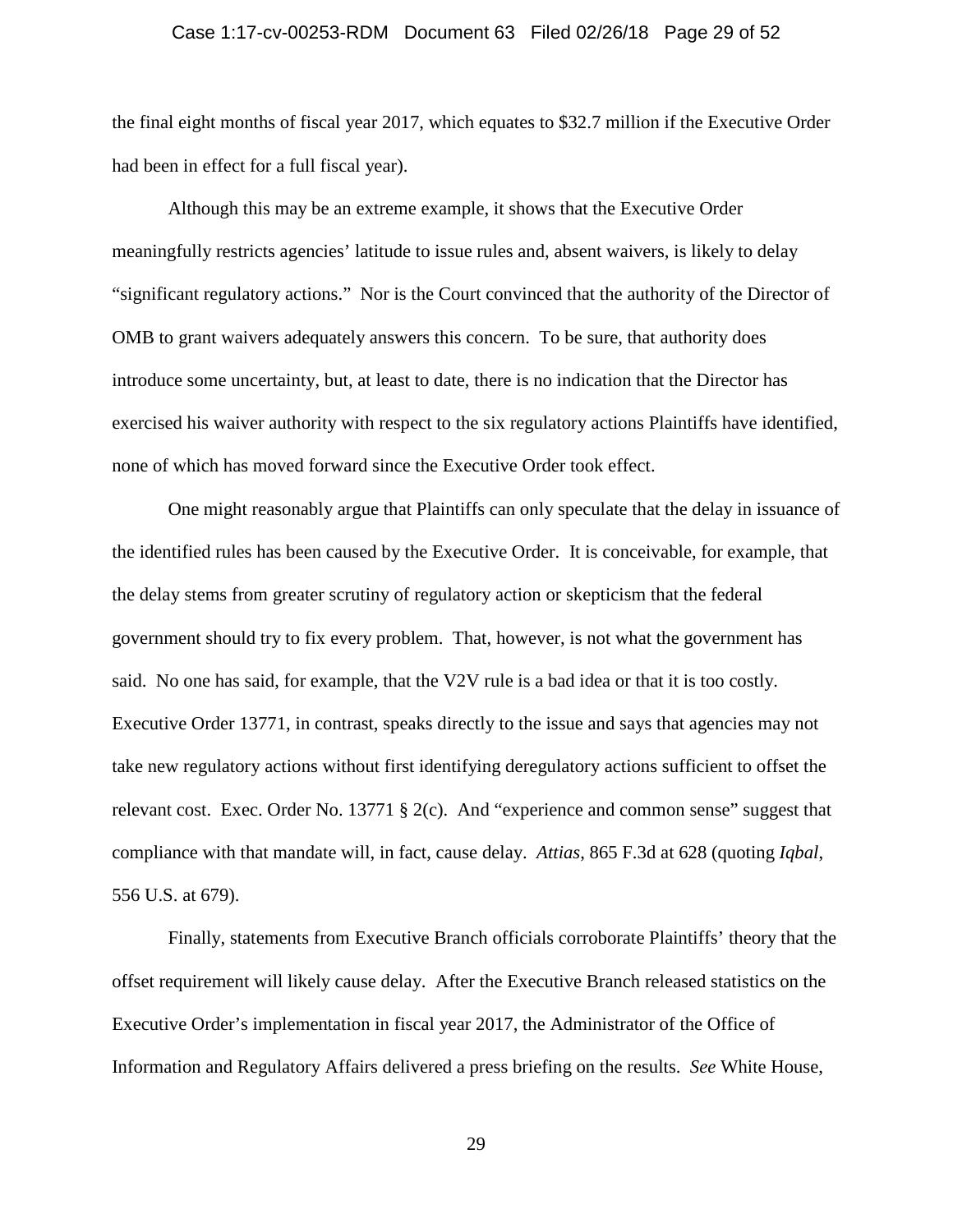### Case 1:17-cv-00253-RDM Document 63 Filed 02/26/18 Page 29 of 52

the final eight months of fiscal year 2017, which equates to \$32.7 million if the Executive Order had been in effect for a full fiscal year).

Although this may be an extreme example, it shows that the Executive Order meaningfully restricts agencies' latitude to issue rules and, absent waivers, is likely to delay "significant regulatory actions." Nor is the Court convinced that the authority of the Director of OMB to grant waivers adequately answers this concern. To be sure, that authority does introduce some uncertainty, but, at least to date, there is no indication that the Director has exercised his waiver authority with respect to the six regulatory actions Plaintiffs have identified, none of which has moved forward since the Executive Order took effect.

One might reasonably argue that Plaintiffs can only speculate that the delay in issuance of the identified rules has been caused by the Executive Order. It is conceivable, for example, that the delay stems from greater scrutiny of regulatory action or skepticism that the federal government should try to fix every problem. That, however, is not what the government has said. No one has said, for example, that the V2V rule is a bad idea or that it is too costly. Executive Order 13771, in contrast, speaks directly to the issue and says that agencies may not take new regulatory actions without first identifying deregulatory actions sufficient to offset the relevant cost. Exec. Order No. 13771 § 2(c). And "experience and common sense" suggest that compliance with that mandate will, in fact, cause delay. *Attias*, 865 F.3d at 628 (quoting *Iqbal*, 556 U.S. at 679).

Finally, statements from Executive Branch officials corroborate Plaintiffs' theory that the offset requirement will likely cause delay. After the Executive Branch released statistics on the Executive Order's implementation in fiscal year 2017, the Administrator of the Office of Information and Regulatory Affairs delivered a press briefing on the results. *See* White House,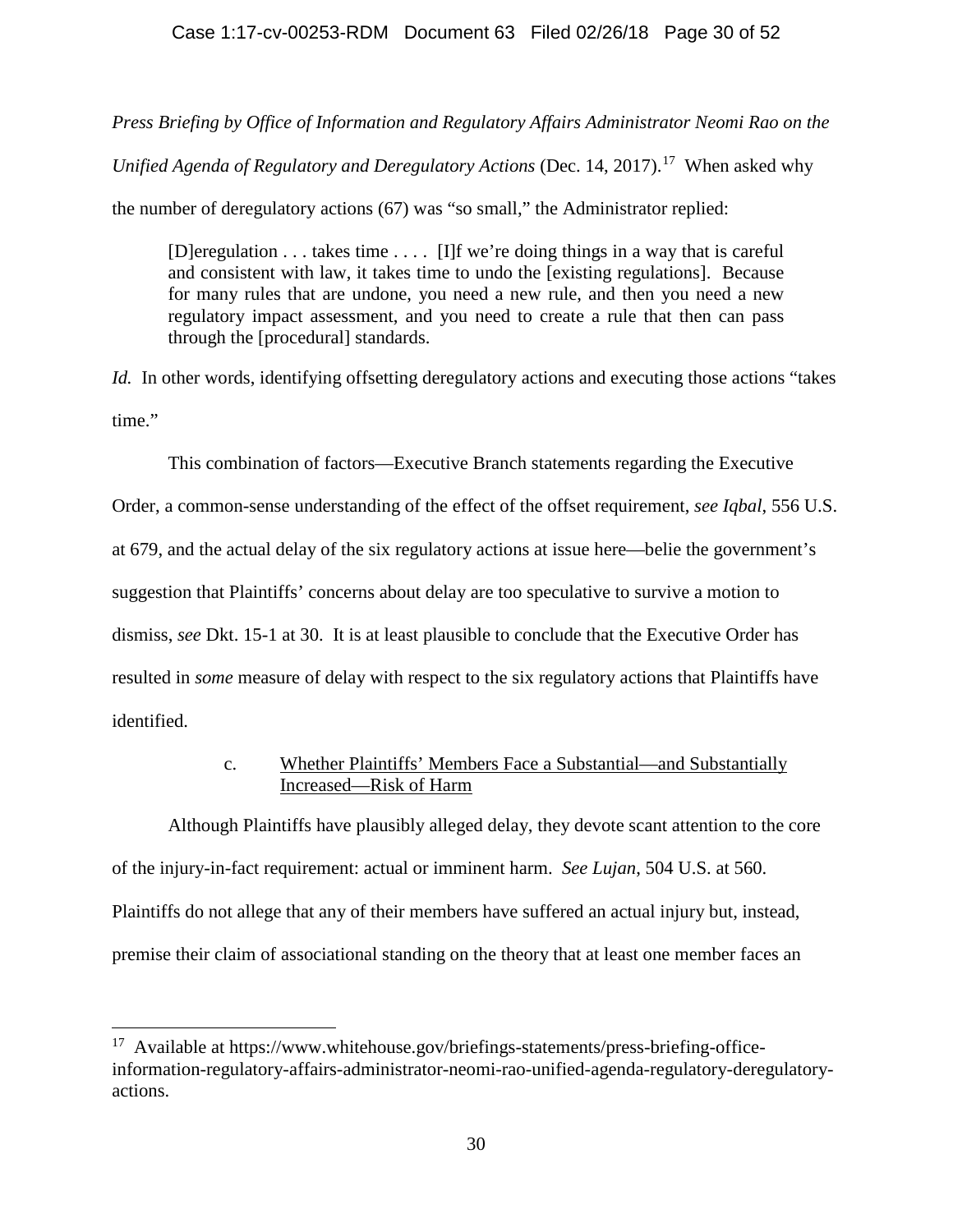# Case 1:17-cv-00253-RDM Document 63 Filed 02/26/18 Page 30 of 52

*Press Briefing by Office of Information and Regulatory Affairs Administrator Neomi Rao on the* 

*Unified Agenda of Regulatory and Deregulatory Actions* (Dec. 14, 20[17](#page-29-0)).<sup>17</sup> When asked why

the number of deregulatory actions (67) was "so small," the Administrator replied:

[D]eregulation . . . takes time . . . . [I]f we're doing things in a way that is careful and consistent with law, it takes time to undo the [existing regulations]. Because for many rules that are undone, you need a new rule, and then you need a new regulatory impact assessment, and you need to create a rule that then can pass through the [procedural] standards.

*Id.* In other words, identifying offsetting deregulatory actions and executing those actions "takes" time."

This combination of factors—Executive Branch statements regarding the Executive

Order, a common-sense understanding of the effect of the offset requirement, *see Iqbal*, 556 U.S.

at 679, and the actual delay of the six regulatory actions at issue here—belie the government's

suggestion that Plaintiffs' concerns about delay are too speculative to survive a motion to

dismiss, *see* Dkt. 15-1 at 30. It is at least plausible to conclude that the Executive Order has

resulted in *some* measure of delay with respect to the six regulatory actions that Plaintiffs have

identified.

# c. Whether Plaintiffs' Members Face a Substantial—and Substantially Increased—Risk of Harm

Although Plaintiffs have plausibly alleged delay, they devote scant attention to the core of the injury-in-fact requirement: actual or imminent harm. *See Lujan*, 504 U.S. at 560. Plaintiffs do not allege that any of their members have suffered an actual injury but, instead, premise their claim of associational standing on the theory that at least one member faces an

<span id="page-29-0"></span> $17$  Available at https://www.whitehouse.gov/briefings-statements/press-briefing-officeinformation-regulatory-affairs-administrator-neomi-rao-unified-agenda-regulatory-deregulatoryactions.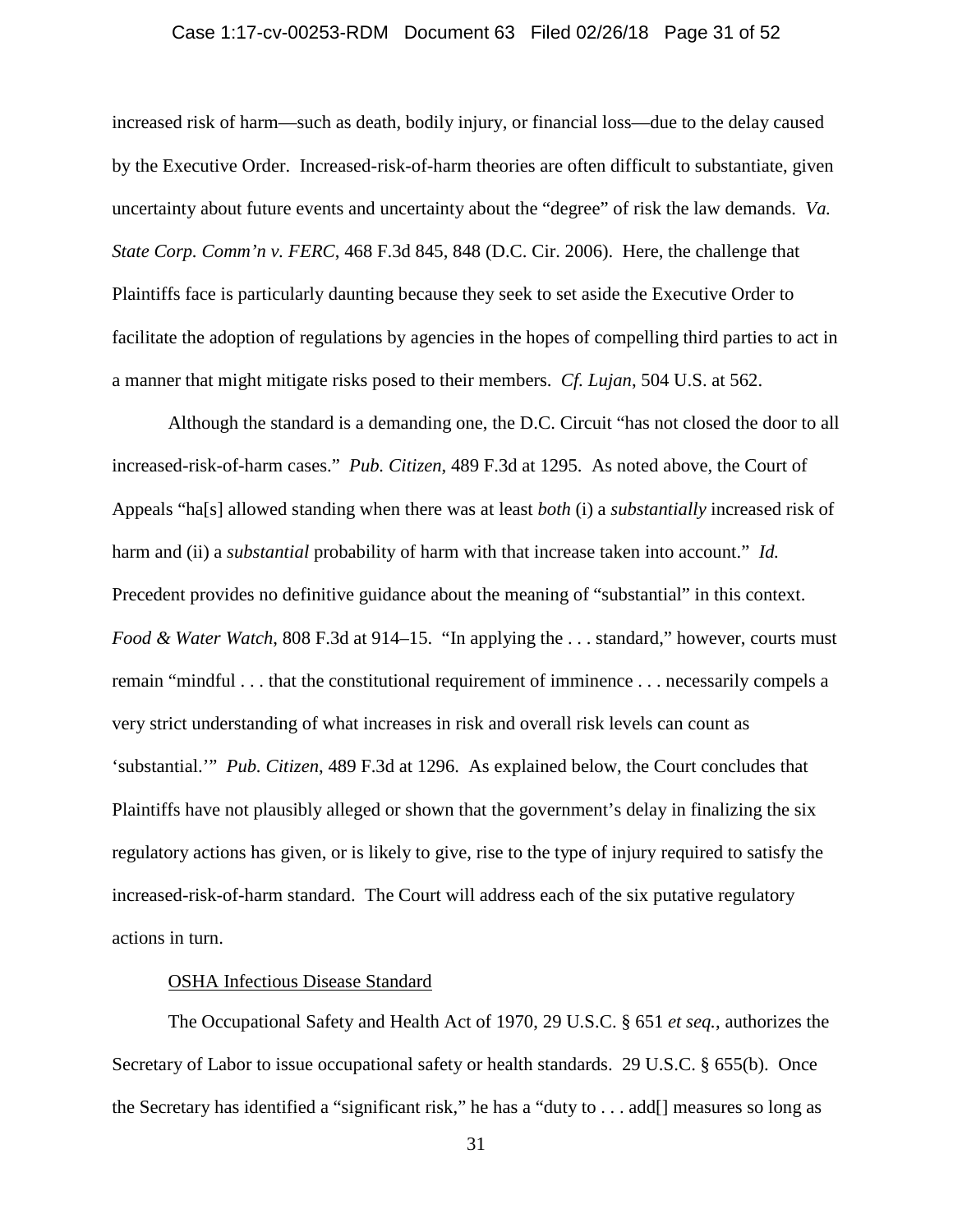### Case 1:17-cv-00253-RDM Document 63 Filed 02/26/18 Page 31 of 52

increased risk of harm—such as death, bodily injury, or financial loss—due to the delay caused by the Executive Order. Increased-risk-of-harm theories are often difficult to substantiate, given uncertainty about future events and uncertainty about the "degree" of risk the law demands. *Va. State Corp. Comm'n v. FERC*, 468 F.3d 845, 848 (D.C. Cir. 2006). Here, the challenge that Plaintiffs face is particularly daunting because they seek to set aside the Executive Order to facilitate the adoption of regulations by agencies in the hopes of compelling third parties to act in a manner that might mitigate risks posed to their members. *Cf. Lujan*, 504 U.S. at 562.

Although the standard is a demanding one, the D.C. Circuit "has not closed the door to all increased-risk-of-harm cases." *Pub. Citizen*, 489 F.3d at 1295. As noted above, the Court of Appeals "ha[s] allowed standing when there was at least *both* (i) a *substantially* increased risk of harm and (ii) a *substantial* probability of harm with that increase taken into account." *Id.* Precedent provides no definitive guidance about the meaning of "substantial" in this context. *Food & Water Watch*, 808 F.3d at 914–15. "In applying the . . . standard," however, courts must remain "mindful . . . that the constitutional requirement of imminence . . . necessarily compels a very strict understanding of what increases in risk and overall risk levels can count as 'substantial.'" *Pub. Citizen*, 489 F.3d at 1296. As explained below, the Court concludes that Plaintiffs have not plausibly alleged or shown that the government's delay in finalizing the six regulatory actions has given, or is likely to give, rise to the type of injury required to satisfy the increased-risk-of-harm standard. The Court will address each of the six putative regulatory actions in turn.

# OSHA Infectious Disease Standard

The Occupational Safety and Health Act of 1970, 29 U.S.C. § 651 *et seq.*, authorizes the Secretary of Labor to issue occupational safety or health standards. 29 U.S.C. § 655(b). Once the Secretary has identified a "significant risk," he has a "duty to . . . add[] measures so long as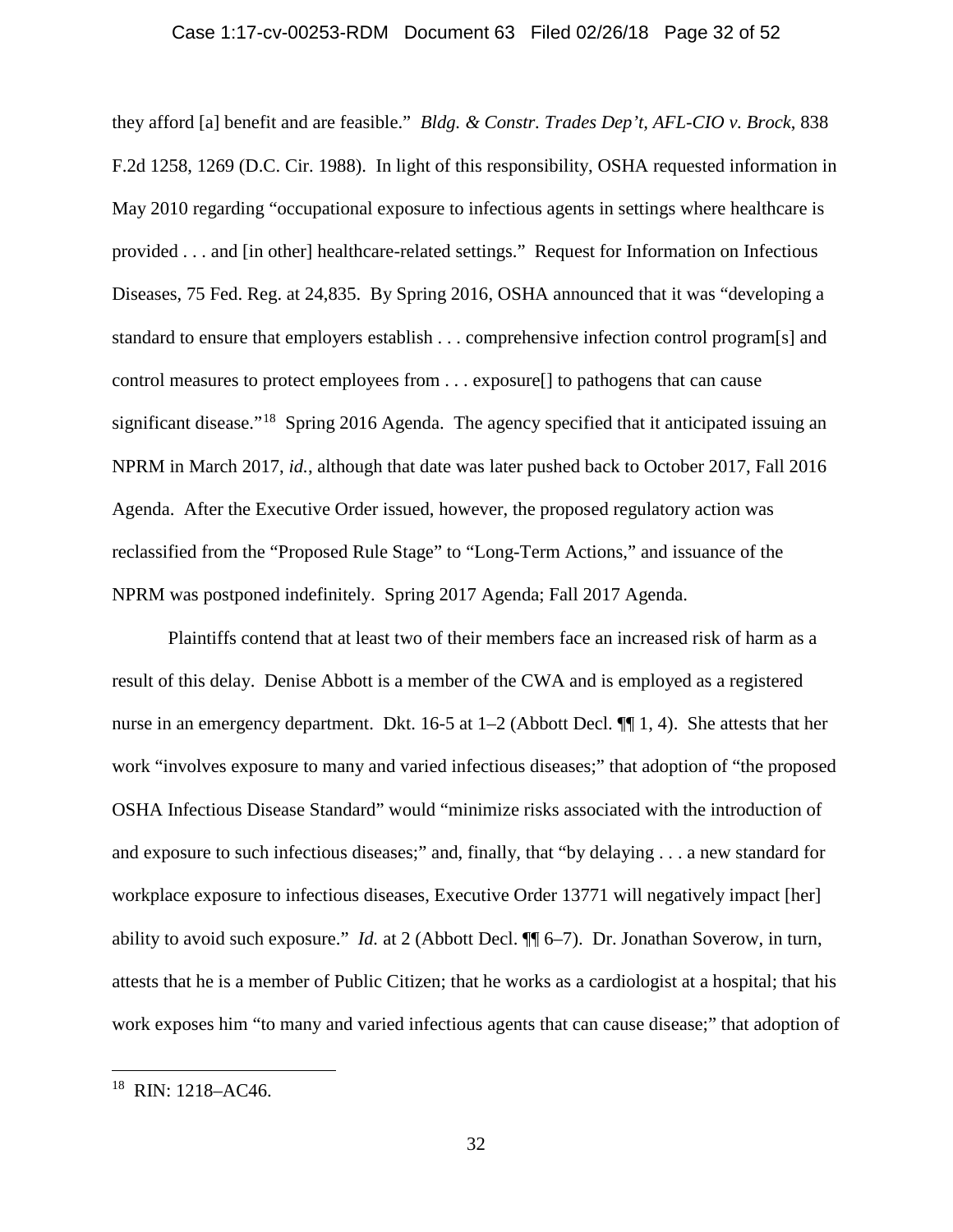### Case 1:17-cv-00253-RDM Document 63 Filed 02/26/18 Page 32 of 52

they afford [a] benefit and are feasible." *Bldg. & Constr. Trades Dep't, AFL-CIO v. Brock*, 838 F.2d 1258, 1269 (D.C. Cir. 1988). In light of this responsibility, OSHA requested information in May 2010 regarding "occupational exposure to infectious agents in settings where healthcare is provided . . . and [in other] healthcare-related settings." Request for Information on Infectious Diseases, 75 Fed. Reg. at 24,835. By Spring 2016, OSHA announced that it was "developing a standard to ensure that employers establish . . . comprehensive infection control program[s] and control measures to protect employees from . . . exposure[] to pathogens that can cause significant disease."<sup>[18](#page-31-0)</sup> Spring 2016 Agenda. The agency specified that it anticipated issuing an NPRM in March 2017, *id.*, although that date was later pushed back to October 2017, Fall 2016 Agenda. After the Executive Order issued, however, the proposed regulatory action was reclassified from the "Proposed Rule Stage" to "Long-Term Actions," and issuance of the NPRM was postponed indefinitely. Spring 2017 Agenda; Fall 2017 Agenda.

Plaintiffs contend that at least two of their members face an increased risk of harm as a result of this delay. Denise Abbott is a member of the CWA and is employed as a registered nurse in an emergency department. Dkt. 16-5 at 1–2 (Abbott Decl. ¶¶ 1, 4). She attests that her work "involves exposure to many and varied infectious diseases;" that adoption of "the proposed OSHA Infectious Disease Standard" would "minimize risks associated with the introduction of and exposure to such infectious diseases;" and, finally, that "by delaying . . . a new standard for workplace exposure to infectious diseases, Executive Order 13771 will negatively impact [her] ability to avoid such exposure." *Id.* at 2 (Abbott Decl. ¶¶ 6–7). Dr. Jonathan Soverow, in turn, attests that he is a member of Public Citizen; that he works as a cardiologist at a hospital; that his work exposes him "to many and varied infectious agents that can cause disease;" that adoption of

<span id="page-31-0"></span> <sup>18</sup> RIN: 1218–AC46.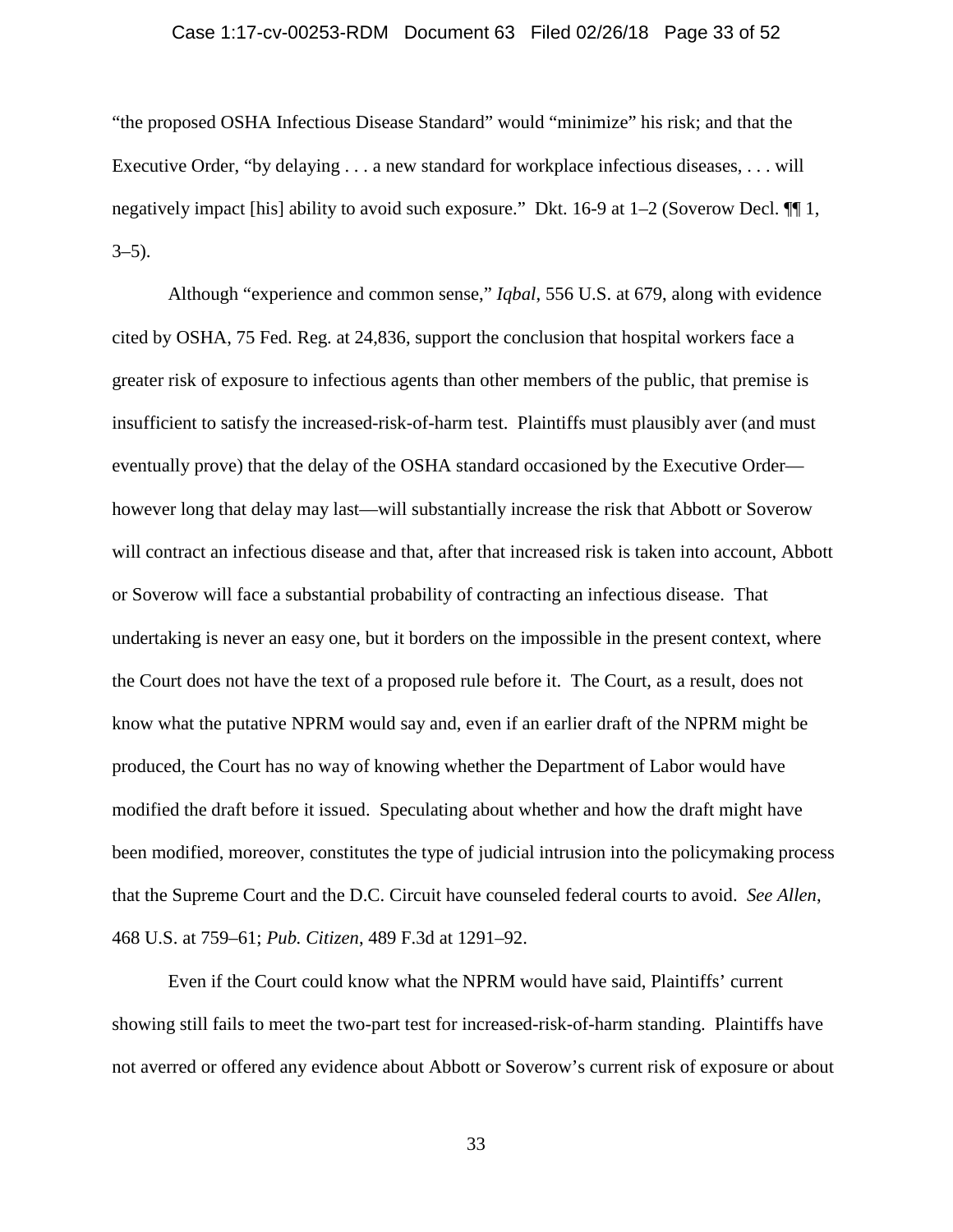### Case 1:17-cv-00253-RDM Document 63 Filed 02/26/18 Page 33 of 52

"the proposed OSHA Infectious Disease Standard" would "minimize" his risk; and that the Executive Order, "by delaying . . . a new standard for workplace infectious diseases, . . . will negatively impact [his] ability to avoid such exposure." Dkt. 16-9 at 1–2 (Soverow Decl. ¶¶ 1,  $3-5$ ).

Although "experience and common sense," *Iqbal*, 556 U.S. at 679, along with evidence cited by OSHA, 75 Fed. Reg. at 24,836, support the conclusion that hospital workers face a greater risk of exposure to infectious agents than other members of the public, that premise is insufficient to satisfy the increased-risk-of-harm test. Plaintiffs must plausibly aver (and must eventually prove) that the delay of the OSHA standard occasioned by the Executive Order however long that delay may last—will substantially increase the risk that Abbott or Soverow will contract an infectious disease and that, after that increased risk is taken into account, Abbott or Soverow will face a substantial probability of contracting an infectious disease. That undertaking is never an easy one, but it borders on the impossible in the present context, where the Court does not have the text of a proposed rule before it. The Court, as a result, does not know what the putative NPRM would say and, even if an earlier draft of the NPRM might be produced, the Court has no way of knowing whether the Department of Labor would have modified the draft before it issued. Speculating about whether and how the draft might have been modified, moreover, constitutes the type of judicial intrusion into the policymaking process that the Supreme Court and the D.C. Circuit have counseled federal courts to avoid. *See Allen*, 468 U.S. at 759–61; *Pub. Citizen*, 489 F.3d at 1291–92.

Even if the Court could know what the NPRM would have said, Plaintiffs' current showing still fails to meet the two-part test for increased-risk-of-harm standing. Plaintiffs have not averred or offered any evidence about Abbott or Soverow's current risk of exposure or about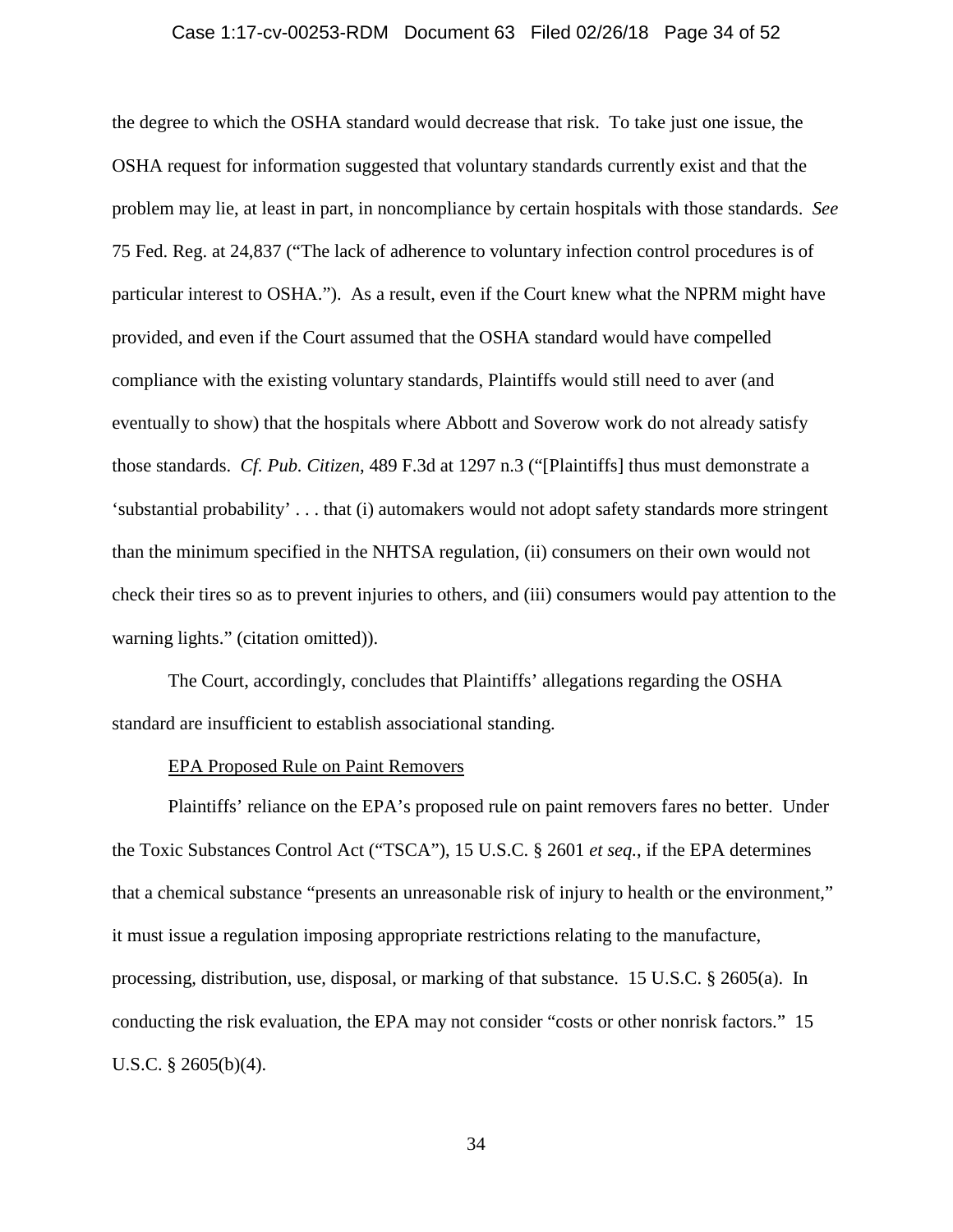### Case 1:17-cv-00253-RDM Document 63 Filed 02/26/18 Page 34 of 52

the degree to which the OSHA standard would decrease that risk. To take just one issue, the OSHA request for information suggested that voluntary standards currently exist and that the problem may lie, at least in part, in noncompliance by certain hospitals with those standards. *See*  75 Fed. Reg. at 24,837 ("The lack of adherence to voluntary infection control procedures is of particular interest to OSHA."). As a result, even if the Court knew what the NPRM might have provided, and even if the Court assumed that the OSHA standard would have compelled compliance with the existing voluntary standards, Plaintiffs would still need to aver (and eventually to show) that the hospitals where Abbott and Soverow work do not already satisfy those standards. *Cf. Pub. Citizen*, 489 F.3d at 1297 n.3 ("[Plaintiffs] thus must demonstrate a 'substantial probability' . . . that (i) automakers would not adopt safety standards more stringent than the minimum specified in the NHTSA regulation, (ii) consumers on their own would not check their tires so as to prevent injuries to others, and (iii) consumers would pay attention to the warning lights." (citation omitted)).

The Court, accordingly, concludes that Plaintiffs' allegations regarding the OSHA standard are insufficient to establish associational standing.

### EPA Proposed Rule on Paint Removers

Plaintiffs' reliance on the EPA's proposed rule on paint removers fares no better. Under the Toxic Substances Control Act ("TSCA"), 15 U.S.C. § 2601 *et seq.*, if the EPA determines that a chemical substance "presents an unreasonable risk of injury to health or the environment," it must issue a regulation imposing appropriate restrictions relating to the manufacture, processing, distribution, use, disposal, or marking of that substance. 15 U.S.C. § 2605(a). In conducting the risk evaluation, the EPA may not consider "costs or other nonrisk factors." 15 U.S.C. § 2605(b)(4).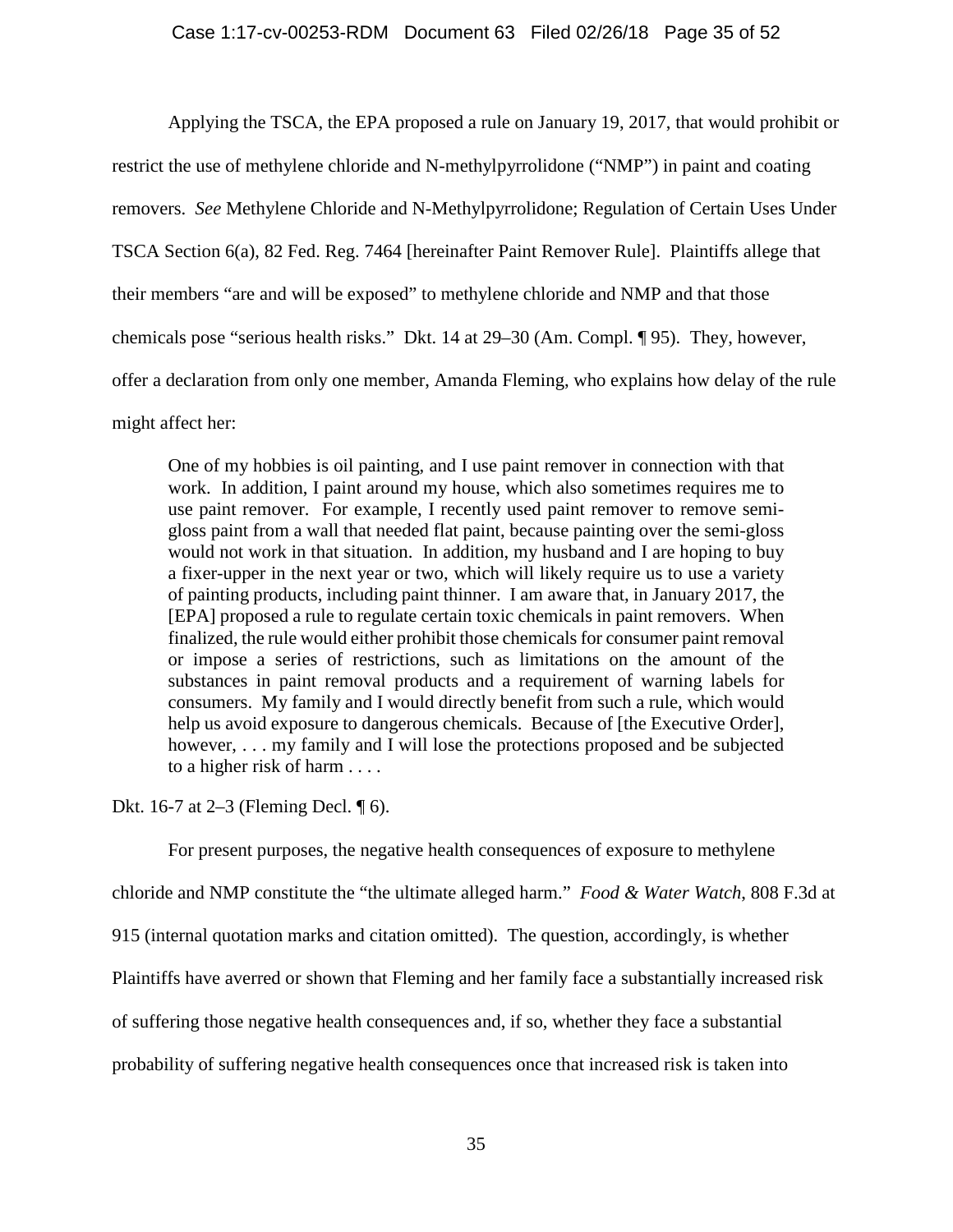Applying the TSCA, the EPA proposed a rule on January 19, 2017, that would prohibit or restrict the use of methylene chloride and N-methylpyrrolidone ("NMP") in paint and coating removers. *See* Methylene Chloride and N-Methylpyrrolidone; Regulation of Certain Uses Under TSCA Section 6(a), 82 Fed. Reg. 7464 [hereinafter Paint Remover Rule]. Plaintiffs allege that their members "are and will be exposed" to methylene chloride and NMP and that those chemicals pose "serious health risks." Dkt. 14 at 29–30 (Am. Compl. ¶ 95). They, however, offer a declaration from only one member, Amanda Fleming, who explains how delay of the rule might affect her:

One of my hobbies is oil painting, and I use paint remover in connection with that work. In addition, I paint around my house, which also sometimes requires me to use paint remover. For example, I recently used paint remover to remove semigloss paint from a wall that needed flat paint, because painting over the semi-gloss would not work in that situation. In addition, my husband and I are hoping to buy a fixer-upper in the next year or two, which will likely require us to use a variety of painting products, including paint thinner. I am aware that, in January 2017, the [EPA] proposed a rule to regulate certain toxic chemicals in paint removers. When finalized, the rule would either prohibit those chemicals for consumer paint removal or impose a series of restrictions, such as limitations on the amount of the substances in paint removal products and a requirement of warning labels for consumers. My family and I would directly benefit from such a rule, which would help us avoid exposure to dangerous chemicals. Because of [the Executive Order], however, ... my family and I will lose the protections proposed and be subjected to a higher risk of harm . . . .

Dkt. 16-7 at 2–3 (Fleming Decl. ¶ 6).

For present purposes, the negative health consequences of exposure to methylene chloride and NMP constitute the "the ultimate alleged harm." *Food & Water Watch*, 808 F.3d at 915 (internal quotation marks and citation omitted). The question, accordingly, is whether Plaintiffs have averred or shown that Fleming and her family face a substantially increased risk of suffering those negative health consequences and, if so, whether they face a substantial probability of suffering negative health consequences once that increased risk is taken into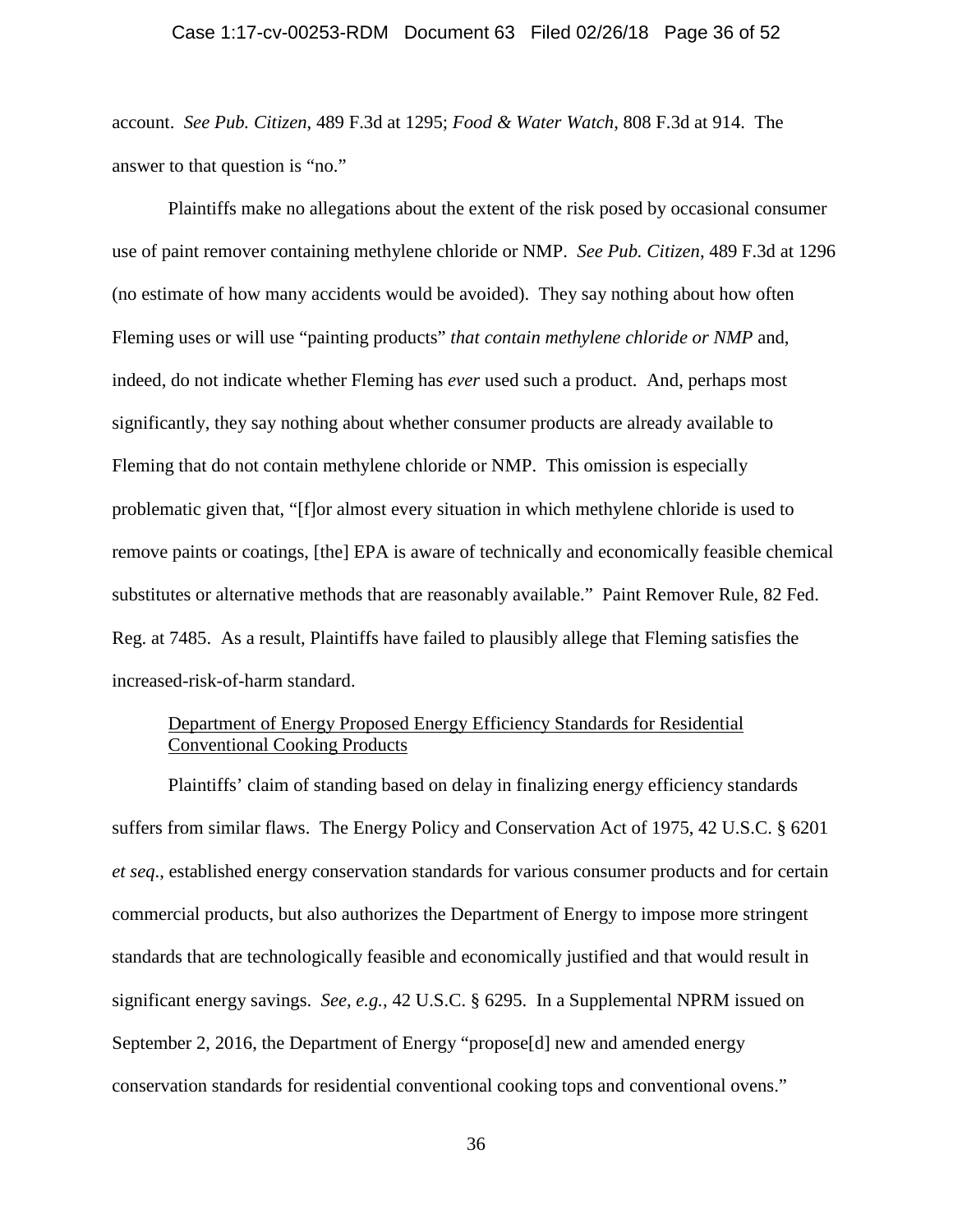### Case 1:17-cv-00253-RDM Document 63 Filed 02/26/18 Page 36 of 52

account. *See Pub. Citizen*, 489 F.3d at 1295; *Food & Water Watch*, 808 F.3d at 914. The answer to that question is "no."

Plaintiffs make no allegations about the extent of the risk posed by occasional consumer use of paint remover containing methylene chloride or NMP. *See Pub. Citizen*, 489 F.3d at 1296 (no estimate of how many accidents would be avoided). They say nothing about how often Fleming uses or will use "painting products" *that contain methylene chloride or NMP* and, indeed, do not indicate whether Fleming has *ever* used such a product. And, perhaps most significantly, they say nothing about whether consumer products are already available to Fleming that do not contain methylene chloride or NMP. This omission is especially problematic given that, "[f]or almost every situation in which methylene chloride is used to remove paints or coatings, [the] EPA is aware of technically and economically feasible chemical substitutes or alternative methods that are reasonably available." Paint Remover Rule, 82 Fed. Reg. at 7485. As a result, Plaintiffs have failed to plausibly allege that Fleming satisfies the increased-risk-of-harm standard.

# Department of Energy Proposed Energy Efficiency Standards for Residential Conventional Cooking Products

Plaintiffs' claim of standing based on delay in finalizing energy efficiency standards suffers from similar flaws. The Energy Policy and Conservation Act of 1975, 42 U.S.C. § 6201 *et seq*., established energy conservation standards for various consumer products and for certain commercial products, but also authorizes the Department of Energy to impose more stringent standards that are technologically feasible and economically justified and that would result in significant energy savings. *See, e.g.*, 42 U.S.C. § 6295. In a Supplemental NPRM issued on September 2, 2016, the Department of Energy "propose[d] new and amended energy conservation standards for residential conventional cooking tops and conventional ovens."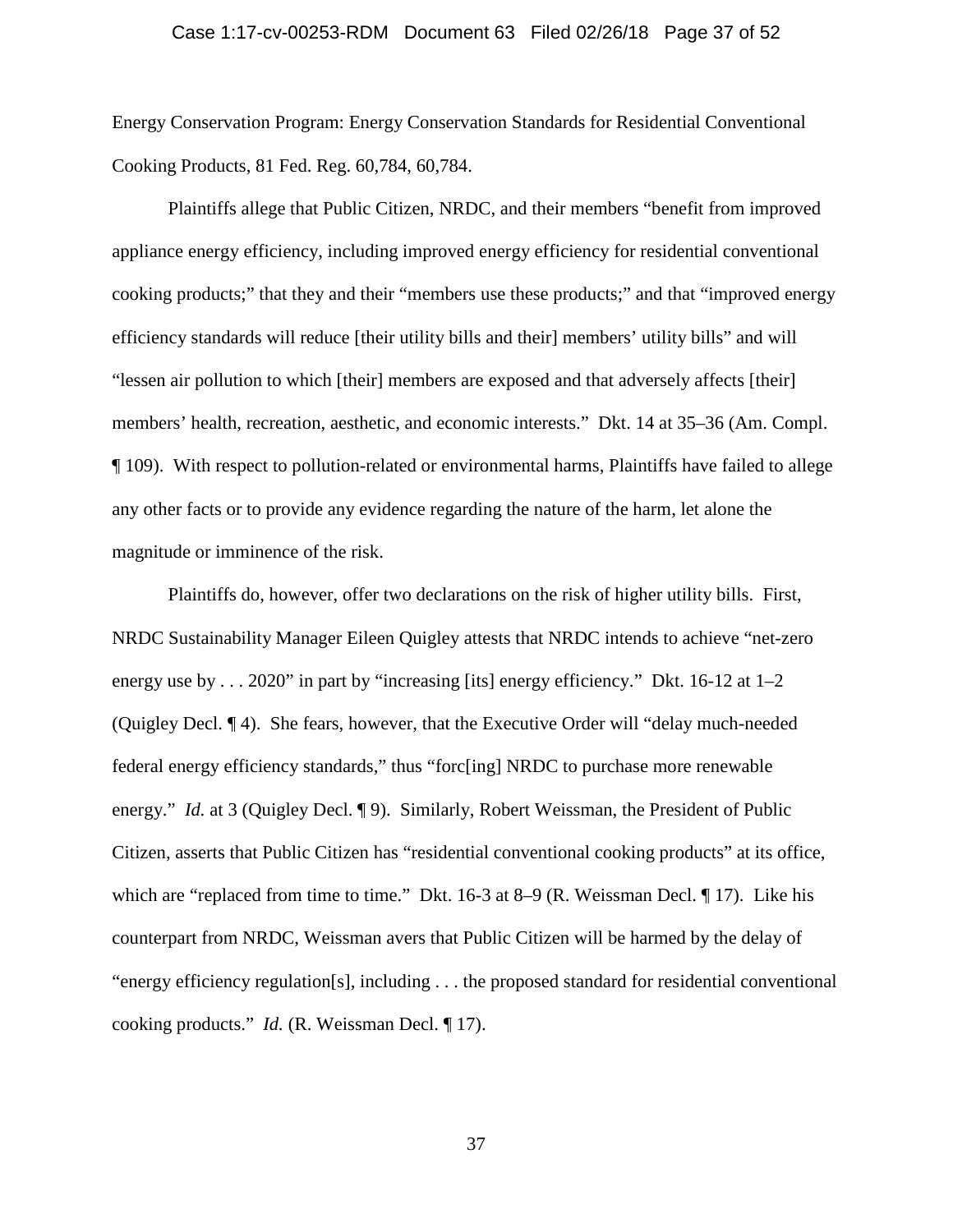### Case 1:17-cv-00253-RDM Document 63 Filed 02/26/18 Page 37 of 52

Energy Conservation Program: Energy Conservation Standards for Residential Conventional Cooking Products, 81 Fed. Reg. 60,784, 60,784.

Plaintiffs allege that Public Citizen, NRDC, and their members "benefit from improved appliance energy efficiency, including improved energy efficiency for residential conventional cooking products;" that they and their "members use these products;" and that "improved energy efficiency standards will reduce [their utility bills and their] members' utility bills" and will "lessen air pollution to which [their] members are exposed and that adversely affects [their] members' health, recreation, aesthetic, and economic interests." Dkt. 14 at 35–36 (Am. Compl. ¶ 109). With respect to pollution-related or environmental harms, Plaintiffs have failed to allege any other facts or to provide any evidence regarding the nature of the harm, let alone the magnitude or imminence of the risk.

Plaintiffs do, however, offer two declarations on the risk of higher utility bills. First, NRDC Sustainability Manager Eileen Quigley attests that NRDC intends to achieve "net-zero energy use by . . . 2020" in part by "increasing [its] energy efficiency." Dkt. 16-12 at 1–2 (Quigley Decl. ¶ 4). She fears, however, that the Executive Order will "delay much-needed federal energy efficiency standards," thus "forc[ing] NRDC to purchase more renewable energy." *Id.* at 3 (Quigley Decl. ¶ 9). Similarly, Robert Weissman, the President of Public Citizen, asserts that Public Citizen has "residential conventional cooking products" at its office, which are "replaced from time to time." Dkt. 16-3 at 8–9 (R. Weissman Decl. ¶ 17). Like his counterpart from NRDC, Weissman avers that Public Citizen will be harmed by the delay of "energy efficiency regulation[s], including . . . the proposed standard for residential conventional cooking products." *Id.* (R. Weissman Decl. ¶ 17).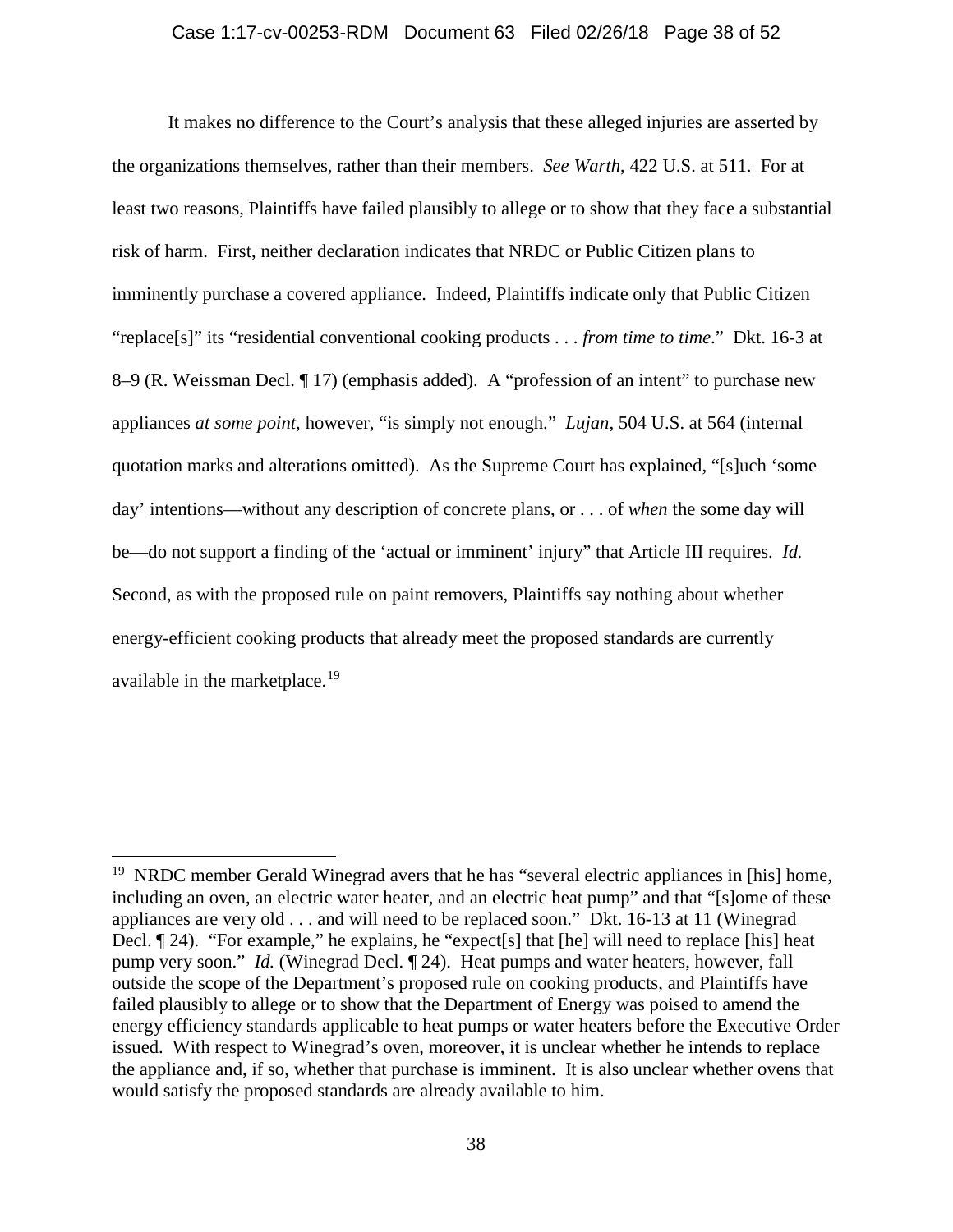#### Case 1:17-cv-00253-RDM Document 63 Filed 02/26/18 Page 38 of 52

It makes no difference to the Court's analysis that these alleged injuries are asserted by the organizations themselves, rather than their members. *See Warth*, 422 U.S. at 511. For at least two reasons, Plaintiffs have failed plausibly to allege or to show that they face a substantial risk of harm. First, neither declaration indicates that NRDC or Public Citizen plans to imminently purchase a covered appliance. Indeed, Plaintiffs indicate only that Public Citizen "replace[s]" its "residential conventional cooking products . . . *from time to time*." Dkt. 16-3 at 8–9 (R. Weissman Decl. ¶ 17) (emphasis added). A "profession of an intent" to purchase new appliances *at some point*, however, "is simply not enough." *Lujan*, 504 U.S. at 564 (internal quotation marks and alterations omitted). As the Supreme Court has explained, "[s]uch 'some day' intentions—without any description of concrete plans, or . . . of *when* the some day will be—do not support a finding of the 'actual or imminent' injury" that Article III requires. *Id.* Second, as with the proposed rule on paint removers, Plaintiffs say nothing about whether energy-efficient cooking products that already meet the proposed standards are currently available in the marketplace.<sup>[19](#page-37-0)</sup>

<span id="page-37-0"></span><sup>&</sup>lt;sup>19</sup> NRDC member Gerald Winegrad avers that he has "several electric appliances in [his] home, including an oven, an electric water heater, and an electric heat pump" and that "[s]ome of these appliances are very old . . . and will need to be replaced soon." Dkt. 16-13 at 11 (Winegrad Decl. ¶ 24). "For example," he explains, he "expect[s] that [he] will need to replace [his] heat pump very soon." *Id.* (Winegrad Decl. ¶ 24). Heat pumps and water heaters, however, fall outside the scope of the Department's proposed rule on cooking products, and Plaintiffs have failed plausibly to allege or to show that the Department of Energy was poised to amend the energy efficiency standards applicable to heat pumps or water heaters before the Executive Order issued. With respect to Winegrad's oven, moreover, it is unclear whether he intends to replace the appliance and, if so, whether that purchase is imminent. It is also unclear whether ovens that would satisfy the proposed standards are already available to him.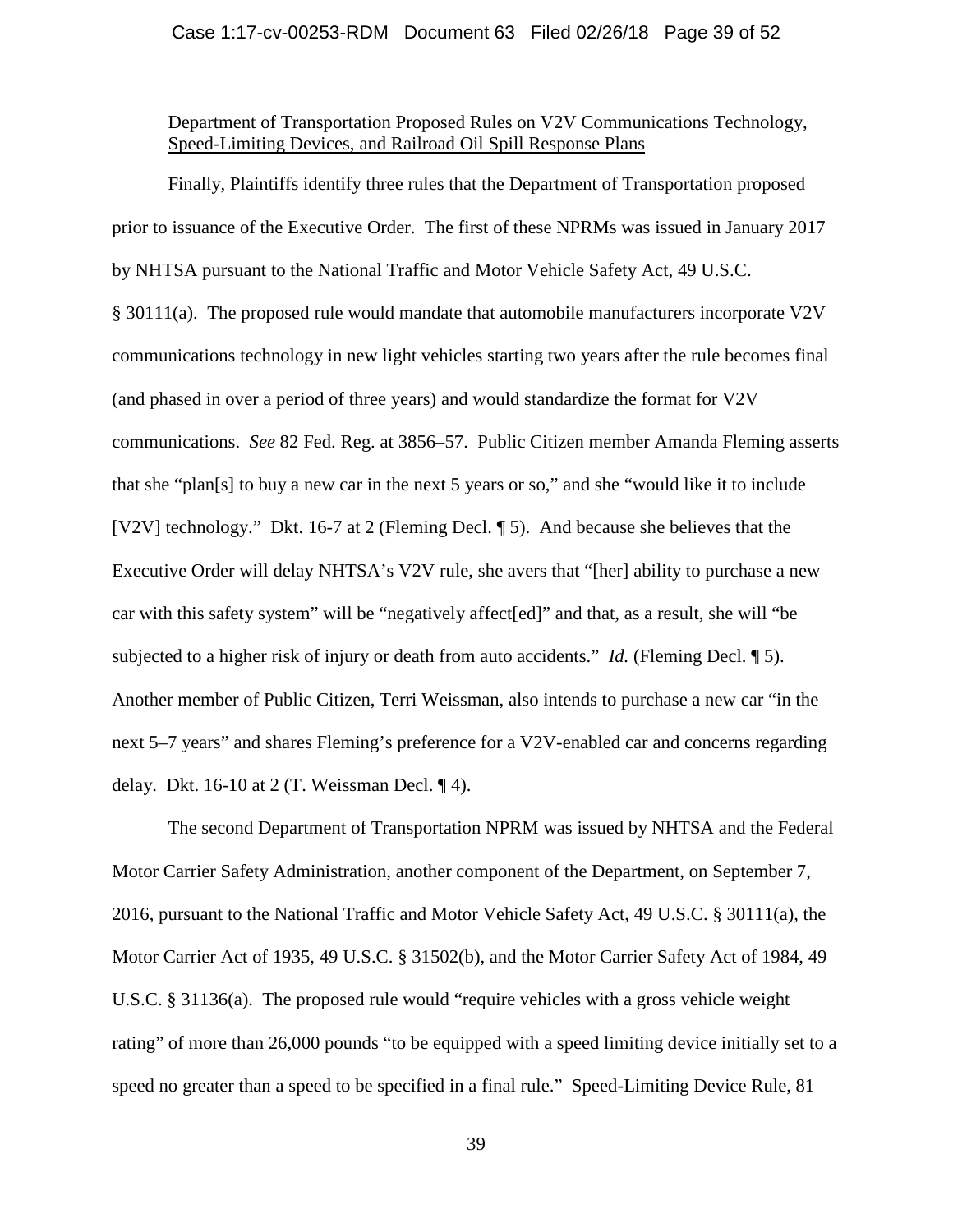### Case 1:17-cv-00253-RDM Document 63 Filed 02/26/18 Page 39 of 52

# Department of Transportation Proposed Rules on V2V Communications Technology, Speed-Limiting Devices, and Railroad Oil Spill Response Plans

Finally, Plaintiffs identify three rules that the Department of Transportation proposed prior to issuance of the Executive Order. The first of these NPRMs was issued in January 2017 by NHTSA pursuant to the National Traffic and Motor Vehicle Safety Act, 49 U.S.C. § 30111(a). The proposed rule would mandate that automobile manufacturers incorporate V2V communications technology in new light vehicles starting two years after the rule becomes final (and phased in over a period of three years) and would standardize the format for V2V communications. *See* 82 Fed. Reg. at 3856–57. Public Citizen member Amanda Fleming asserts that she "plan[s] to buy a new car in the next 5 years or so," and she "would like it to include [V2V] technology." Dkt. 16-7 at 2 (Fleming Decl. ¶ 5). And because she believes that the Executive Order will delay NHTSA's V2V rule, she avers that "[her] ability to purchase a new car with this safety system" will be "negatively affect[ed]" and that, as a result, she will "be subjected to a higher risk of injury or death from auto accidents." *Id.* (Fleming Decl. ¶ 5). Another member of Public Citizen, Terri Weissman, also intends to purchase a new car "in the next 5–7 years" and shares Fleming's preference for a V2V-enabled car and concerns regarding delay. Dkt. 16-10 at 2 (T. Weissman Decl.  $\P$ 4).

The second Department of Transportation NPRM was issued by NHTSA and the Federal Motor Carrier Safety Administration, another component of the Department, on September 7, 2016, pursuant to the National Traffic and Motor Vehicle Safety Act, 49 U.S.C. § 30111(a), the Motor Carrier Act of 1935, 49 U.S.C. § 31502(b), and the Motor Carrier Safety Act of 1984, 49 U.S.C. § 31136(a). The proposed rule would "require vehicles with a gross vehicle weight rating" of more than 26,000 pounds "to be equipped with a speed limiting device initially set to a speed no greater than a speed to be specified in a final rule." Speed-Limiting Device Rule, 81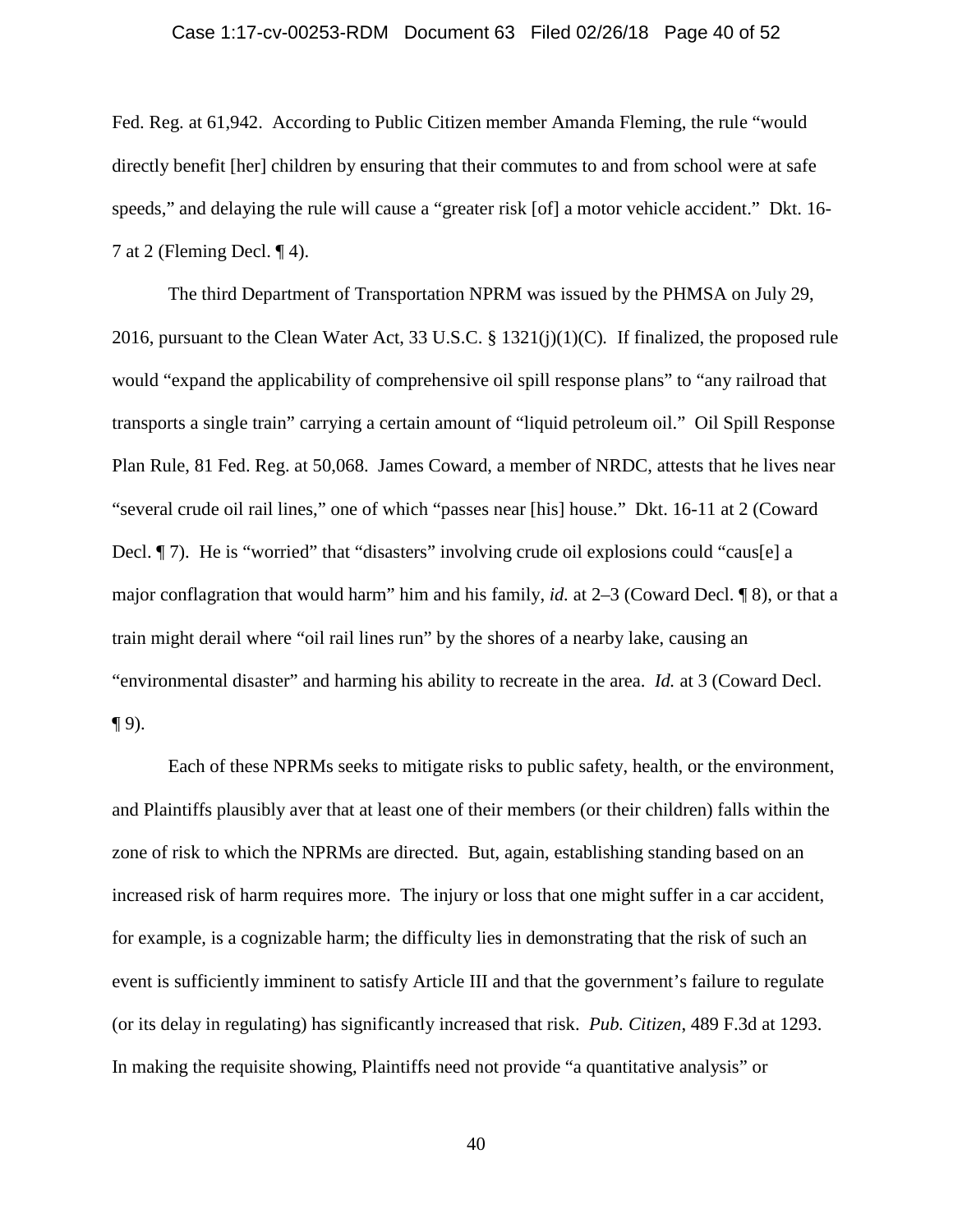### Case 1:17-cv-00253-RDM Document 63 Filed 02/26/18 Page 40 of 52

Fed. Reg. at 61,942. According to Public Citizen member Amanda Fleming, the rule "would directly benefit [her] children by ensuring that their commutes to and from school were at safe speeds," and delaying the rule will cause a "greater risk [of] a motor vehicle accident." Dkt. 16-7 at 2 (Fleming Decl. ¶ 4).

The third Department of Transportation NPRM was issued by the PHMSA on July 29, 2016, pursuant to the Clean Water Act, 33 U.S.C. § 1321(j)(1)(C)*.* If finalized, the proposed rule would "expand the applicability of comprehensive oil spill response plans" to "any railroad that transports a single train" carrying a certain amount of "liquid petroleum oil." Oil Spill Response Plan Rule, 81 Fed. Reg. at 50,068. James Coward, a member of NRDC, attests that he lives near "several crude oil rail lines," one of which "passes near [his] house." Dkt. 16-11 at 2 (Coward Decl.  $\P$  7). He is "worried" that "disasters" involving crude oil explosions could "caus[e] a major conflagration that would harm" him and his family, *id.* at 2–3 (Coward Decl. ¶ 8), or that a train might derail where "oil rail lines run" by the shores of a nearby lake, causing an "environmental disaster" and harming his ability to recreate in the area. *Id.* at 3 (Coward Decl.  $\P$  9).

Each of these NPRMs seeks to mitigate risks to public safety, health, or the environment, and Plaintiffs plausibly aver that at least one of their members (or their children) falls within the zone of risk to which the NPRMs are directed. But, again, establishing standing based on an increased risk of harm requires more. The injury or loss that one might suffer in a car accident, for example, is a cognizable harm; the difficulty lies in demonstrating that the risk of such an event is sufficiently imminent to satisfy Article III and that the government's failure to regulate (or its delay in regulating) has significantly increased that risk. *Pub. Citizen*, 489 F.3d at 1293. In making the requisite showing, Plaintiffs need not provide "a quantitative analysis" or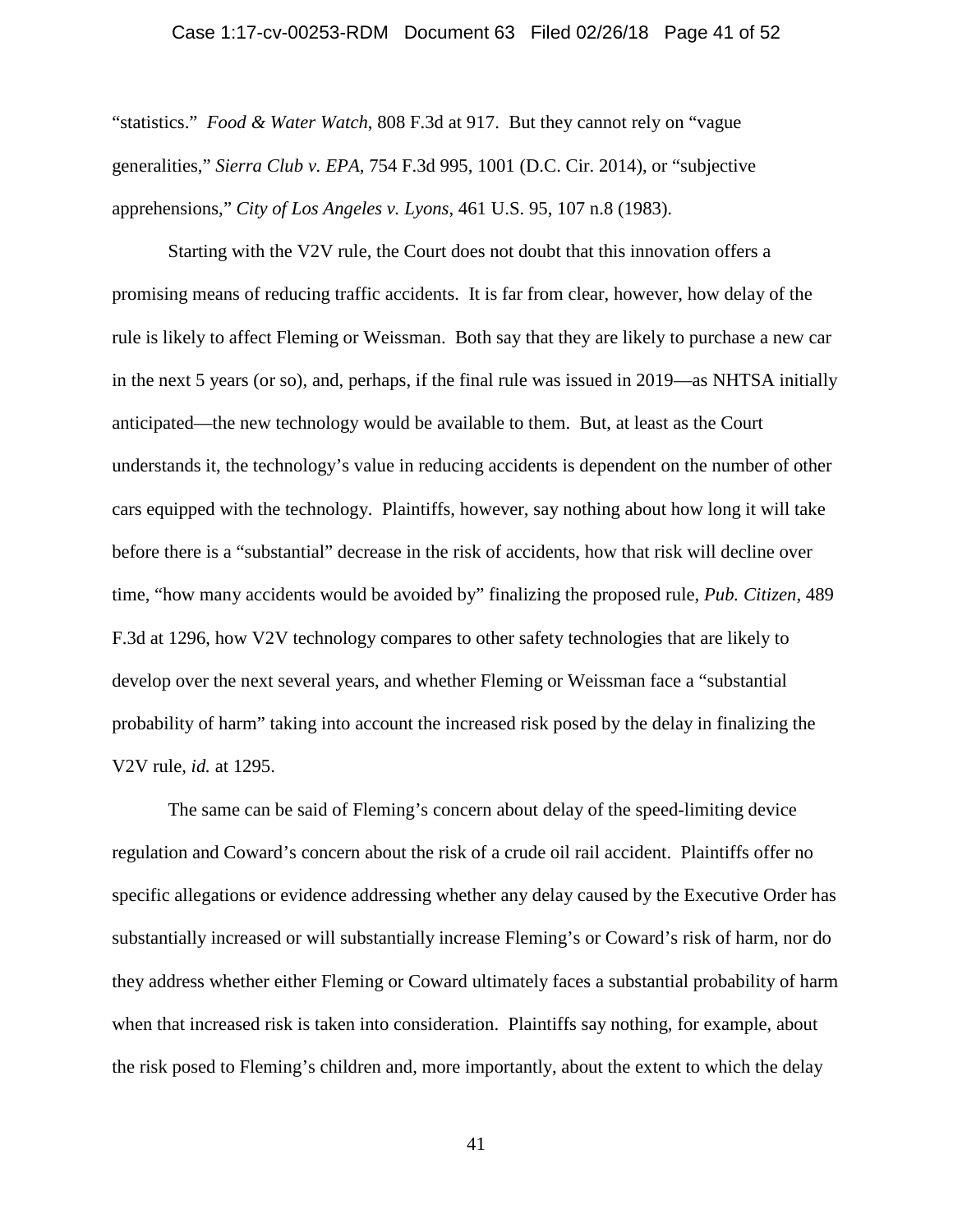### Case 1:17-cv-00253-RDM Document 63 Filed 02/26/18 Page 41 of 52

"statistics." *Food & Water Watch*, 808 F.3d at 917. But they cannot rely on "vague generalities," *Sierra Club v. EPA*, 754 F.3d 995, 1001 (D.C. Cir. 2014), or "subjective apprehensions," *City of Los Angeles v. Lyons*, 461 U.S. 95, 107 n.8 (1983).

Starting with the V2V rule, the Court does not doubt that this innovation offers a promising means of reducing traffic accidents. It is far from clear, however, how delay of the rule is likely to affect Fleming or Weissman. Both say that they are likely to purchase a new car in the next 5 years (or so), and, perhaps, if the final rule was issued in 2019—as NHTSA initially anticipated—the new technology would be available to them. But, at least as the Court understands it, the technology's value in reducing accidents is dependent on the number of other cars equipped with the technology. Plaintiffs, however, say nothing about how long it will take before there is a "substantial" decrease in the risk of accidents, how that risk will decline over time, "how many accidents would be avoided by" finalizing the proposed rule, *Pub. Citizen*, 489 F.3d at 1296, how V2V technology compares to other safety technologies that are likely to develop over the next several years, and whether Fleming or Weissman face a "substantial probability of harm" taking into account the increased risk posed by the delay in finalizing the V2V rule, *id.* at 1295.

The same can be said of Fleming's concern about delay of the speed-limiting device regulation and Coward's concern about the risk of a crude oil rail accident. Plaintiffs offer no specific allegations or evidence addressing whether any delay caused by the Executive Order has substantially increased or will substantially increase Fleming's or Coward's risk of harm, nor do they address whether either Fleming or Coward ultimately faces a substantial probability of harm when that increased risk is taken into consideration. Plaintiffs say nothing, for example, about the risk posed to Fleming's children and, more importantly, about the extent to which the delay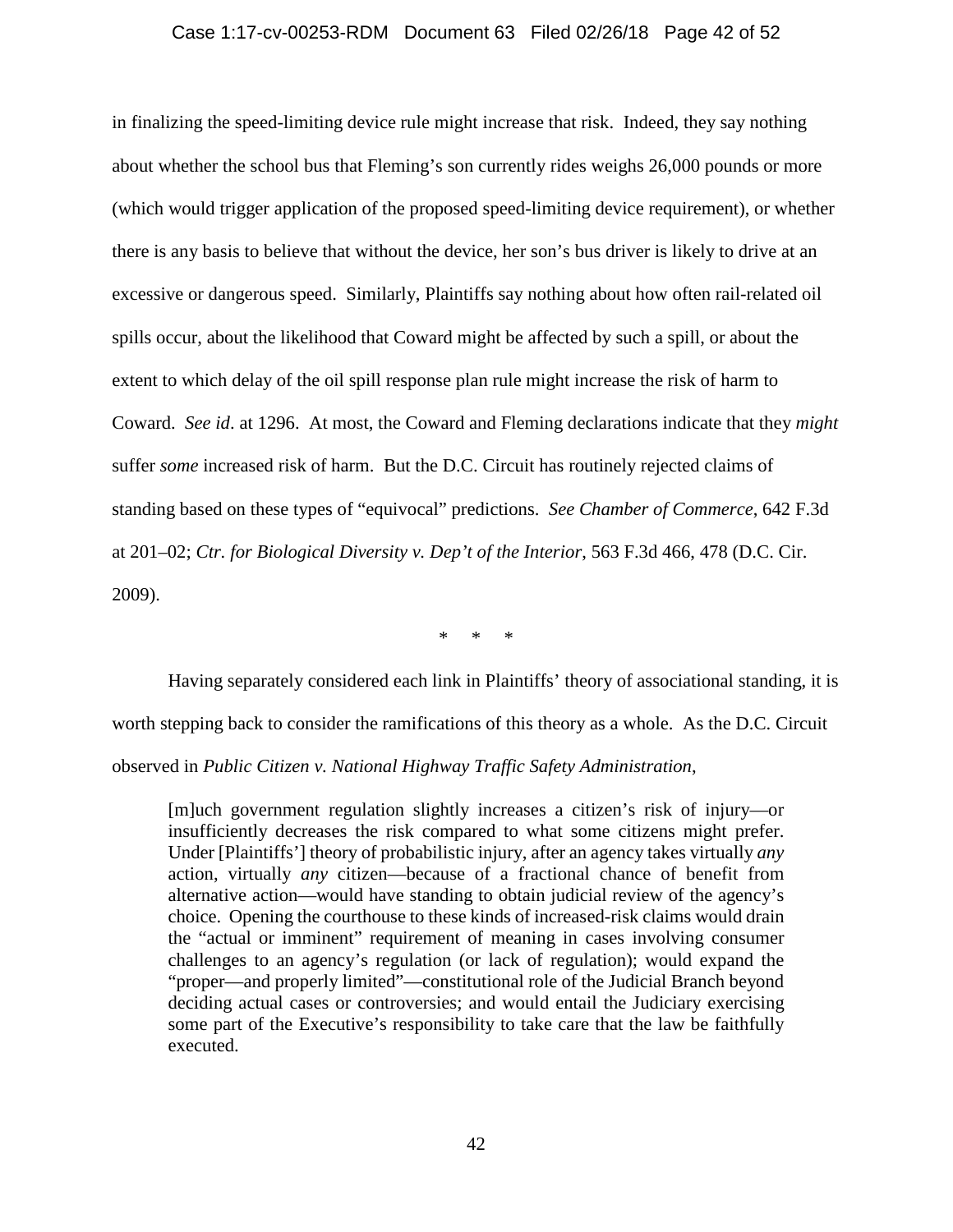#### Case 1:17-cv-00253-RDM Document 63 Filed 02/26/18 Page 42 of 52

in finalizing the speed-limiting device rule might increase that risk. Indeed, they say nothing about whether the school bus that Fleming's son currently rides weighs 26,000 pounds or more (which would trigger application of the proposed speed-limiting device requirement), or whether there is any basis to believe that without the device, her son's bus driver is likely to drive at an excessive or dangerous speed. Similarly, Plaintiffs say nothing about how often rail-related oil spills occur, about the likelihood that Coward might be affected by such a spill, or about the extent to which delay of the oil spill response plan rule might increase the risk of harm to Coward. *See id*. at 1296. At most, the Coward and Fleming declarations indicate that they *might* suffer *some* increased risk of harm. But the D.C. Circuit has routinely rejected claims of standing based on these types of "equivocal" predictions. *See Chamber of Commerce*, 642 F.3d at 201–02; *Ctr. for Biological Diversity v. Dep't of the Interior*, 563 F.3d 466, 478 (D.C. Cir. 2009).

\* \* \*

Having separately considered each link in Plaintiffs' theory of associational standing, it is worth stepping back to consider the ramifications of this theory as a whole. As the D.C. Circuit observed in *Public Citizen v. National Highway Traffic Safety Administration*,

[m]uch government regulation slightly increases a citizen's risk of injury—or insufficiently decreases the risk compared to what some citizens might prefer. Under [Plaintiffs'] theory of probabilistic injury, after an agency takes virtually *any* action, virtually *any* citizen—because of a fractional chance of benefit from alternative action—would have standing to obtain judicial review of the agency's choice. Opening the courthouse to these kinds of increased-risk claims would drain the "actual or imminent" requirement of meaning in cases involving consumer challenges to an agency's regulation (or lack of regulation); would expand the "proper—and properly limited"—constitutional role of the Judicial Branch beyond deciding actual cases or controversies; and would entail the Judiciary exercising some part of the Executive's responsibility to take care that the law be faithfully executed.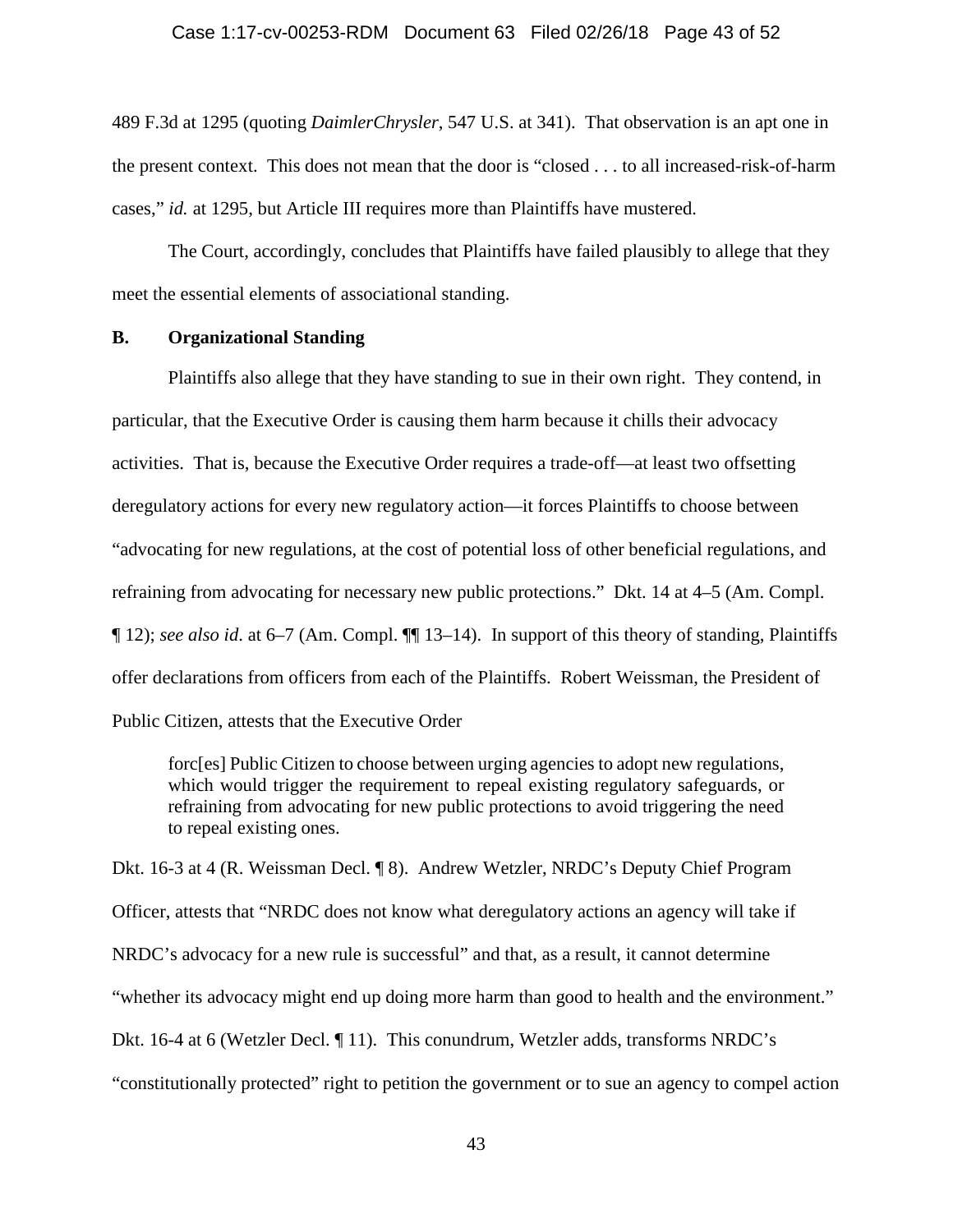### Case 1:17-cv-00253-RDM Document 63 Filed 02/26/18 Page 43 of 52

489 F.3d at 1295 (quoting *DaimlerChrysler*, 547 U.S. at 341). That observation is an apt one in the present context. This does not mean that the door is "closed . . . to all increased-risk-of-harm cases," *id.* at 1295, but Article III requires more than Plaintiffs have mustered.

The Court, accordingly, concludes that Plaintiffs have failed plausibly to allege that they meet the essential elements of associational standing.

## **B. Organizational Standing**

Plaintiffs also allege that they have standing to sue in their own right. They contend, in particular, that the Executive Order is causing them harm because it chills their advocacy activities. That is, because the Executive Order requires a trade-off—at least two offsetting deregulatory actions for every new regulatory action—it forces Plaintiffs to choose between "advocating for new regulations, at the cost of potential loss of other beneficial regulations, and refraining from advocating for necessary new public protections." Dkt. 14 at 4–5 (Am. Compl. ¶ 12); *see also id*. at 6–7 (Am. Compl. ¶¶ 13–14). In support of this theory of standing, Plaintiffs offer declarations from officers from each of the Plaintiffs. Robert Weissman, the President of Public Citizen, attests that the Executive Order

forc[es] Public Citizen to choose between urging agencies to adopt new regulations, which would trigger the requirement to repeal existing regulatory safeguards, or refraining from advocating for new public protections to avoid triggering the need to repeal existing ones.

Dkt. 16-3 at 4 (R. Weissman Decl. ¶ 8). Andrew Wetzler, NRDC's Deputy Chief Program Officer, attests that "NRDC does not know what deregulatory actions an agency will take if NRDC's advocacy for a new rule is successful" and that, as a result, it cannot determine "whether its advocacy might end up doing more harm than good to health and the environment." Dkt. 16-4 at 6 (Wetzler Decl. ¶ 11). This conundrum, Wetzler adds, transforms NRDC's "constitutionally protected" right to petition the government or to sue an agency to compel action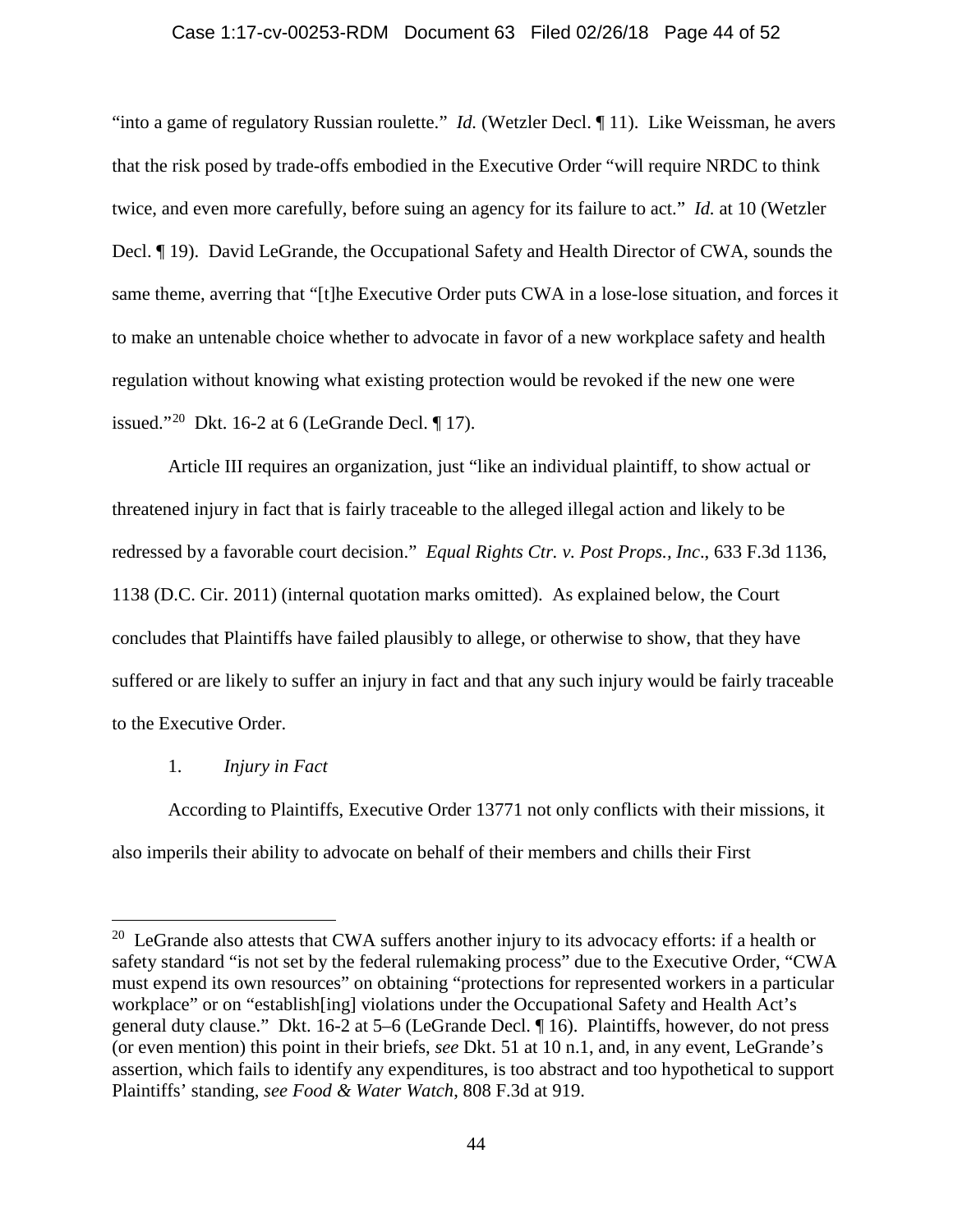### Case 1:17-cv-00253-RDM Document 63 Filed 02/26/18 Page 44 of 52

"into a game of regulatory Russian roulette." *Id.* (Wetzler Decl. ¶ 11). Like Weissman, he avers that the risk posed by trade-offs embodied in the Executive Order "will require NRDC to think twice, and even more carefully, before suing an agency for its failure to act." *Id.* at 10 (Wetzler Decl. ¶ 19). David LeGrande, the Occupational Safety and Health Director of CWA, sounds the same theme, averring that "[t]he Executive Order puts CWA in a lose-lose situation, and forces it to make an untenable choice whether to advocate in favor of a new workplace safety and health regulation without knowing what existing protection would be revoked if the new one were issued."<sup>[20](#page-43-0)</sup> Dkt. 16-2 at 6 (LeGrande Decl.  $\P$  17).

Article III requires an organization, just "like an individual plaintiff, to show actual or threatened injury in fact that is fairly traceable to the alleged illegal action and likely to be redressed by a favorable court decision." *Equal Rights Ctr. v. Post Props., Inc*., 633 F.3d 1136, 1138 (D.C. Cir. 2011) (internal quotation marks omitted). As explained below, the Court concludes that Plaintiffs have failed plausibly to allege, or otherwise to show, that they have suffered or are likely to suffer an injury in fact and that any such injury would be fairly traceable to the Executive Order.

# 1. *Injury in Fact*

According to Plaintiffs, Executive Order 13771 not only conflicts with their missions, it also imperils their ability to advocate on behalf of their members and chills their First

<span id="page-43-0"></span><sup>&</sup>lt;sup>20</sup> LeGrande also attests that CWA suffers another injury to its advocacy efforts: if a health or safety standard "is not set by the federal rulemaking process" due to the Executive Order, "CWA must expend its own resources" on obtaining "protections for represented workers in a particular workplace" or on "establish[ing] violations under the Occupational Safety and Health Act's general duty clause." Dkt. 16-2 at 5–6 (LeGrande Decl. ¶ 16). Plaintiffs, however, do not press (or even mention) this point in their briefs, *see* Dkt. 51 at 10 n.1, and, in any event, LeGrande's assertion, which fails to identify any expenditures, is too abstract and too hypothetical to support Plaintiffs' standing, *see Food & Water Watch*, 808 F.3d at 919.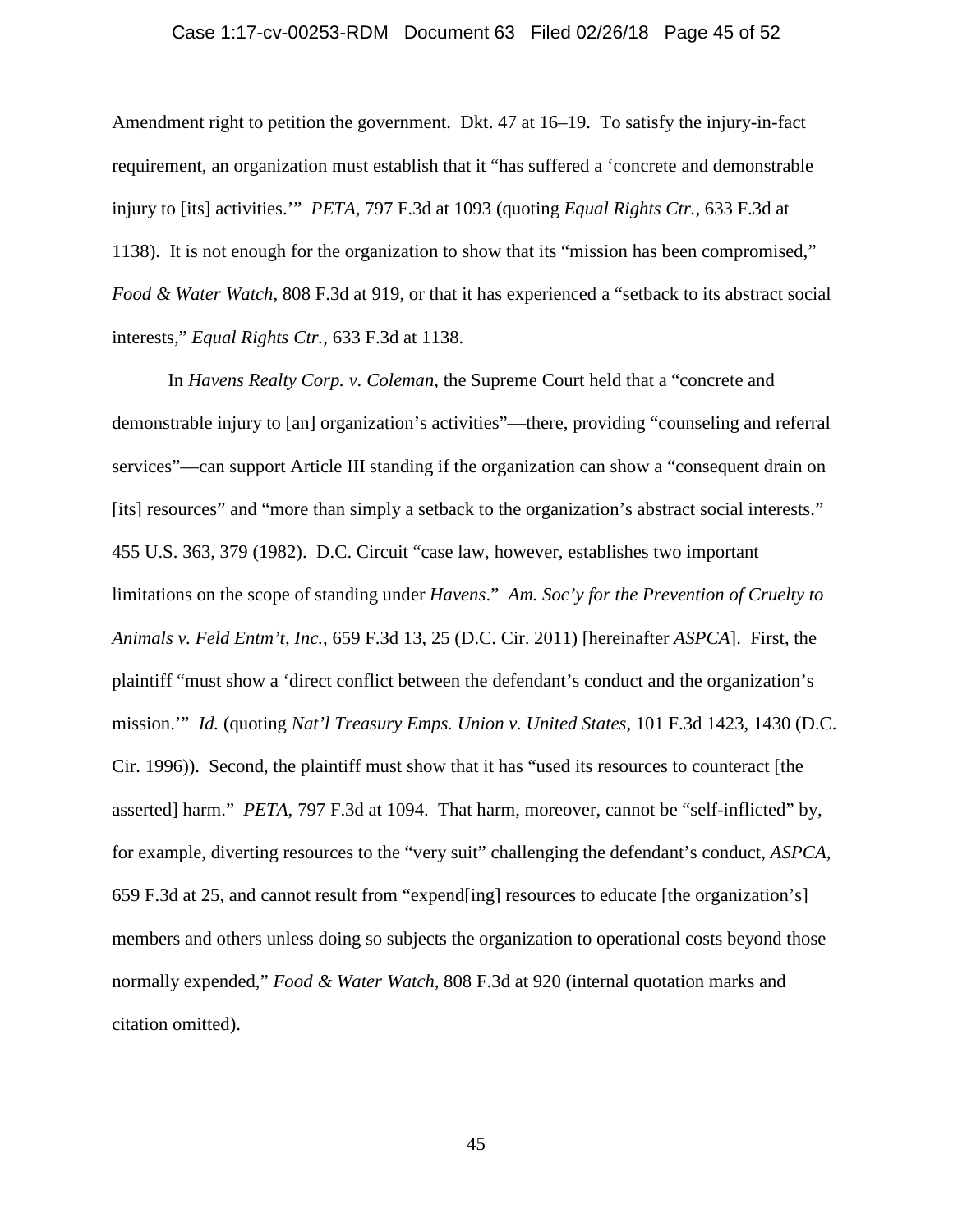## Case 1:17-cv-00253-RDM Document 63 Filed 02/26/18 Page 45 of 52

Amendment right to petition the government. Dkt. 47 at 16–19. To satisfy the injury-in-fact requirement, an organization must establish that it "has suffered a 'concrete and demonstrable injury to [its] activities.'" *PETA*, 797 F.3d at 1093 (quoting *Equal Rights Ctr.*, 633 F.3d at 1138). It is not enough for the organization to show that its "mission has been compromised," *Food & Water Watch*, 808 F.3d at 919, or that it has experienced a "setback to its abstract social interests," *Equal Rights Ctr.*, 633 F.3d at 1138.

In *Havens Realty Corp. v. Coleman*, the Supreme Court held that a "concrete and demonstrable injury to [an] organization's activities"—there, providing "counseling and referral services"—can support Article III standing if the organization can show a "consequent drain on [its] resources" and "more than simply a setback to the organization's abstract social interests." 455 U.S. 363, 379 (1982). D.C. Circuit "case law, however, establishes two important limitations on the scope of standing under *Havens*." *Am. Soc'y for the Prevention of Cruelty to Animals v. Feld Entm't, Inc.*, 659 F.3d 13, 25 (D.C. Cir. 2011) [hereinafter *ASPCA*]. First, the plaintiff "must show a 'direct conflict between the defendant's conduct and the organization's mission.'" *Id.* (quoting *Nat'l Treasury Emps. Union v. United States*, 101 F.3d 1423, 1430 (D.C. Cir. 1996)). Second, the plaintiff must show that it has "used its resources to counteract [the asserted] harm." *PETA*, 797 F.3d at 1094. That harm, moreover, cannot be "self-inflicted" by, for example, diverting resources to the "very suit" challenging the defendant's conduct, *ASPCA*, 659 F.3d at 25, and cannot result from "expend[ing] resources to educate [the organization's] members and others unless doing so subjects the organization to operational costs beyond those normally expended," *Food & Water Watch*, 808 F.3d at 920 (internal quotation marks and citation omitted).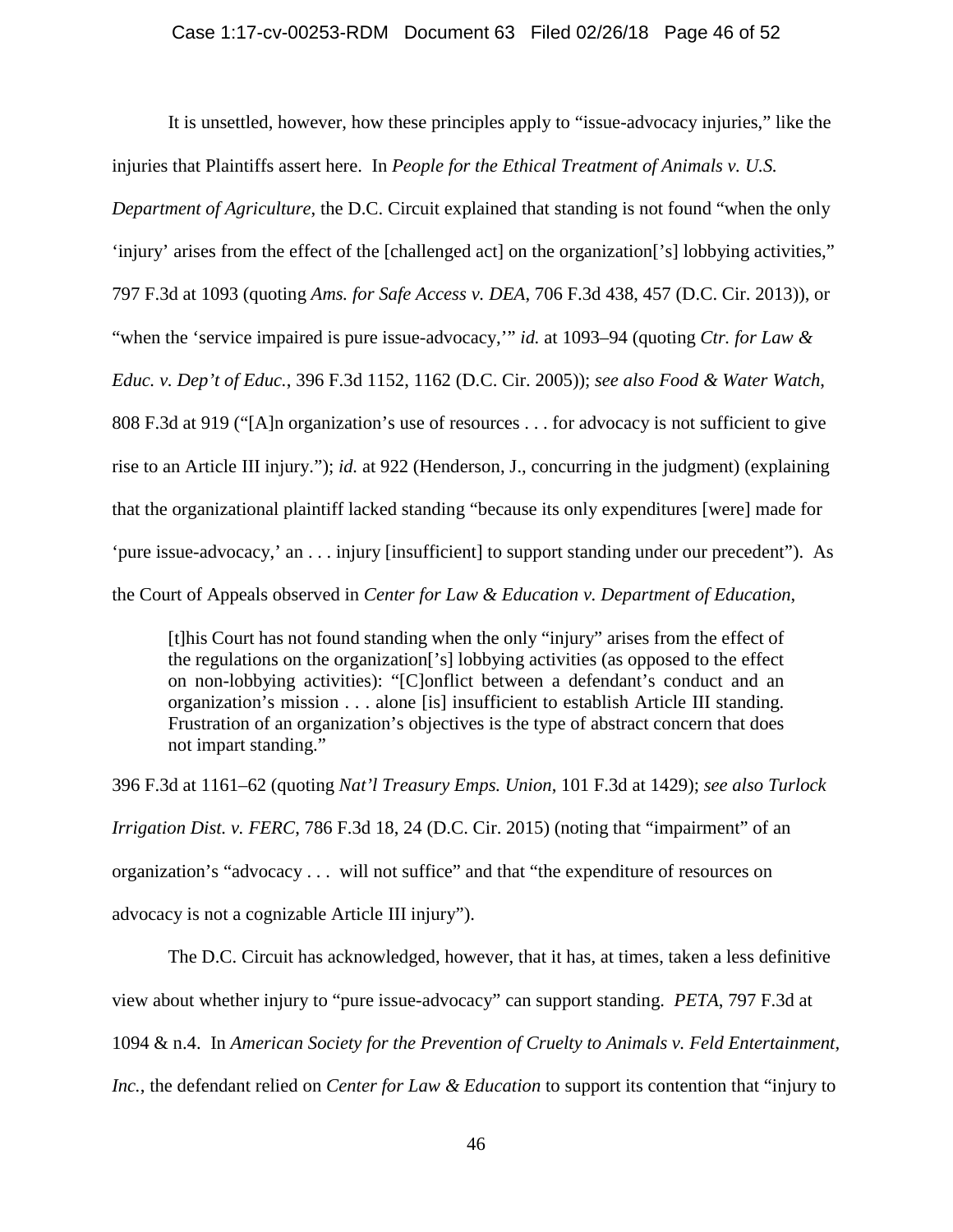#### Case 1:17-cv-00253-RDM Document 63 Filed 02/26/18 Page 46 of 52

It is unsettled, however, how these principles apply to "issue-advocacy injuries," like the injuries that Plaintiffs assert here. In *People for the Ethical Treatment of Animals v. U.S.* 

*Department of Agriculture*, the D.C. Circuit explained that standing is not found "when the only

'injury' arises from the effect of the [challenged act] on the organization['s] lobbying activities,"

797 F.3d at 1093 (quoting *Ams. for Safe Access v. DEA*, 706 F.3d 438, 457 (D.C. Cir. 2013)), or

"when the 'service impaired is pure issue-advocacy,'" *id.* at 1093–94 (quoting *Ctr. for Law &* 

*Educ. v. Dep't of Educ.*, 396 F.3d 1152, 1162 (D.C. Cir. 2005)); *see also Food & Water Watch*,

808 F.3d at 919 ("[A]n organization's use of resources . . . for advocacy is not sufficient to give

rise to an Article III injury."); *id.* at 922 (Henderson, J., concurring in the judgment) (explaining

that the organizational plaintiff lacked standing "because its only expenditures [were] made for

'pure issue-advocacy,' an . . . injury [insufficient] to support standing under our precedent"). As

the Court of Appeals observed in *Center for Law & Education v. Department of Education*,

[t]his Court has not found standing when the only "injury" arises from the effect of the regulations on the organization['s] lobbying activities (as opposed to the effect on non-lobbying activities): "[C]onflict between a defendant's conduct and an organization's mission . . . alone [is] insufficient to establish Article III standing. Frustration of an organization's objectives is the type of abstract concern that does not impart standing."

396 F.3d at 1161–62 (quoting *Nat'l Treasury Emps. Union*, 101 F.3d at 1429); *see also Turlock Irrigation Dist. v. FERC*, 786 F.3d 18, 24 (D.C. Cir. 2015) (noting that "impairment" of an organization's "advocacy . . . will not suffice" and that "the expenditure of resources on advocacy is not a cognizable Article III injury").

The D.C. Circuit has acknowledged, however, that it has, at times, taken a less definitive view about whether injury to "pure issue-advocacy" can support standing. *PETA*, 797 F.3d at 1094 & n.4. In *American Society for the Prevention of Cruelty to Animals v. Feld Entertainment, Inc.*, the defendant relied on *Center for Law & Education* to support its contention that "injury to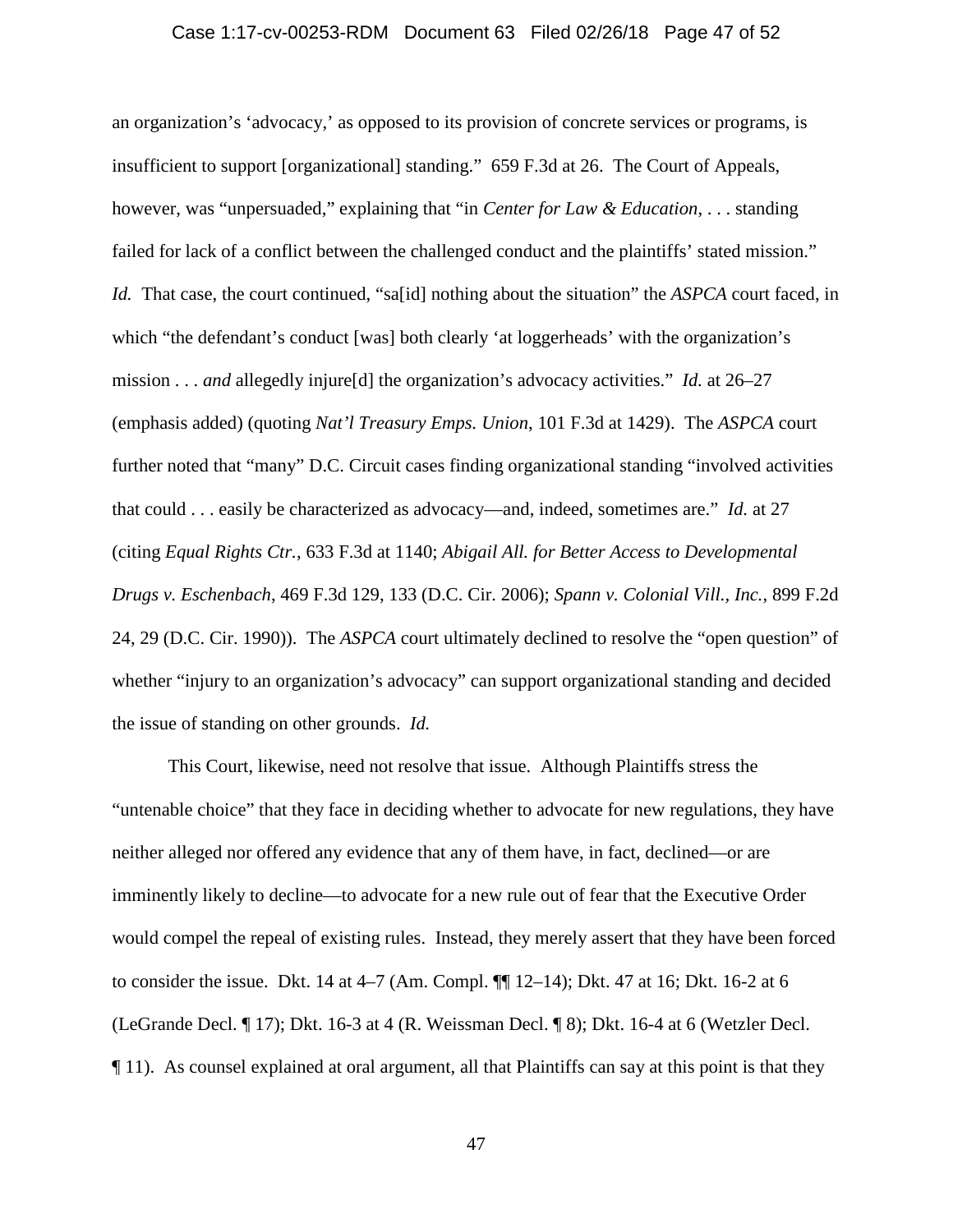### Case 1:17-cv-00253-RDM Document 63 Filed 02/26/18 Page 47 of 52

an organization's 'advocacy,' as opposed to its provision of concrete services or programs, is insufficient to support [organizational] standing." 659 F.3d at 26. The Court of Appeals, however, was "unpersuaded," explaining that "in *Center for Law & Education*, . . . standing failed for lack of a conflict between the challenged conduct and the plaintiffs' stated mission." *Id.* That case, the court continued, "sa[id] nothing about the situation" the *ASPCA* court faced, in which "the defendant's conduct [was] both clearly 'at loggerheads' with the organization's mission . . . *and* allegedly injure[d] the organization's advocacy activities." *Id.* at 26–27 (emphasis added) (quoting *Nat'l Treasury Emps. Union*, 101 F.3d at 1429). The *ASPCA* court further noted that "many" D.C. Circuit cases finding organizational standing "involved activities that could . . . easily be characterized as advocacy—and, indeed, sometimes are." *Id.* at 27 (citing *Equal Rights Ctr.*, 633 F.3d at 1140; *Abigail All. for Better Access to Developmental Drugs v. Eschenbach*, 469 F.3d 129, 133 (D.C. Cir. 2006); *Spann v. Colonial Vill., Inc.*, 899 F.2d 24, 29 (D.C. Cir. 1990)). The *ASPCA* court ultimately declined to resolve the "open question" of whether "injury to an organization's advocacy" can support organizational standing and decided the issue of standing on other grounds. *Id.*

This Court, likewise, need not resolve that issue. Although Plaintiffs stress the "untenable choice" that they face in deciding whether to advocate for new regulations, they have neither alleged nor offered any evidence that any of them have, in fact, declined—or are imminently likely to decline—to advocate for a new rule out of fear that the Executive Order would compel the repeal of existing rules. Instead, they merely assert that they have been forced to consider the issue. Dkt. 14 at 4–7 (Am. Compl. ¶¶ 12–14); Dkt. 47 at 16; Dkt. 16-2 at 6 (LeGrande Decl. ¶ 17); Dkt. 16-3 at 4 (R. Weissman Decl. ¶ 8); Dkt. 16-4 at 6 (Wetzler Decl.  $\P$  11). As counsel explained at oral argument, all that Plaintiffs can say at this point is that they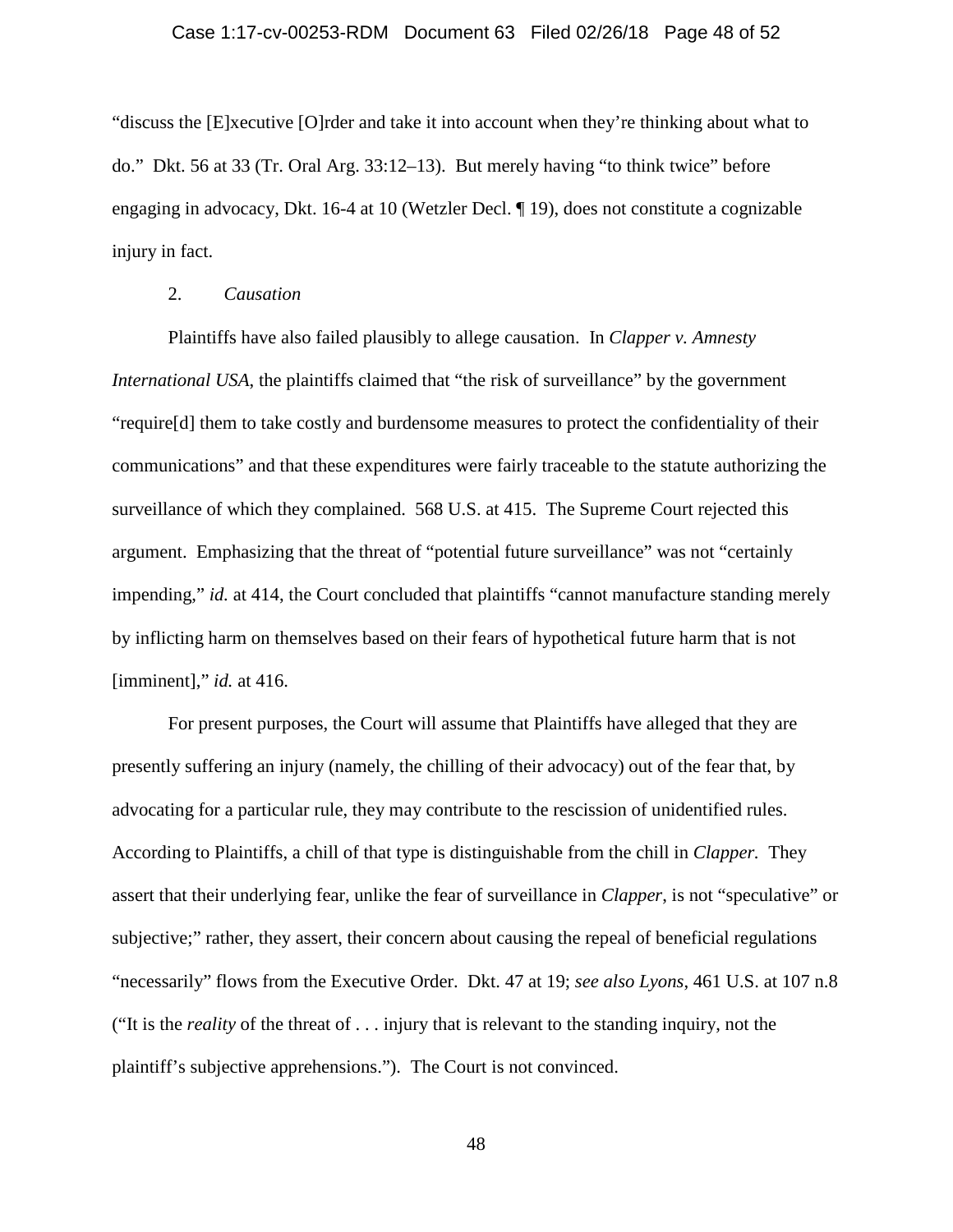# Case 1:17-cv-00253-RDM Document 63 Filed 02/26/18 Page 48 of 52

"discuss the [E]xecutive [O]rder and take it into account when they're thinking about what to do." Dkt. 56 at 33 (Tr. Oral Arg. 33:12–13). But merely having "to think twice" before engaging in advocacy, Dkt. 16-4 at 10 (Wetzler Decl. ¶ 19), does not constitute a cognizable injury in fact.

## 2. *Causation*

Plaintiffs have also failed plausibly to allege causation. In *Clapper v. Amnesty International USA*, the plaintiffs claimed that "the risk of surveillance" by the government "require[d] them to take costly and burdensome measures to protect the confidentiality of their communications" and that these expenditures were fairly traceable to the statute authorizing the surveillance of which they complained. 568 U.S. at 415. The Supreme Court rejected this argument. Emphasizing that the threat of "potential future surveillance" was not "certainly impending," *id.* at 414, the Court concluded that plaintiffs "cannot manufacture standing merely by inflicting harm on themselves based on their fears of hypothetical future harm that is not [imminent]," *id.* at 416.

For present purposes, the Court will assume that Plaintiffs have alleged that they are presently suffering an injury (namely, the chilling of their advocacy) out of the fear that, by advocating for a particular rule, they may contribute to the rescission of unidentified rules. According to Plaintiffs, a chill of that type is distinguishable from the chill in *Clapper.* They assert that their underlying fear, unlike the fear of surveillance in *Clapper*, is not "speculative" or subjective;" rather, they assert, their concern about causing the repeal of beneficial regulations "necessarily" flows from the Executive Order. Dkt. 47 at 19; *see also Lyons*, 461 U.S. at 107 n.8 ("It is the *reality* of the threat of . . . injury that is relevant to the standing inquiry, not the plaintiff's subjective apprehensions."). The Court is not convinced.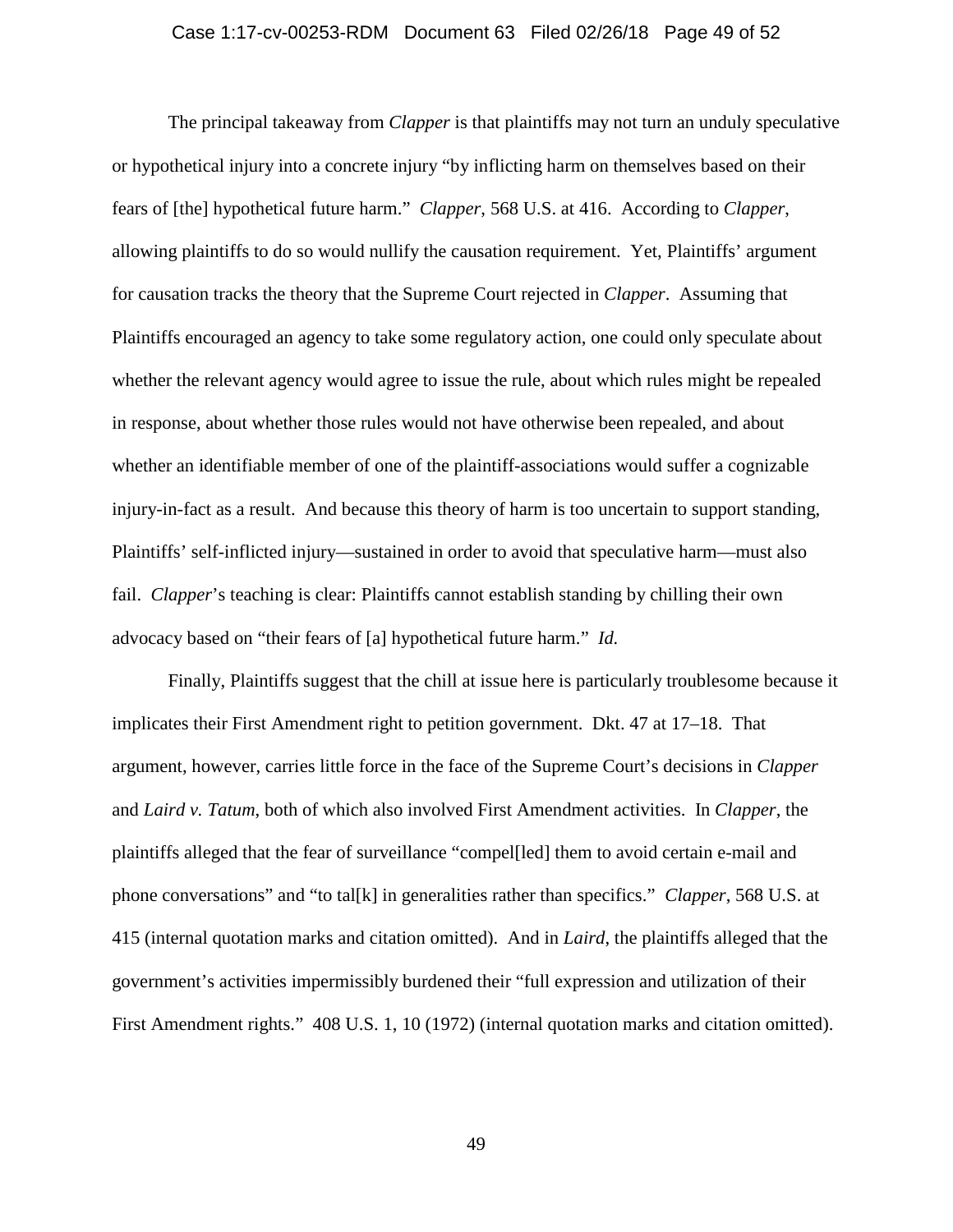### Case 1:17-cv-00253-RDM Document 63 Filed 02/26/18 Page 49 of 52

The principal takeaway from *Clapper* is that plaintiffs may not turn an unduly speculative or hypothetical injury into a concrete injury "by inflicting harm on themselves based on their fears of [the] hypothetical future harm." *Clapper*, 568 U.S. at 416. According to *Clapper*, allowing plaintiffs to do so would nullify the causation requirement. Yet, Plaintiffs' argument for causation tracks the theory that the Supreme Court rejected in *Clapper*. Assuming that Plaintiffs encouraged an agency to take some regulatory action, one could only speculate about whether the relevant agency would agree to issue the rule, about which rules might be repealed in response, about whether those rules would not have otherwise been repealed, and about whether an identifiable member of one of the plaintiff-associations would suffer a cognizable injury-in-fact as a result. And because this theory of harm is too uncertain to support standing, Plaintiffs' self-inflicted injury—sustained in order to avoid that speculative harm—must also fail. *Clapper*'s teaching is clear: Plaintiffs cannot establish standing by chilling their own advocacy based on "their fears of [a] hypothetical future harm." *Id.*

Finally, Plaintiffs suggest that the chill at issue here is particularly troublesome because it implicates their First Amendment right to petition government. Dkt. 47 at 17–18. That argument, however, carries little force in the face of the Supreme Court's decisions in *Clapper* and *Laird v. Tatum*, both of which also involved First Amendment activities. In *Clapper*, the plaintiffs alleged that the fear of surveillance "compel[led] them to avoid certain e-mail and phone conversations" and "to tal[k] in generalities rather than specifics." *Clapper*, 568 U.S. at 415 (internal quotation marks and citation omitted). And in *Laird*, the plaintiffs alleged that the government's activities impermissibly burdened their "full expression and utilization of their First Amendment rights." 408 U.S. 1, 10 (1972) (internal quotation marks and citation omitted).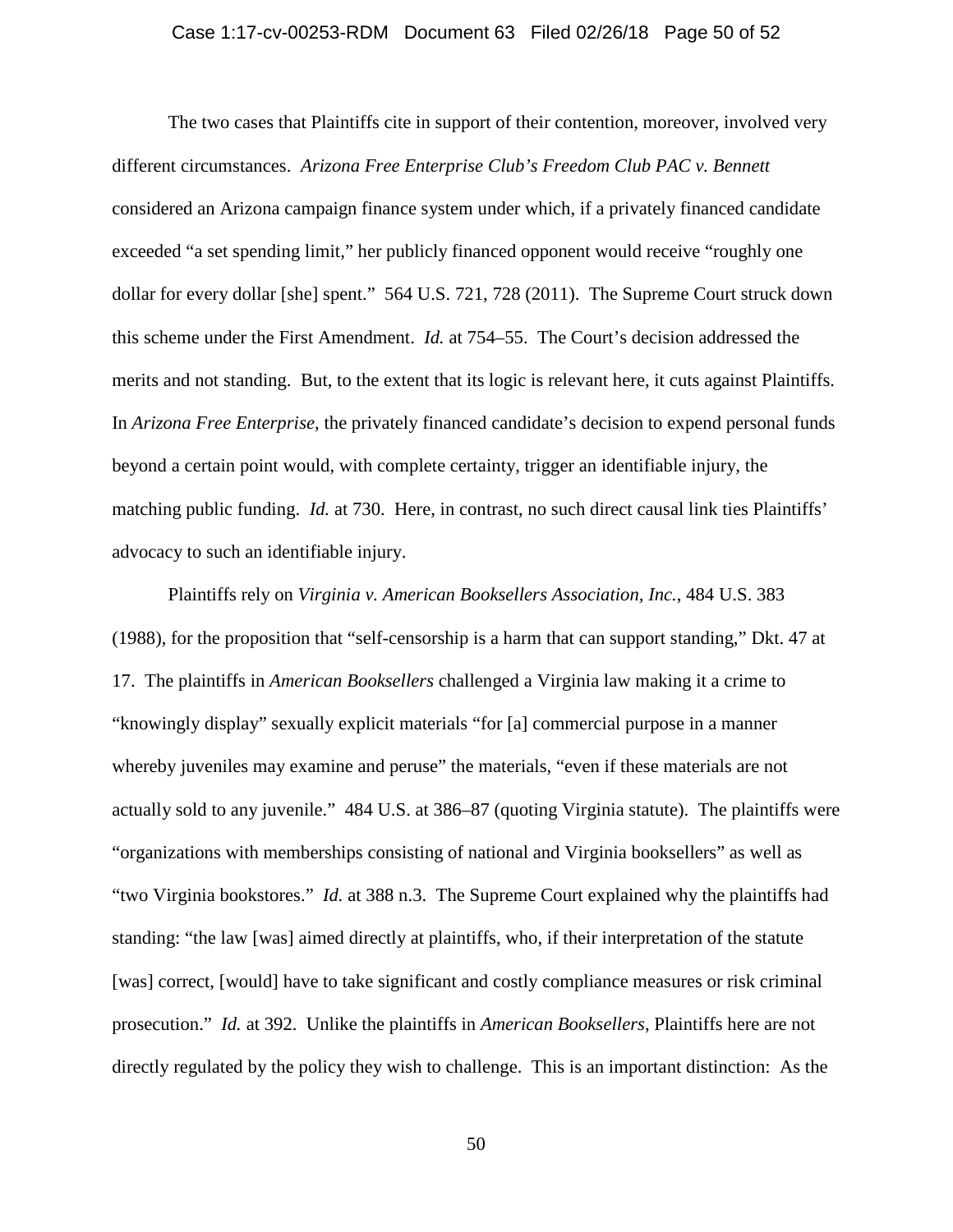### Case 1:17-cv-00253-RDM Document 63 Filed 02/26/18 Page 50 of 52

The two cases that Plaintiffs cite in support of their contention, moreover, involved very different circumstances. *Arizona Free Enterprise Club's Freedom Club PAC v. Bennett* considered an Arizona campaign finance system under which, if a privately financed candidate exceeded "a set spending limit," her publicly financed opponent would receive "roughly one dollar for every dollar [she] spent." 564 U.S. 721, 728 (2011). The Supreme Court struck down this scheme under the First Amendment. *Id.* at 754–55. The Court's decision addressed the merits and not standing. But, to the extent that its logic is relevant here, it cuts against Plaintiffs. In *Arizona Free Enterprise*, the privately financed candidate's decision to expend personal funds beyond a certain point would, with complete certainty, trigger an identifiable injury, the matching public funding. *Id.* at 730. Here, in contrast, no such direct causal link ties Plaintiffs' advocacy to such an identifiable injury.

Plaintiffs rely on *Virginia v. American Booksellers Association, Inc.*, 484 U.S. 383 (1988), for the proposition that "self-censorship is a harm that can support standing," Dkt. 47 at 17. The plaintiffs in *American Booksellers* challenged a Virginia law making it a crime to "knowingly display" sexually explicit materials "for [a] commercial purpose in a manner whereby juveniles may examine and peruse" the materials, "even if these materials are not actually sold to any juvenile." 484 U.S. at 386–87 (quoting Virginia statute). The plaintiffs were "organizations with memberships consisting of national and Virginia booksellers" as well as "two Virginia bookstores." *Id.* at 388 n.3. The Supreme Court explained why the plaintiffs had standing: "the law [was] aimed directly at plaintiffs, who, if their interpretation of the statute [was] correct, [would] have to take significant and costly compliance measures or risk criminal prosecution." *Id.* at 392. Unlike the plaintiffs in *American Booksellers*, Plaintiffs here are not directly regulated by the policy they wish to challenge. This is an important distinction: As the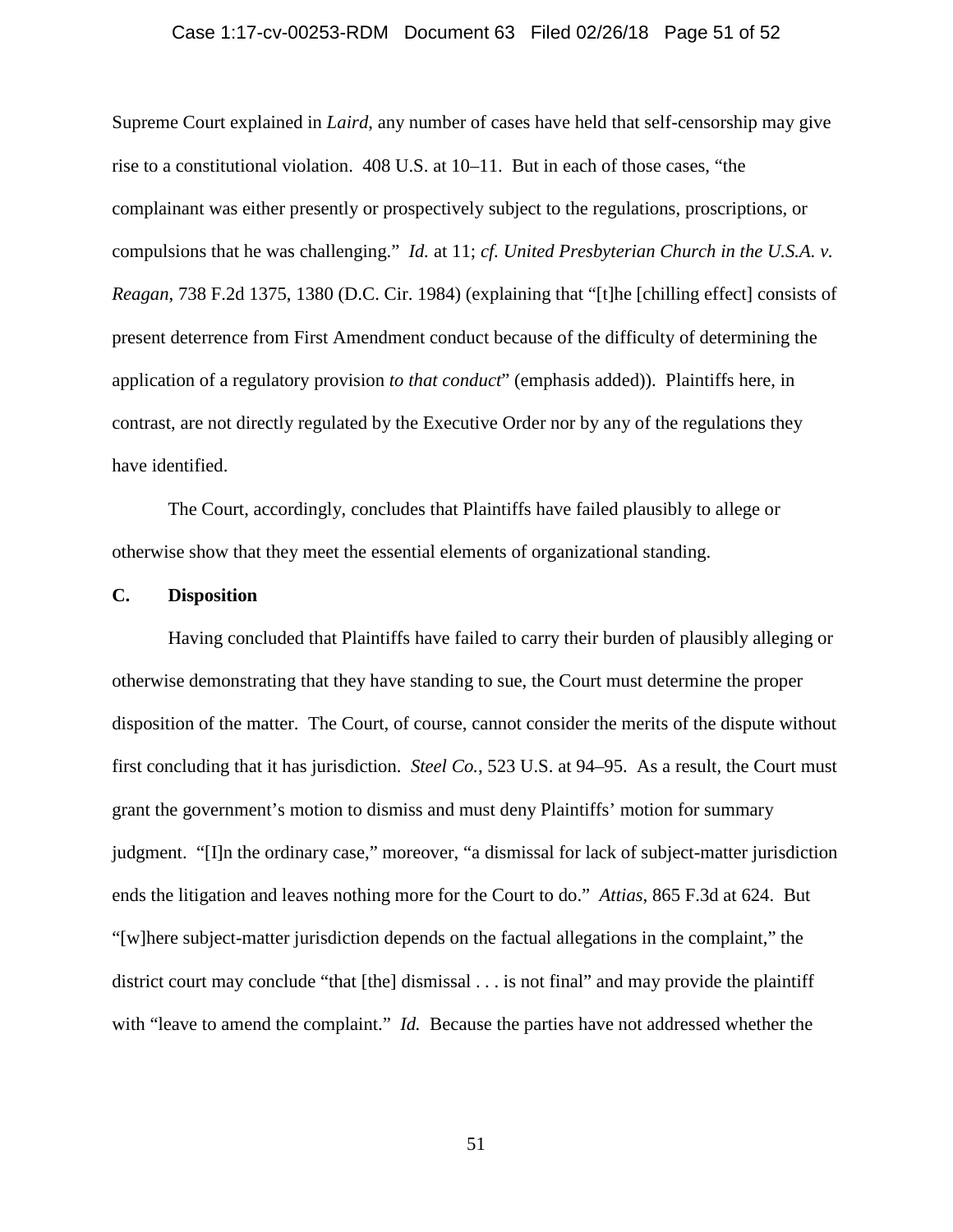### Case 1:17-cv-00253-RDM Document 63 Filed 02/26/18 Page 51 of 52

Supreme Court explained in *Laird*, any number of cases have held that self-censorship may give rise to a constitutional violation. 408 U.S. at 10–11. But in each of those cases, "the complainant was either presently or prospectively subject to the regulations, proscriptions, or compulsions that he was challenging." *Id.* at 11; *cf. United Presbyterian Church in the U.S.A. v. Reagan*, 738 F.2d 1375, 1380 (D.C. Cir. 1984) (explaining that "[t]he [chilling effect] consists of present deterrence from First Amendment conduct because of the difficulty of determining the application of a regulatory provision *to that conduct*" (emphasis added)). Plaintiffs here, in contrast, are not directly regulated by the Executive Order nor by any of the regulations they have identified.

The Court, accordingly, concludes that Plaintiffs have failed plausibly to allege or otherwise show that they meet the essential elements of organizational standing.

### **C. Disposition**

Having concluded that Plaintiffs have failed to carry their burden of plausibly alleging or otherwise demonstrating that they have standing to sue, the Court must determine the proper disposition of the matter. The Court, of course, cannot consider the merits of the dispute without first concluding that it has jurisdiction. *Steel Co.*, 523 U.S. at 94–95. As a result, the Court must grant the government's motion to dismiss and must deny Plaintiffs' motion for summary judgment. "[I]n the ordinary case," moreover, "a dismissal for lack of subject-matter jurisdiction ends the litigation and leaves nothing more for the Court to do." *Attias*, 865 F.3d at 624. But "[w]here subject-matter jurisdiction depends on the factual allegations in the complaint," the district court may conclude "that [the] dismissal . . . is not final" and may provide the plaintiff with "leave to amend the complaint." *Id.* Because the parties have not addressed whether the